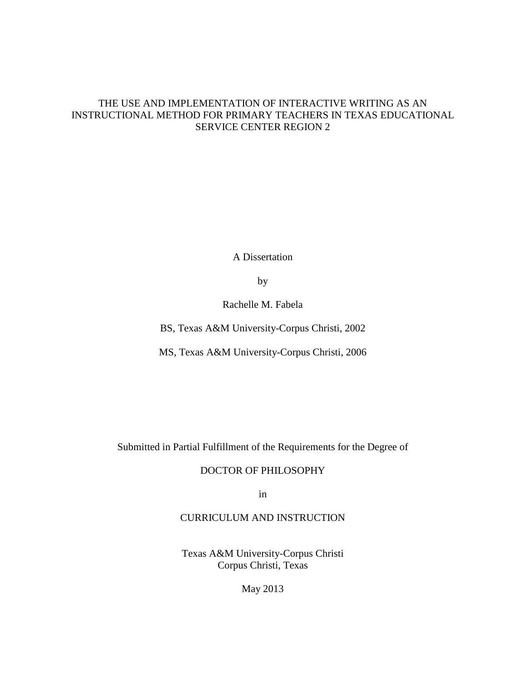## THE USE AND IMPLEMENTATION OF INTERACTIVE WRITING AS AN INSTRUCTIONAL METHOD FOR PRIMARY TEACHERS IN TEXAS EDUCATIONAL SERVICE CENTER REGION 2

A Dissertation

by

Rachelle M. Fabela

BS, Texas A&M University-Corpus Christi, 2002

MS, Texas A&M University-Corpus Christi, 2006

Submitted in Partial Fulfillment of the Requirements for the Degree of

DOCTOR OF PHILOSOPHY

in

CURRICULUM AND INSTRUCTION

Texas A&M University-Corpus Christi Corpus Christi, Texas

May 2013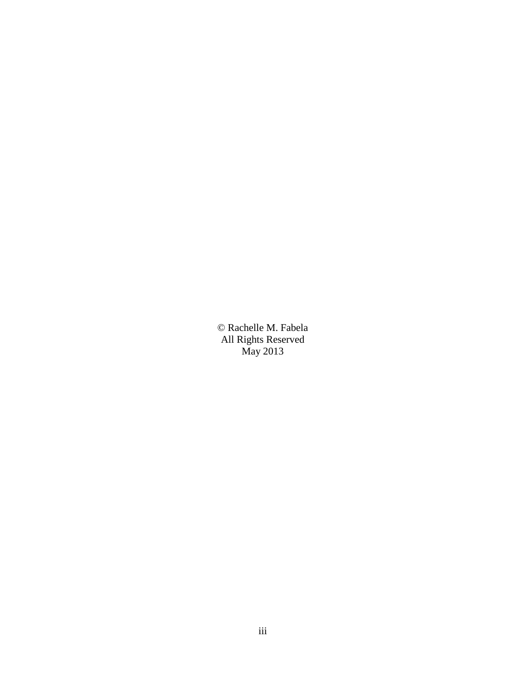© Rachelle M. Fabela All Rights Reserved May 2013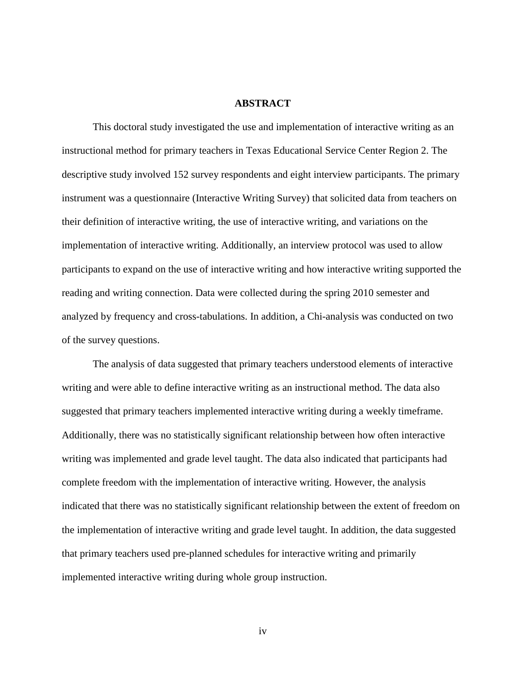#### **ABSTRACT**

This doctoral study investigated the use and implementation of interactive writing as an instructional method for primary teachers in Texas Educational Service Center Region 2. The descriptive study involved 152 survey respondents and eight interview participants. The primary instrument was a questionnaire (Interactive Writing Survey) that solicited data from teachers on their definition of interactive writing, the use of interactive writing, and variations on the implementation of interactive writing. Additionally, an interview protocol was used to allow participants to expand on the use of interactive writing and how interactive writing supported the reading and writing connection. Data were collected during the spring 2010 semester and analyzed by frequency and cross-tabulations. In addition, a Chi-analysis was conducted on two of the survey questions.

 The analysis of data suggested that primary teachers understood elements of interactive writing and were able to define interactive writing as an instructional method. The data also suggested that primary teachers implemented interactive writing during a weekly timeframe. Additionally, there was no statistically significant relationship between how often interactive writing was implemented and grade level taught. The data also indicated that participants had complete freedom with the implementation of interactive writing. However, the analysis indicated that there was no statistically significant relationship between the extent of freedom on the implementation of interactive writing and grade level taught. In addition, the data suggested that primary teachers used pre-planned schedules for interactive writing and primarily implemented interactive writing during whole group instruction.

iv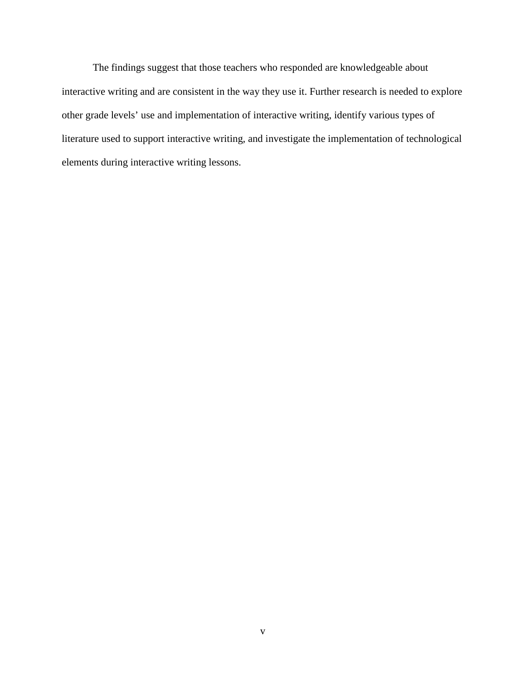The findings suggest that those teachers who responded are knowledgeable about interactive writing and are consistent in the way they use it. Further research is needed to explore other grade levels' use and implementation of interactive writing, identify various types of literature used to support interactive writing, and investigate the implementation of technological elements during interactive writing lessons.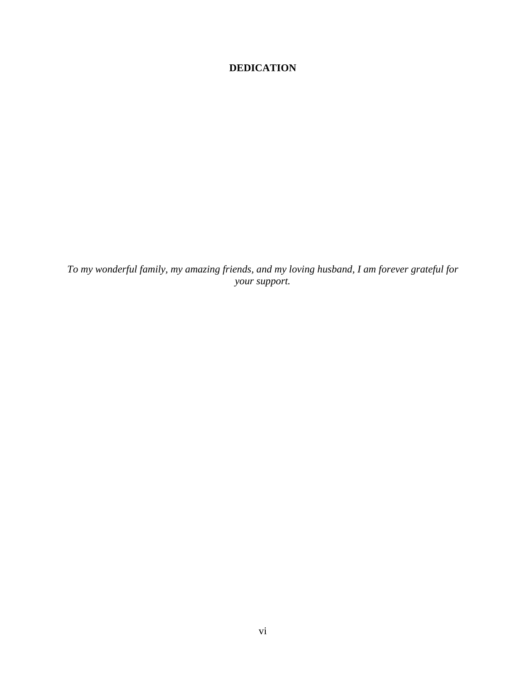## **DEDICATION**

*To my wonderful family, my amazing friends, and my loving husband, I am forever grateful for your support.*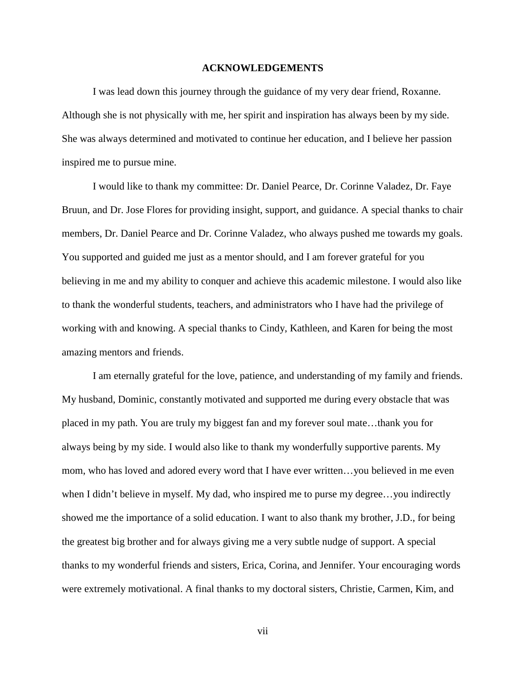#### **ACKNOWLEDGEMENTS**

 I was lead down this journey through the guidance of my very dear friend, Roxanne. Although she is not physically with me, her spirit and inspiration has always been by my side. She was always determined and motivated to continue her education, and I believe her passion inspired me to pursue mine.

I would like to thank my committee: Dr. Daniel Pearce, Dr. Corinne Valadez, Dr. Faye Bruun, and Dr. Jose Flores for providing insight, support, and guidance. A special thanks to chair members, Dr. Daniel Pearce and Dr. Corinne Valadez, who always pushed me towards my goals. You supported and guided me just as a mentor should, and I am forever grateful for you believing in me and my ability to conquer and achieve this academic milestone. I would also like to thank the wonderful students, teachers, and administrators who I have had the privilege of working with and knowing. A special thanks to Cindy, Kathleen, and Karen for being the most amazing mentors and friends.

 I am eternally grateful for the love, patience, and understanding of my family and friends. My husband, Dominic, constantly motivated and supported me during every obstacle that was placed in my path. You are truly my biggest fan and my forever soul mate…thank you for always being by my side. I would also like to thank my wonderfully supportive parents. My mom, who has loved and adored every word that I have ever written…you believed in me even when I didn't believe in myself. My dad, who inspired me to purse my degree…you indirectly showed me the importance of a solid education. I want to also thank my brother, J.D., for being the greatest big brother and for always giving me a very subtle nudge of support. A special thanks to my wonderful friends and sisters, Erica, Corina, and Jennifer. Your encouraging words were extremely motivational. A final thanks to my doctoral sisters, Christie, Carmen, Kim, and

vii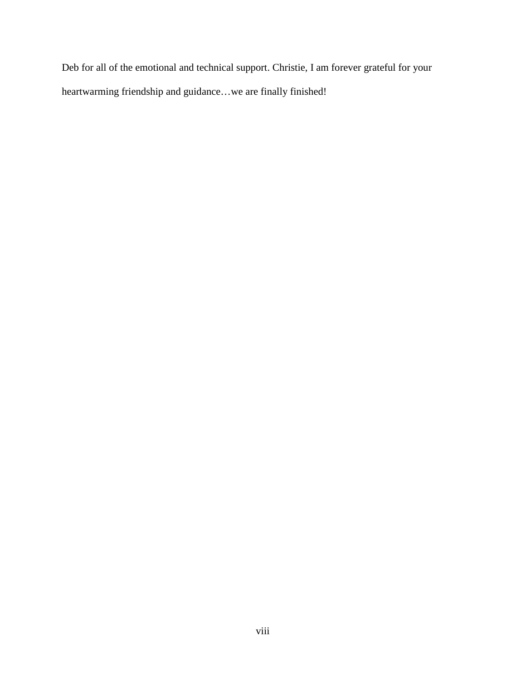Deb for all of the emotional and technical support. Christie, I am forever grateful for your heartwarming friendship and guidance…we are finally finished!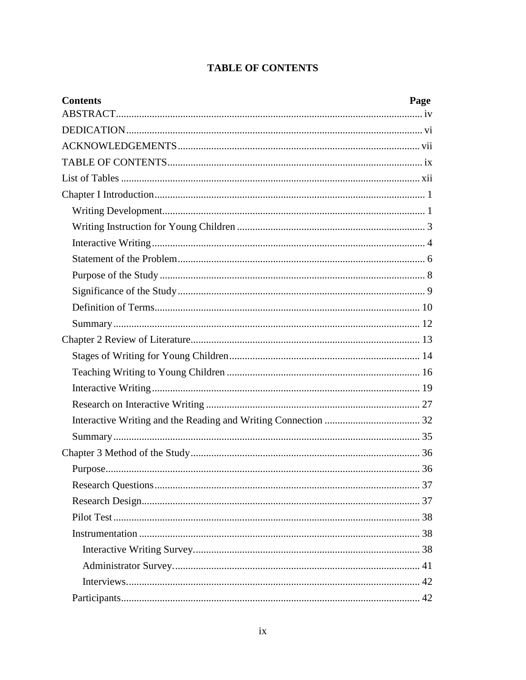# **TABLE OF CONTENTS**

| <b>Contents</b> | Page |
|-----------------|------|
|                 |      |
|                 |      |
|                 |      |
|                 |      |
|                 |      |
|                 |      |
|                 |      |
|                 |      |
|                 |      |
|                 |      |
|                 |      |
|                 |      |
|                 |      |
|                 |      |
|                 |      |
|                 |      |
|                 |      |
|                 |      |
|                 |      |
|                 |      |
|                 |      |
|                 |      |
|                 |      |
|                 |      |
|                 |      |
|                 |      |
|                 |      |
|                 |      |
|                 |      |
|                 |      |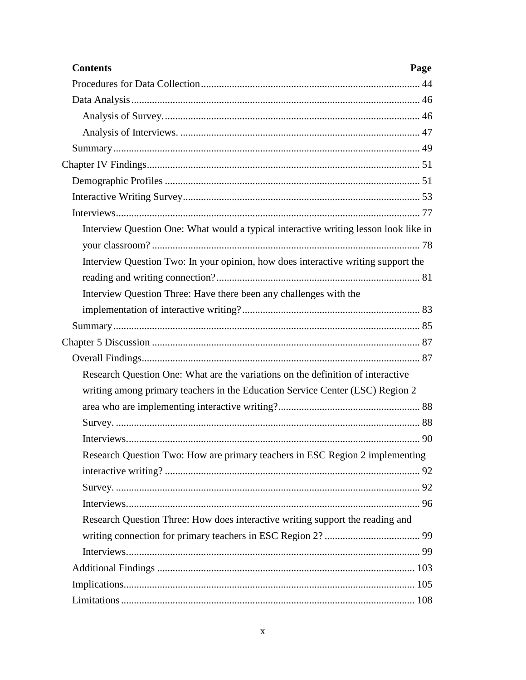| <b>Contents</b><br>Page                                                              |  |
|--------------------------------------------------------------------------------------|--|
|                                                                                      |  |
|                                                                                      |  |
|                                                                                      |  |
|                                                                                      |  |
|                                                                                      |  |
|                                                                                      |  |
|                                                                                      |  |
|                                                                                      |  |
|                                                                                      |  |
| Interview Question One: What would a typical interactive writing lesson look like in |  |
|                                                                                      |  |
| Interview Question Two: In your opinion, how does interactive writing support the    |  |
|                                                                                      |  |
| Interview Question Three: Have there been any challenges with the                    |  |
|                                                                                      |  |
|                                                                                      |  |
|                                                                                      |  |
|                                                                                      |  |
| Research Question One: What are the variations on the definition of interactive      |  |
| writing among primary teachers in the Education Service Center (ESC) Region 2        |  |
|                                                                                      |  |
|                                                                                      |  |
|                                                                                      |  |
| Research Question Two: How are primary teachers in ESC Region 2 implementing         |  |
|                                                                                      |  |
|                                                                                      |  |
|                                                                                      |  |
| Research Question Three: How does interactive writing support the reading and        |  |
|                                                                                      |  |
|                                                                                      |  |
|                                                                                      |  |
|                                                                                      |  |
|                                                                                      |  |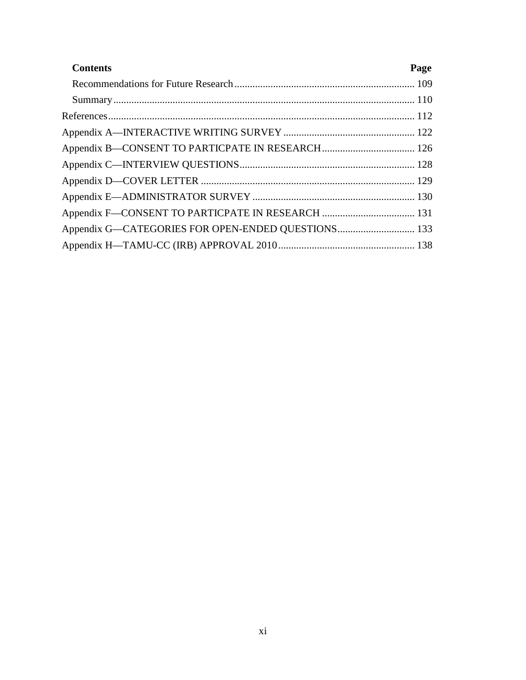| <b>Contents</b> | Page |
|-----------------|------|
|                 |      |
|                 |      |
|                 |      |
|                 |      |
|                 |      |
|                 |      |
|                 |      |
|                 |      |
|                 |      |
|                 |      |
|                 |      |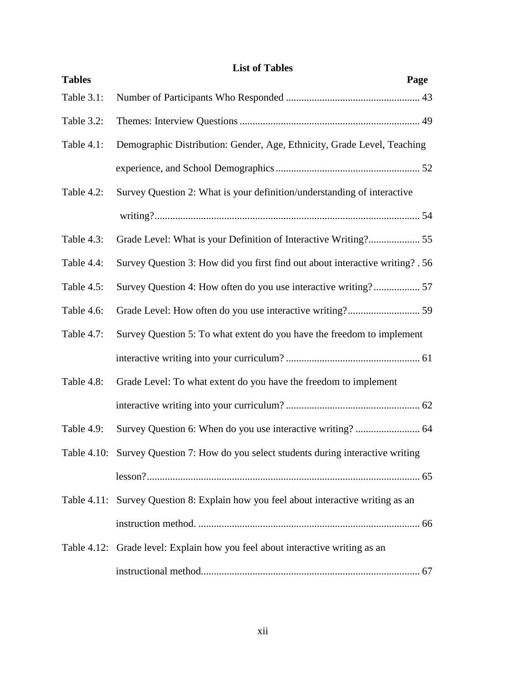# **List of Tables**

| <b>Tables</b> | Page                                                                                 |
|---------------|--------------------------------------------------------------------------------------|
| Table 3.1:    |                                                                                      |
| Table 3.2:    |                                                                                      |
| Table 4.1:    | Demographic Distribution: Gender, Age, Ethnicity, Grade Level, Teaching              |
|               |                                                                                      |
| Table 4.2:    | Survey Question 2: What is your definition/understanding of interactive              |
|               |                                                                                      |
| Table 4.3:    | Grade Level: What is your Definition of Interactive Writing? 55                      |
| Table 4.4:    | Survey Question 3: How did you first find out about interactive writing? . 56        |
| Table 4.5:    | Survey Question 4: How often do you use interactive writing? 57                      |
| Table 4.6:    |                                                                                      |
| Table 4.7:    | Survey Question 5: To what extent do you have the freedom to implement               |
|               |                                                                                      |
| Table 4.8:    | Grade Level: To what extent do you have the freedom to implement                     |
|               |                                                                                      |
| Table 4.9:    | Survey Question 6: When do you use interactive writing?  64                          |
|               | Table 4.10: Survey Question 7: How do you select students during interactive writing |
|               |                                                                                      |
|               | Table 4.11: Survey Question 8: Explain how you feel about interactive writing as an  |
|               |                                                                                      |
|               | Table 4.12: Grade level: Explain how you feel about interactive writing as an        |
|               |                                                                                      |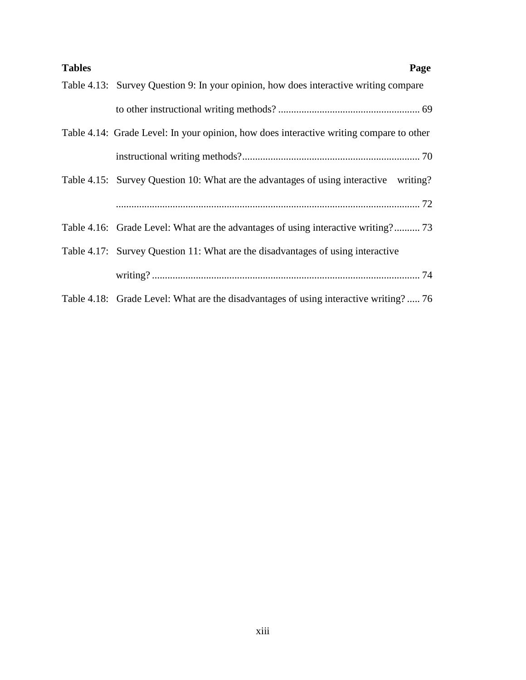| <b>Tables</b><br>Page                                                                   |
|-----------------------------------------------------------------------------------------|
| Table 4.13: Survey Question 9: In your opinion, how does interactive writing compare    |
|                                                                                         |
| Table 4.14: Grade Level: In your opinion, how does interactive writing compare to other |
|                                                                                         |
| Table 4.15: Survey Question 10: What are the advantages of using interactive writing?   |
|                                                                                         |
| Table 4.16: Grade Level: What are the advantages of using interactive writing? 73       |
| Table 4.17: Survey Question 11: What are the disadvantages of using interactive         |
|                                                                                         |
| Table 4.18: Grade Level: What are the disadvantages of using interactive writing? 76    |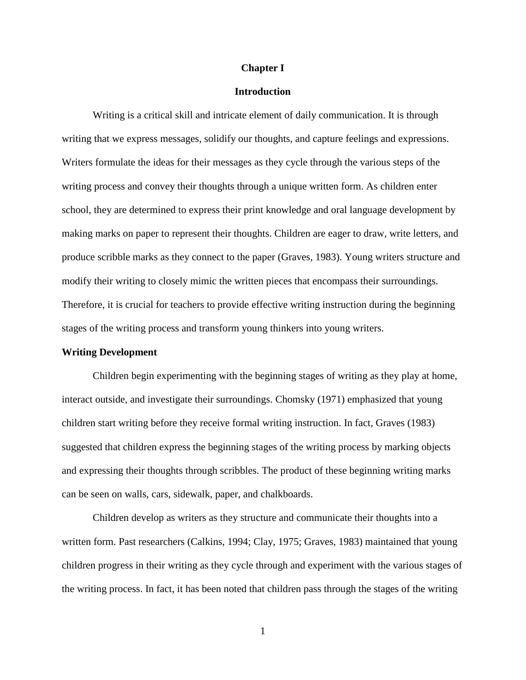#### **Chapter I**

#### **Introduction**

Writing is a critical skill and intricate element of daily communication. It is through writing that we express messages, solidify our thoughts, and capture feelings and expressions. Writers formulate the ideas for their messages as they cycle through the various steps of the writing process and convey their thoughts through a unique written form. As children enter school, they are determined to express their print knowledge and oral language development by making marks on paper to represent their thoughts. Children are eager to draw, write letters, and produce scribble marks as they connect to the paper (Graves, 1983). Young writers structure and modify their writing to closely mimic the written pieces that encompass their surroundings. Therefore, it is crucial for teachers to provide effective writing instruction during the beginning stages of the writing process and transform young thinkers into young writers.

#### **Writing Development**

 Children begin experimenting with the beginning stages of writing as they play at home, interact outside, and investigate their surroundings. Chomsky (1971) emphasized that young children start writing before they receive formal writing instruction. In fact, Graves (1983) suggested that children express the beginning stages of the writing process by marking objects and expressing their thoughts through scribbles. The product of these beginning writing marks can be seen on walls, cars, sidewalk, paper, and chalkboards.

Children develop as writers as they structure and communicate their thoughts into a written form. Past researchers (Calkins, 1994; Clay, 1975; Graves, 1983) maintained that young children progress in their writing as they cycle through and experiment with the various stages of the writing process. In fact, it has been noted that children pass through the stages of the writing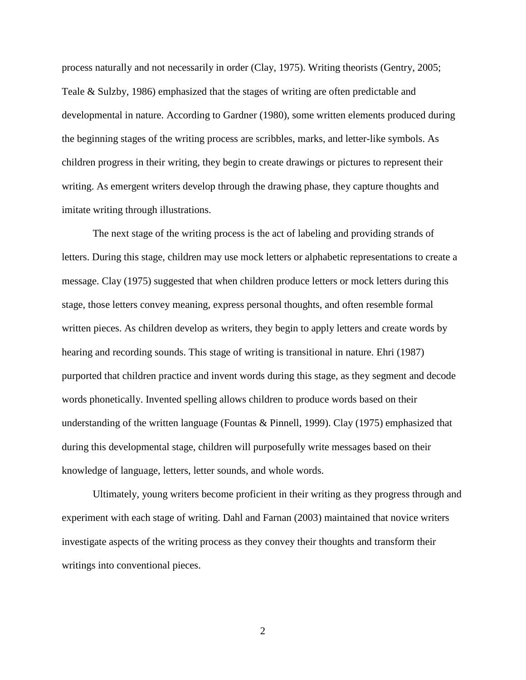process naturally and not necessarily in order (Clay, 1975). Writing theorists (Gentry, 2005; Teale & Sulzby, 1986) emphasized that the stages of writing are often predictable and developmental in nature. According to Gardner (1980), some written elements produced during the beginning stages of the writing process are scribbles, marks, and letter-like symbols. As children progress in their writing, they begin to create drawings or pictures to represent their writing. As emergent writers develop through the drawing phase, they capture thoughts and imitate writing through illustrations.

The next stage of the writing process is the act of labeling and providing strands of letters. During this stage, children may use mock letters or alphabetic representations to create a message. Clay (1975) suggested that when children produce letters or mock letters during this stage, those letters convey meaning, express personal thoughts, and often resemble formal written pieces. As children develop as writers, they begin to apply letters and create words by hearing and recording sounds. This stage of writing is transitional in nature. Ehri (1987) purported that children practice and invent words during this stage, as they segment and decode words phonetically. Invented spelling allows children to produce words based on their understanding of the written language (Fountas & Pinnell, 1999). Clay (1975) emphasized that during this developmental stage, children will purposefully write messages based on their knowledge of language, letters, letter sounds, and whole words.

Ultimately, young writers become proficient in their writing as they progress through and experiment with each stage of writing. Dahl and Farnan (2003) maintained that novice writers investigate aspects of the writing process as they convey their thoughts and transform their writings into conventional pieces.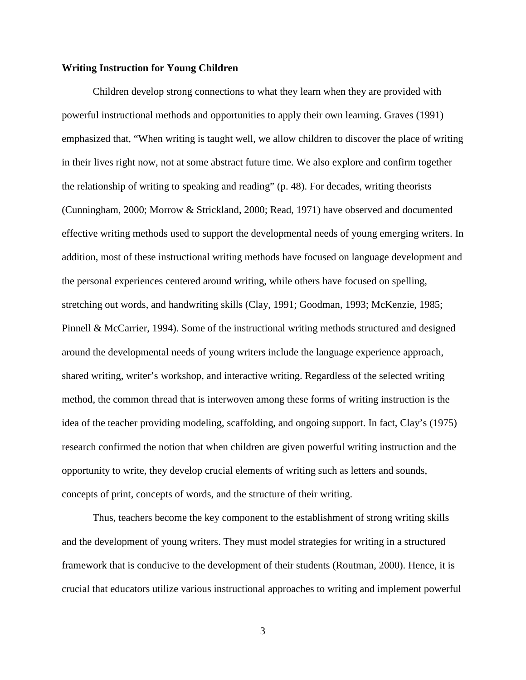#### **Writing Instruction for Young Children**

Children develop strong connections to what they learn when they are provided with powerful instructional methods and opportunities to apply their own learning. Graves (1991) emphasized that, "When writing is taught well, we allow children to discover the place of writing in their lives right now, not at some abstract future time. We also explore and confirm together the relationship of writing to speaking and reading" (p. 48). For decades, writing theorists (Cunningham, 2000; Morrow & Strickland, 2000; Read, 1971) have observed and documented effective writing methods used to support the developmental needs of young emerging writers. In addition, most of these instructional writing methods have focused on language development and the personal experiences centered around writing, while others have focused on spelling, stretching out words, and handwriting skills (Clay, 1991; Goodman, 1993; McKenzie, 1985; Pinnell & McCarrier, 1994). Some of the instructional writing methods structured and designed around the developmental needs of young writers include the language experience approach, shared writing, writer's workshop, and interactive writing. Regardless of the selected writing method, the common thread that is interwoven among these forms of writing instruction is the idea of the teacher providing modeling, scaffolding, and ongoing support. In fact, Clay's (1975) research confirmed the notion that when children are given powerful writing instruction and the opportunity to write, they develop crucial elements of writing such as letters and sounds, concepts of print, concepts of words, and the structure of their writing.

Thus, teachers become the key component to the establishment of strong writing skills and the development of young writers. They must model strategies for writing in a structured framework that is conducive to the development of their students (Routman, 2000). Hence, it is crucial that educators utilize various instructional approaches to writing and implement powerful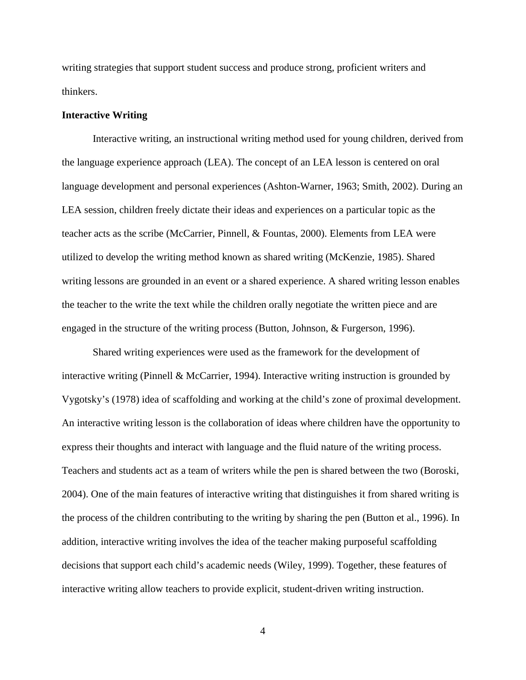writing strategies that support student success and produce strong, proficient writers and thinkers.

#### **Interactive Writing**

Interactive writing, an instructional writing method used for young children, derived from the language experience approach (LEA). The concept of an LEA lesson is centered on oral language development and personal experiences (Ashton-Warner, 1963; Smith, 2002). During an LEA session, children freely dictate their ideas and experiences on a particular topic as the teacher acts as the scribe (McCarrier, Pinnell, & Fountas, 2000). Elements from LEA were utilized to develop the writing method known as shared writing (McKenzie, 1985). Shared writing lessons are grounded in an event or a shared experience. A shared writing lesson enables the teacher to the write the text while the children orally negotiate the written piece and are engaged in the structure of the writing process (Button, Johnson, & Furgerson, 1996).

Shared writing experiences were used as the framework for the development of interactive writing (Pinnell & McCarrier, 1994). Interactive writing instruction is grounded by Vygotsky's (1978) idea of scaffolding and working at the child's zone of proximal development. An interactive writing lesson is the collaboration of ideas where children have the opportunity to express their thoughts and interact with language and the fluid nature of the writing process. Teachers and students act as a team of writers while the pen is shared between the two (Boroski, 2004). One of the main features of interactive writing that distinguishes it from shared writing is the process of the children contributing to the writing by sharing the pen (Button et al., 1996). In addition, interactive writing involves the idea of the teacher making purposeful scaffolding decisions that support each child's academic needs (Wiley, 1999). Together, these features of interactive writing allow teachers to provide explicit, student-driven writing instruction.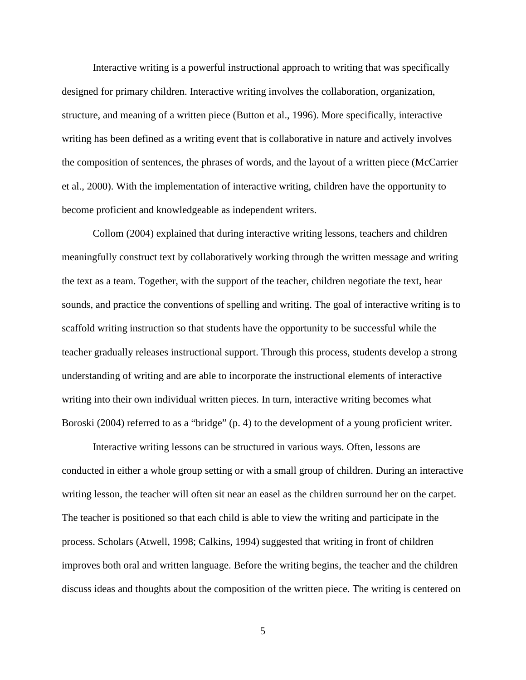Interactive writing is a powerful instructional approach to writing that was specifically designed for primary children. Interactive writing involves the collaboration, organization, structure, and meaning of a written piece (Button et al., 1996). More specifically, interactive writing has been defined as a writing event that is collaborative in nature and actively involves the composition of sentences, the phrases of words, and the layout of a written piece (McCarrier et al., 2000). With the implementation of interactive writing, children have the opportunity to become proficient and knowledgeable as independent writers.

Collom (2004) explained that during interactive writing lessons, teachers and children meaningfully construct text by collaboratively working through the written message and writing the text as a team. Together, with the support of the teacher, children negotiate the text, hear sounds, and practice the conventions of spelling and writing. The goal of interactive writing is to scaffold writing instruction so that students have the opportunity to be successful while the teacher gradually releases instructional support. Through this process, students develop a strong understanding of writing and are able to incorporate the instructional elements of interactive writing into their own individual written pieces. In turn, interactive writing becomes what Boroski (2004) referred to as a "bridge" (p. 4) to the development of a young proficient writer.

Interactive writing lessons can be structured in various ways. Often, lessons are conducted in either a whole group setting or with a small group of children. During an interactive writing lesson, the teacher will often sit near an easel as the children surround her on the carpet. The teacher is positioned so that each child is able to view the writing and participate in the process. Scholars (Atwell, 1998; Calkins, 1994) suggested that writing in front of children improves both oral and written language. Before the writing begins, the teacher and the children discuss ideas and thoughts about the composition of the written piece. The writing is centered on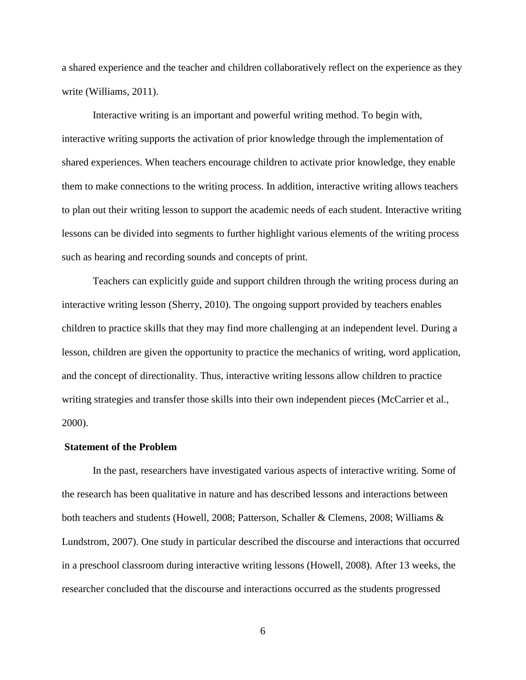a shared experience and the teacher and children collaboratively reflect on the experience as they write (Williams, 2011).

Interactive writing is an important and powerful writing method. To begin with, interactive writing supports the activation of prior knowledge through the implementation of shared experiences. When teachers encourage children to activate prior knowledge, they enable them to make connections to the writing process. In addition, interactive writing allows teachers to plan out their writing lesson to support the academic needs of each student. Interactive writing lessons can be divided into segments to further highlight various elements of the writing process such as hearing and recording sounds and concepts of print.

 Teachers can explicitly guide and support children through the writing process during an interactive writing lesson (Sherry, 2010). The ongoing support provided by teachers enables children to practice skills that they may find more challenging at an independent level. During a lesson, children are given the opportunity to practice the mechanics of writing, word application, and the concept of directionality. Thus, interactive writing lessons allow children to practice writing strategies and transfer those skills into their own independent pieces (McCarrier et al., 2000).

#### **Statement of the Problem**

In the past, researchers have investigated various aspects of interactive writing. Some of the research has been qualitative in nature and has described lessons and interactions between both teachers and students (Howell, 2008; Patterson, Schaller & Clemens, 2008; Williams & Lundstrom, 2007). One study in particular described the discourse and interactions that occurred in a preschool classroom during interactive writing lessons (Howell, 2008). After 13 weeks, the researcher concluded that the discourse and interactions occurred as the students progressed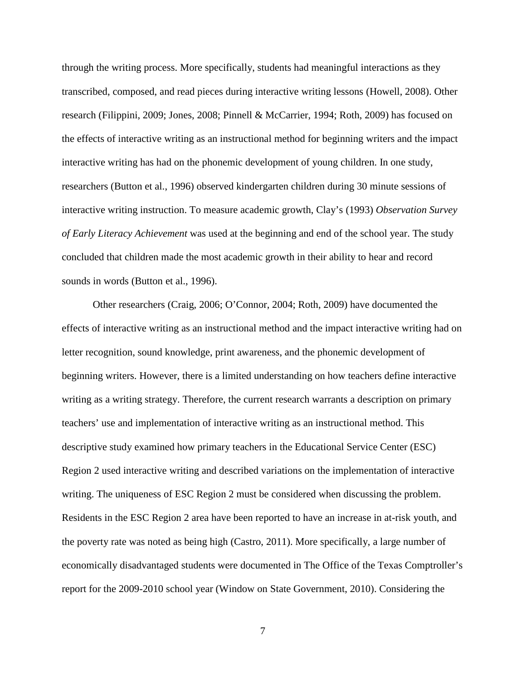through the writing process. More specifically, students had meaningful interactions as they transcribed, composed, and read pieces during interactive writing lessons (Howell, 2008). Other research (Filippini, 2009; Jones, 2008; Pinnell & McCarrier, 1994; Roth, 2009) has focused on the effects of interactive writing as an instructional method for beginning writers and the impact interactive writing has had on the phonemic development of young children. In one study, researchers (Button et al., 1996) observed kindergarten children during 30 minute sessions of interactive writing instruction. To measure academic growth, Clay's (1993) *Observation Survey of Early Literacy Achievement* was used at the beginning and end of the school year. The study concluded that children made the most academic growth in their ability to hear and record sounds in words (Button et al., 1996).

Other researchers (Craig, 2006; O'Connor, 2004; Roth, 2009) have documented the effects of interactive writing as an instructional method and the impact interactive writing had on letter recognition, sound knowledge, print awareness, and the phonemic development of beginning writers. However, there is a limited understanding on how teachers define interactive writing as a writing strategy. Therefore, the current research warrants a description on primary teachers' use and implementation of interactive writing as an instructional method. This descriptive study examined how primary teachers in the Educational Service Center (ESC) Region 2 used interactive writing and described variations on the implementation of interactive writing. The uniqueness of ESC Region 2 must be considered when discussing the problem. Residents in the ESC Region 2 area have been reported to have an increase in at-risk youth, and the poverty rate was noted as being high (Castro, 2011). More specifically, a large number of economically disadvantaged students were documented in The Office of the Texas Comptroller's report for the 2009-2010 school year (Window on State Government, 2010). Considering the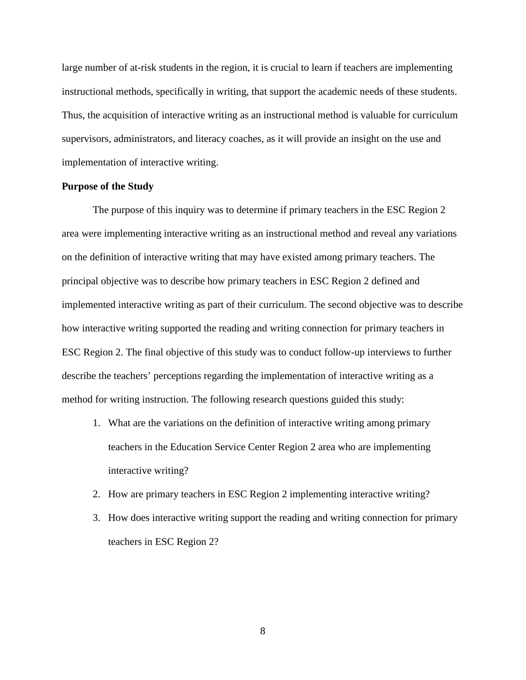large number of at-risk students in the region, it is crucial to learn if teachers are implementing instructional methods, specifically in writing, that support the academic needs of these students. Thus, the acquisition of interactive writing as an instructional method is valuable for curriculum supervisors, administrators, and literacy coaches, as it will provide an insight on the use and implementation of interactive writing.

#### **Purpose of the Study**

 The purpose of this inquiry was to determine if primary teachers in the ESC Region 2 area were implementing interactive writing as an instructional method and reveal any variations on the definition of interactive writing that may have existed among primary teachers. The principal objective was to describe how primary teachers in ESC Region 2 defined and implemented interactive writing as part of their curriculum. The second objective was to describe how interactive writing supported the reading and writing connection for primary teachers in ESC Region 2. The final objective of this study was to conduct follow-up interviews to further describe the teachers' perceptions regarding the implementation of interactive writing as a method for writing instruction. The following research questions guided this study:

- 1. What are the variations on the definition of interactive writing among primary teachers in the Education Service Center Region 2 area who are implementing interactive writing?
- 2. How are primary teachers in ESC Region 2 implementing interactive writing?
- 3. How does interactive writing support the reading and writing connection for primary teachers in ESC Region 2?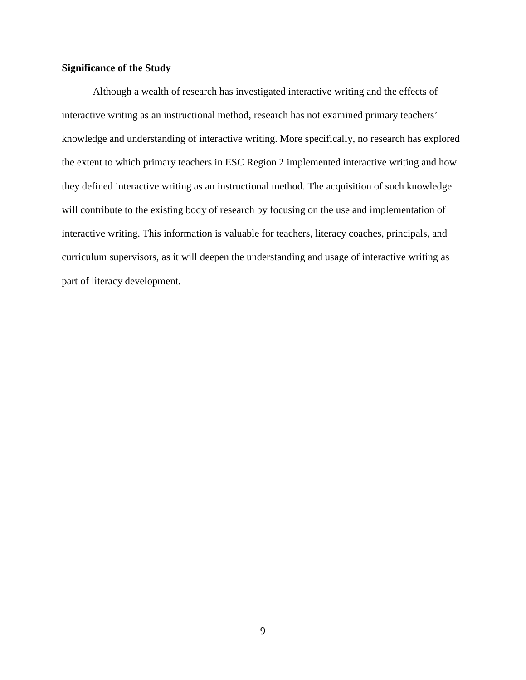### **Significance of the Study**

Although a wealth of research has investigated interactive writing and the effects of interactive writing as an instructional method, research has not examined primary teachers' knowledge and understanding of interactive writing. More specifically, no research has explored the extent to which primary teachers in ESC Region 2 implemented interactive writing and how they defined interactive writing as an instructional method. The acquisition of such knowledge will contribute to the existing body of research by focusing on the use and implementation of interactive writing. This information is valuable for teachers, literacy coaches, principals, and curriculum supervisors, as it will deepen the understanding and usage of interactive writing as part of literacy development.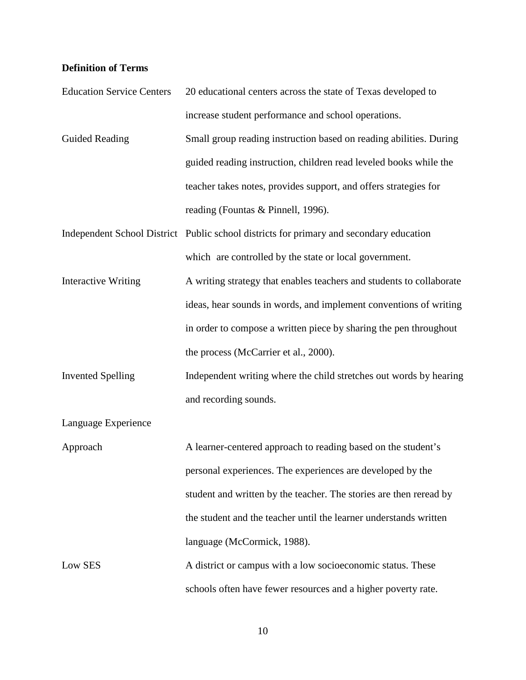## **Definition of Terms**

| <b>Education Service Centers</b> | 20 educational centers across the state of Texas developed to                           |
|----------------------------------|-----------------------------------------------------------------------------------------|
|                                  | increase student performance and school operations.                                     |
| Guided Reading                   | Small group reading instruction based on reading abilities. During                      |
|                                  | guided reading instruction, children read leveled books while the                       |
|                                  | teacher takes notes, provides support, and offers strategies for                        |
|                                  | reading (Fountas & Pinnell, 1996).                                                      |
|                                  | Independent School District Public school districts for primary and secondary education |
|                                  | which are controlled by the state or local government.                                  |
| <b>Interactive Writing</b>       | A writing strategy that enables teachers and students to collaborate                    |
|                                  | ideas, hear sounds in words, and implement conventions of writing                       |
|                                  | in order to compose a written piece by sharing the pen throughout                       |
|                                  | the process (McCarrier et al., 2000).                                                   |
| <b>Invented Spelling</b>         | Independent writing where the child stretches out words by hearing                      |
|                                  | and recording sounds.                                                                   |
| Language Experience              |                                                                                         |
| Approach                         | A learner-centered approach to reading based on the student's                           |
|                                  | personal experiences. The experiences are developed by the                              |
|                                  | student and written by the teacher. The stories are then reread by                      |
|                                  | the student and the teacher until the learner understands written                       |
|                                  | language (McCormick, 1988).                                                             |
| Low SES                          | A district or campus with a low socioeconomic status. These                             |
|                                  | schools often have fewer resources and a higher poverty rate.                           |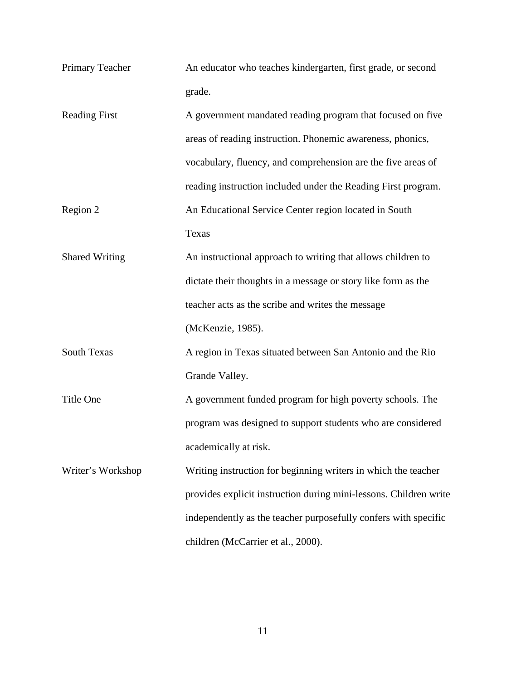| Primary Teacher | An educator who teaches kindergarten, first grade, or second |
|-----------------|--------------------------------------------------------------|
|                 | grade.                                                       |

| <b>Reading First</b>  | A government mandated reading program that focused on five        |
|-----------------------|-------------------------------------------------------------------|
|                       | areas of reading instruction. Phonemic awareness, phonics,        |
|                       | vocabulary, fluency, and comprehension are the five areas of      |
|                       | reading instruction included under the Reading First program.     |
| Region 2              | An Educational Service Center region located in South             |
|                       | <b>Texas</b>                                                      |
| <b>Shared Writing</b> | An instructional approach to writing that allows children to      |
|                       | dictate their thoughts in a message or story like form as the     |
|                       | teacher acts as the scribe and writes the message                 |
|                       | (McKenzie, 1985).                                                 |
| <b>South Texas</b>    | A region in Texas situated between San Antonio and the Rio        |
|                       | Grande Valley.                                                    |
| Title One             | A government funded program for high poverty schools. The         |
|                       | program was designed to support students who are considered       |
|                       | academically at risk.                                             |
| Writer's Workshop     | Writing instruction for beginning writers in which the teacher    |
|                       | provides explicit instruction during mini-lessons. Children write |
|                       | independently as the teacher purposefully confers with specific   |
|                       | children (McCarrier et al., 2000).                                |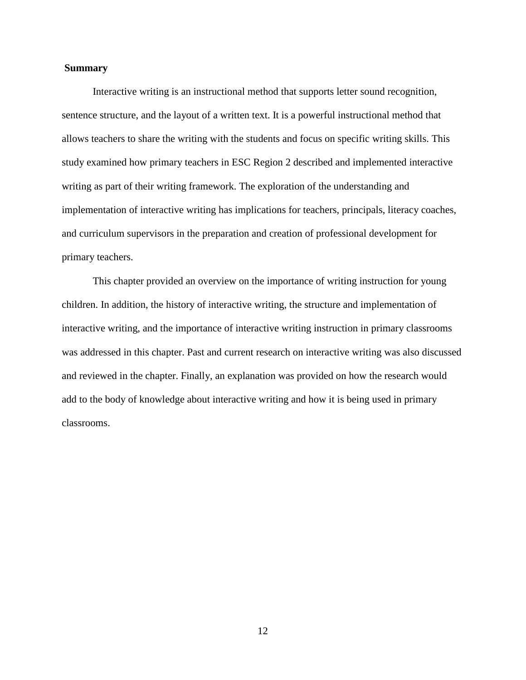#### **Summary**

 Interactive writing is an instructional method that supports letter sound recognition, sentence structure, and the layout of a written text. It is a powerful instructional method that allows teachers to share the writing with the students and focus on specific writing skills. This study examined how primary teachers in ESC Region 2 described and implemented interactive writing as part of their writing framework. The exploration of the understanding and implementation of interactive writing has implications for teachers, principals, literacy coaches, and curriculum supervisors in the preparation and creation of professional development for primary teachers.

This chapter provided an overview on the importance of writing instruction for young children. In addition, the history of interactive writing, the structure and implementation of interactive writing, and the importance of interactive writing instruction in primary classrooms was addressed in this chapter. Past and current research on interactive writing was also discussed and reviewed in the chapter. Finally, an explanation was provided on how the research would add to the body of knowledge about interactive writing and how it is being used in primary classrooms.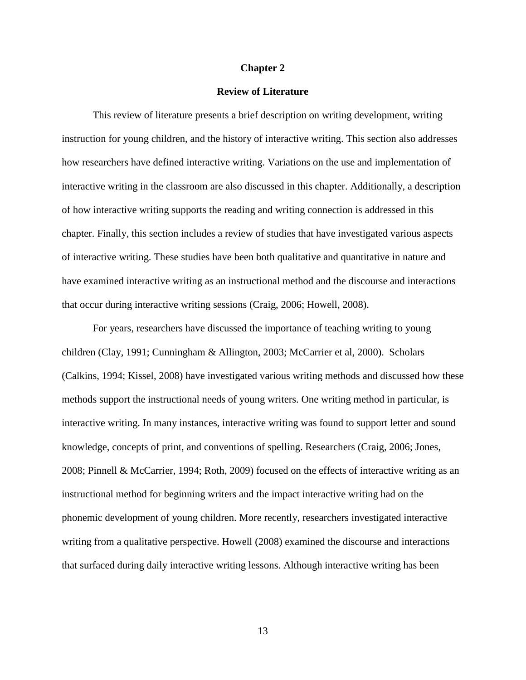#### **Chapter 2**

#### **Review of Literature**

This review of literature presents a brief description on writing development, writing instruction for young children, and the history of interactive writing. This section also addresses how researchers have defined interactive writing. Variations on the use and implementation of interactive writing in the classroom are also discussed in this chapter. Additionally, a description of how interactive writing supports the reading and writing connection is addressed in this chapter. Finally, this section includes a review of studies that have investigated various aspects of interactive writing. These studies have been both qualitative and quantitative in nature and have examined interactive writing as an instructional method and the discourse and interactions that occur during interactive writing sessions (Craig, 2006; Howell, 2008).

For years, researchers have discussed the importance of teaching writing to young children (Clay, 1991; Cunningham & Allington, 2003; McCarrier et al, 2000). Scholars (Calkins, 1994; Kissel, 2008) have investigated various writing methods and discussed how these methods support the instructional needs of young writers. One writing method in particular, is interactive writing. In many instances, interactive writing was found to support letter and sound knowledge, concepts of print, and conventions of spelling. Researchers (Craig, 2006; Jones, 2008; Pinnell & McCarrier, 1994; Roth, 2009) focused on the effects of interactive writing as an instructional method for beginning writers and the impact interactive writing had on the phonemic development of young children. More recently, researchers investigated interactive writing from a qualitative perspective. Howell (2008) examined the discourse and interactions that surfaced during daily interactive writing lessons. Although interactive writing has been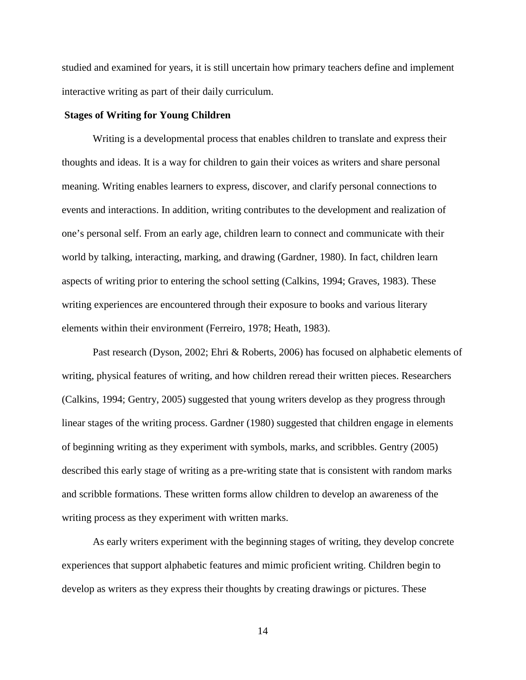studied and examined for years, it is still uncertain how primary teachers define and implement interactive writing as part of their daily curriculum.

#### **Stages of Writing for Young Children**

Writing is a developmental process that enables children to translate and express their thoughts and ideas. It is a way for children to gain their voices as writers and share personal meaning. Writing enables learners to express, discover, and clarify personal connections to events and interactions. In addition, writing contributes to the development and realization of one's personal self. From an early age, children learn to connect and communicate with their world by talking, interacting, marking, and drawing (Gardner, 1980). In fact, children learn aspects of writing prior to entering the school setting (Calkins, 1994; Graves, 1983). These writing experiences are encountered through their exposure to books and various literary elements within their environment (Ferreiro, 1978; Heath, 1983).

Past research (Dyson, 2002; Ehri & Roberts, 2006) has focused on alphabetic elements of writing, physical features of writing, and how children reread their written pieces. Researchers (Calkins, 1994; Gentry, 2005) suggested that young writers develop as they progress through linear stages of the writing process. Gardner (1980) suggested that children engage in elements of beginning writing as they experiment with symbols, marks, and scribbles. Gentry (2005) described this early stage of writing as a pre-writing state that is consistent with random marks and scribble formations. These written forms allow children to develop an awareness of the writing process as they experiment with written marks.

As early writers experiment with the beginning stages of writing, they develop concrete experiences that support alphabetic features and mimic proficient writing. Children begin to develop as writers as they express their thoughts by creating drawings or pictures. These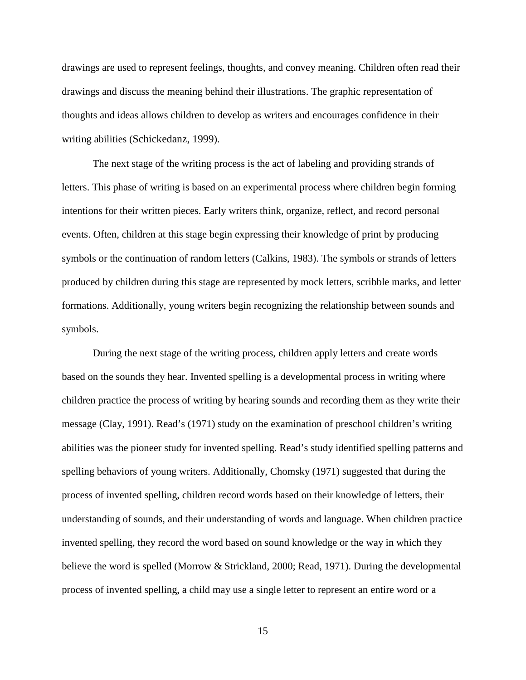drawings are used to represent feelings, thoughts, and convey meaning. Children often read their drawings and discuss the meaning behind their illustrations. The graphic representation of thoughts and ideas allows children to develop as writers and encourages confidence in their writing abilities (Schickedanz, 1999).

The next stage of the writing process is the act of labeling and providing strands of letters. This phase of writing is based on an experimental process where children begin forming intentions for their written pieces. Early writers think, organize, reflect, and record personal events. Often, children at this stage begin expressing their knowledge of print by producing symbols or the continuation of random letters (Calkins, 1983). The symbols or strands of letters produced by children during this stage are represented by mock letters, scribble marks, and letter formations. Additionally, young writers begin recognizing the relationship between sounds and symbols.

During the next stage of the writing process, children apply letters and create words based on the sounds they hear. Invented spelling is a developmental process in writing where children practice the process of writing by hearing sounds and recording them as they write their message (Clay, 1991). Read's (1971) study on the examination of preschool children's writing abilities was the pioneer study for invented spelling. Read's study identified spelling patterns and spelling behaviors of young writers. Additionally, Chomsky (1971) suggested that during the process of invented spelling, children record words based on their knowledge of letters, their understanding of sounds, and their understanding of words and language. When children practice invented spelling, they record the word based on sound knowledge or the way in which they believe the word is spelled (Morrow & Strickland, 2000; Read, 1971). During the developmental process of invented spelling, a child may use a single letter to represent an entire word or a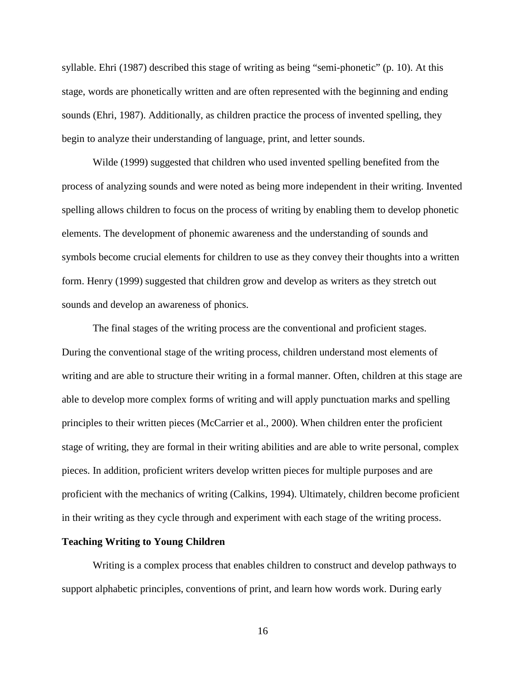syllable. Ehri (1987) described this stage of writing as being "semi-phonetic" (p. 10). At this stage, words are phonetically written and are often represented with the beginning and ending sounds (Ehri, 1987). Additionally, as children practice the process of invented spelling, they begin to analyze their understanding of language, print, and letter sounds.

Wilde (1999) suggested that children who used invented spelling benefited from the process of analyzing sounds and were noted as being more independent in their writing. Invented spelling allows children to focus on the process of writing by enabling them to develop phonetic elements. The development of phonemic awareness and the understanding of sounds and symbols become crucial elements for children to use as they convey their thoughts into a written form. Henry (1999) suggested that children grow and develop as writers as they stretch out sounds and develop an awareness of phonics.

The final stages of the writing process are the conventional and proficient stages. During the conventional stage of the writing process, children understand most elements of writing and are able to structure their writing in a formal manner. Often, children at this stage are able to develop more complex forms of writing and will apply punctuation marks and spelling principles to their written pieces (McCarrier et al., 2000). When children enter the proficient stage of writing, they are formal in their writing abilities and are able to write personal, complex pieces. In addition, proficient writers develop written pieces for multiple purposes and are proficient with the mechanics of writing (Calkins, 1994). Ultimately, children become proficient in their writing as they cycle through and experiment with each stage of the writing process.

#### **Teaching Writing to Young Children**

 Writing is a complex process that enables children to construct and develop pathways to support alphabetic principles, conventions of print, and learn how words work. During early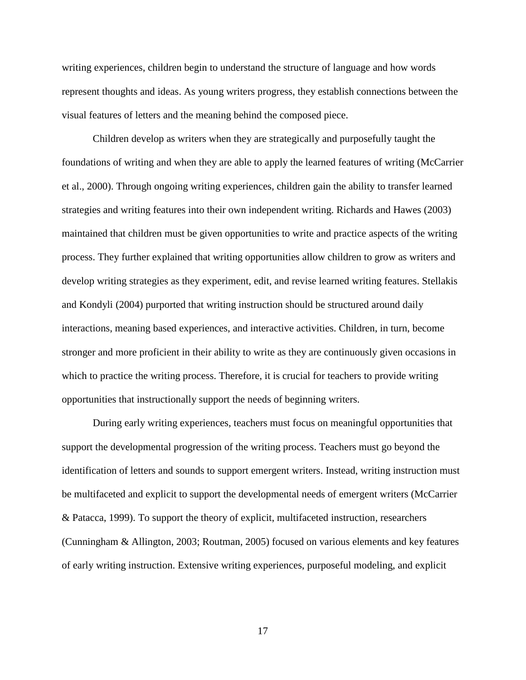writing experiences, children begin to understand the structure of language and how words represent thoughts and ideas. As young writers progress, they establish connections between the visual features of letters and the meaning behind the composed piece.

 Children develop as writers when they are strategically and purposefully taught the foundations of writing and when they are able to apply the learned features of writing (McCarrier et al., 2000). Through ongoing writing experiences, children gain the ability to transfer learned strategies and writing features into their own independent writing. Richards and Hawes (2003) maintained that children must be given opportunities to write and practice aspects of the writing process. They further explained that writing opportunities allow children to grow as writers and develop writing strategies as they experiment, edit, and revise learned writing features. Stellakis and Kondyli (2004) purported that writing instruction should be structured around daily interactions, meaning based experiences, and interactive activities. Children, in turn, become stronger and more proficient in their ability to write as they are continuously given occasions in which to practice the writing process. Therefore, it is crucial for teachers to provide writing opportunities that instructionally support the needs of beginning writers.

 During early writing experiences, teachers must focus on meaningful opportunities that support the developmental progression of the writing process. Teachers must go beyond the identification of letters and sounds to support emergent writers. Instead, writing instruction must be multifaceted and explicit to support the developmental needs of emergent writers (McCarrier & Patacca, 1999). To support the theory of explicit, multifaceted instruction, researchers (Cunningham & Allington, 2003; Routman, 2005) focused on various elements and key features of early writing instruction. Extensive writing experiences, purposeful modeling, and explicit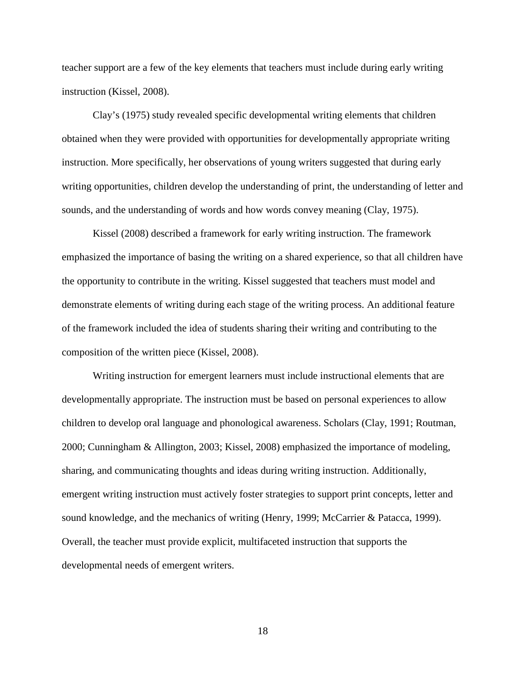teacher support are a few of the key elements that teachers must include during early writing instruction (Kissel, 2008).

Clay's (1975) study revealed specific developmental writing elements that children obtained when they were provided with opportunities for developmentally appropriate writing instruction. More specifically, her observations of young writers suggested that during early writing opportunities, children develop the understanding of print, the understanding of letter and sounds, and the understanding of words and how words convey meaning (Clay, 1975).

 Kissel (2008) described a framework for early writing instruction. The framework emphasized the importance of basing the writing on a shared experience, so that all children have the opportunity to contribute in the writing. Kissel suggested that teachers must model and demonstrate elements of writing during each stage of the writing process. An additional feature of the framework included the idea of students sharing their writing and contributing to the composition of the written piece (Kissel, 2008).

Writing instruction for emergent learners must include instructional elements that are developmentally appropriate. The instruction must be based on personal experiences to allow children to develop oral language and phonological awareness. Scholars (Clay, 1991; Routman, 2000; Cunningham & Allington, 2003; Kissel, 2008) emphasized the importance of modeling, sharing, and communicating thoughts and ideas during writing instruction. Additionally, emergent writing instruction must actively foster strategies to support print concepts, letter and sound knowledge, and the mechanics of writing (Henry, 1999; McCarrier & Patacca, 1999). Overall, the teacher must provide explicit, multifaceted instruction that supports the developmental needs of emergent writers.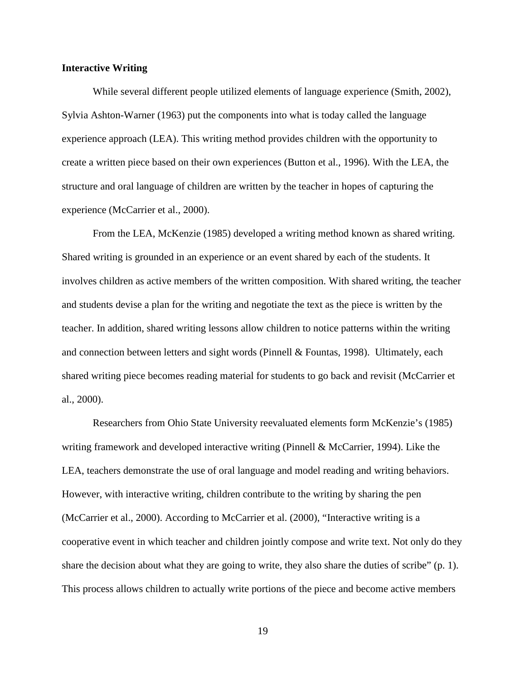#### **Interactive Writing**

While several different people utilized elements of language experience (Smith, 2002), Sylvia Ashton-Warner (1963) put the components into what is today called the language experience approach (LEA). This writing method provides children with the opportunity to create a written piece based on their own experiences (Button et al., 1996). With the LEA, the structure and oral language of children are written by the teacher in hopes of capturing the experience (McCarrier et al., 2000).

From the LEA, McKenzie (1985) developed a writing method known as shared writing. Shared writing is grounded in an experience or an event shared by each of the students. It involves children as active members of the written composition. With shared writing, the teacher and students devise a plan for the writing and negotiate the text as the piece is written by the teacher. In addition, shared writing lessons allow children to notice patterns within the writing and connection between letters and sight words (Pinnell & Fountas, 1998). Ultimately, each shared writing piece becomes reading material for students to go back and revisit (McCarrier et al., 2000).

Researchers from Ohio State University reevaluated elements form McKenzie's (1985) writing framework and developed interactive writing (Pinnell & McCarrier, 1994). Like the LEA, teachers demonstrate the use of oral language and model reading and writing behaviors. However, with interactive writing, children contribute to the writing by sharing the pen (McCarrier et al., 2000). According to McCarrier et al. (2000), "Interactive writing is a cooperative event in which teacher and children jointly compose and write text. Not only do they share the decision about what they are going to write, they also share the duties of scribe" (p. 1). This process allows children to actually write portions of the piece and become active members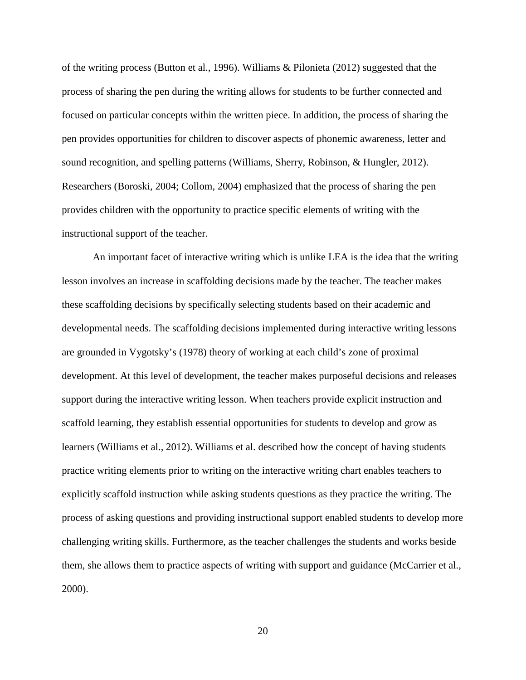of the writing process (Button et al., 1996). Williams & Pilonieta (2012) suggested that the process of sharing the pen during the writing allows for students to be further connected and focused on particular concepts within the written piece. In addition, the process of sharing the pen provides opportunities for children to discover aspects of phonemic awareness, letter and sound recognition, and spelling patterns (Williams, Sherry, Robinson, & Hungler, 2012). Researchers (Boroski, 2004; Collom, 2004) emphasized that the process of sharing the pen provides children with the opportunity to practice specific elements of writing with the instructional support of the teacher.

An important facet of interactive writing which is unlike LEA is the idea that the writing lesson involves an increase in scaffolding decisions made by the teacher. The teacher makes these scaffolding decisions by specifically selecting students based on their academic and developmental needs. The scaffolding decisions implemented during interactive writing lessons are grounded in Vygotsky's (1978) theory of working at each child's zone of proximal development. At this level of development, the teacher makes purposeful decisions and releases support during the interactive writing lesson. When teachers provide explicit instruction and scaffold learning, they establish essential opportunities for students to develop and grow as learners (Williams et al., 2012). Williams et al. described how the concept of having students practice writing elements prior to writing on the interactive writing chart enables teachers to explicitly scaffold instruction while asking students questions as they practice the writing. The process of asking questions and providing instructional support enabled students to develop more challenging writing skills. Furthermore, as the teacher challenges the students and works beside them, she allows them to practice aspects of writing with support and guidance (McCarrier et al., 2000).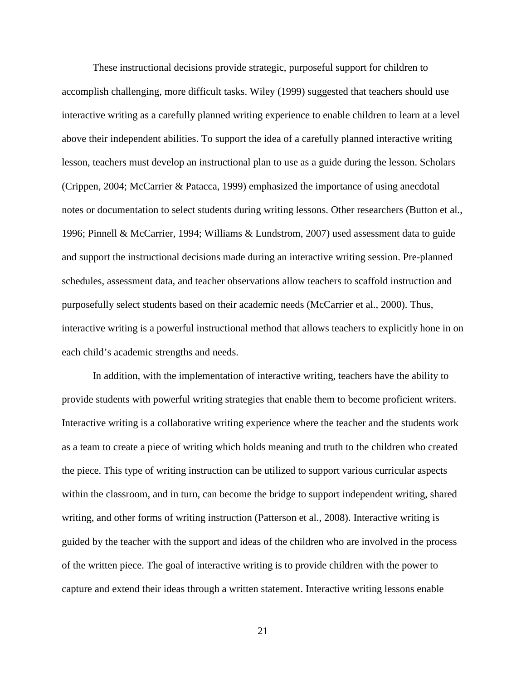These instructional decisions provide strategic, purposeful support for children to accomplish challenging, more difficult tasks. Wiley (1999) suggested that teachers should use interactive writing as a carefully planned writing experience to enable children to learn at a level above their independent abilities. To support the idea of a carefully planned interactive writing lesson, teachers must develop an instructional plan to use as a guide during the lesson. Scholars (Crippen, 2004; McCarrier & Patacca, 1999) emphasized the importance of using anecdotal notes or documentation to select students during writing lessons. Other researchers (Button et al., 1996; Pinnell & McCarrier, 1994; Williams & Lundstrom, 2007) used assessment data to guide and support the instructional decisions made during an interactive writing session. Pre-planned schedules, assessment data, and teacher observations allow teachers to scaffold instruction and purposefully select students based on their academic needs (McCarrier et al., 2000). Thus, interactive writing is a powerful instructional method that allows teachers to explicitly hone in on each child's academic strengths and needs.

In addition, with the implementation of interactive writing, teachers have the ability to provide students with powerful writing strategies that enable them to become proficient writers. Interactive writing is a collaborative writing experience where the teacher and the students work as a team to create a piece of writing which holds meaning and truth to the children who created the piece. This type of writing instruction can be utilized to support various curricular aspects within the classroom, and in turn, can become the bridge to support independent writing, shared writing, and other forms of writing instruction (Patterson et al., 2008). Interactive writing is guided by the teacher with the support and ideas of the children who are involved in the process of the written piece. The goal of interactive writing is to provide children with the power to capture and extend their ideas through a written statement. Interactive writing lessons enable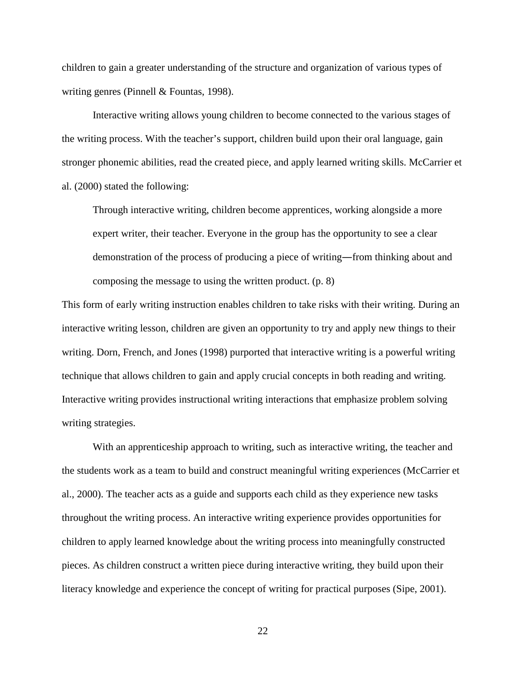children to gain a greater understanding of the structure and organization of various types of writing genres (Pinnell & Fountas, 1998).

Interactive writing allows young children to become connected to the various stages of the writing process. With the teacher's support, children build upon their oral language, gain stronger phonemic abilities, read the created piece, and apply learned writing skills. McCarrier et al. (2000) stated the following:

Through interactive writing, children become apprentices, working alongside a more expert writer, their teacher. Everyone in the group has the opportunity to see a clear demonstration of the process of producing a piece of writing―from thinking about and composing the message to using the written product. (p. 8)

This form of early writing instruction enables children to take risks with their writing. During an interactive writing lesson, children are given an opportunity to try and apply new things to their writing. Dorn, French, and Jones (1998) purported that interactive writing is a powerful writing technique that allows children to gain and apply crucial concepts in both reading and writing. Interactive writing provides instructional writing interactions that emphasize problem solving writing strategies.

With an apprenticeship approach to writing, such as interactive writing, the teacher and the students work as a team to build and construct meaningful writing experiences (McCarrier et al., 2000). The teacher acts as a guide and supports each child as they experience new tasks throughout the writing process. An interactive writing experience provides opportunities for children to apply learned knowledge about the writing process into meaningfully constructed pieces. As children construct a written piece during interactive writing, they build upon their literacy knowledge and experience the concept of writing for practical purposes (Sipe, 2001).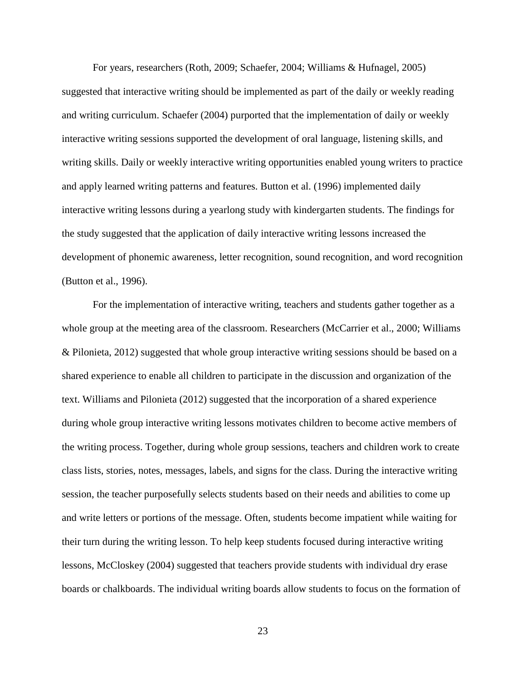For years, researchers (Roth, 2009; Schaefer, 2004; Williams & Hufnagel, 2005) suggested that interactive writing should be implemented as part of the daily or weekly reading and writing curriculum. Schaefer (2004) purported that the implementation of daily or weekly interactive writing sessions supported the development of oral language, listening skills, and writing skills. Daily or weekly interactive writing opportunities enabled young writers to practice and apply learned writing patterns and features. Button et al. (1996) implemented daily interactive writing lessons during a yearlong study with kindergarten students. The findings for the study suggested that the application of daily interactive writing lessons increased the development of phonemic awareness, letter recognition, sound recognition, and word recognition (Button et al., 1996).

For the implementation of interactive writing, teachers and students gather together as a whole group at the meeting area of the classroom. Researchers (McCarrier et al., 2000; Williams & Pilonieta, 2012) suggested that whole group interactive writing sessions should be based on a shared experience to enable all children to participate in the discussion and organization of the text. Williams and Pilonieta (2012) suggested that the incorporation of a shared experience during whole group interactive writing lessons motivates children to become active members of the writing process. Together, during whole group sessions, teachers and children work to create class lists, stories, notes, messages, labels, and signs for the class. During the interactive writing session, the teacher purposefully selects students based on their needs and abilities to come up and write letters or portions of the message. Often, students become impatient while waiting for their turn during the writing lesson. To help keep students focused during interactive writing lessons, McCloskey (2004) suggested that teachers provide students with individual dry erase boards or chalkboards. The individual writing boards allow students to focus on the formation of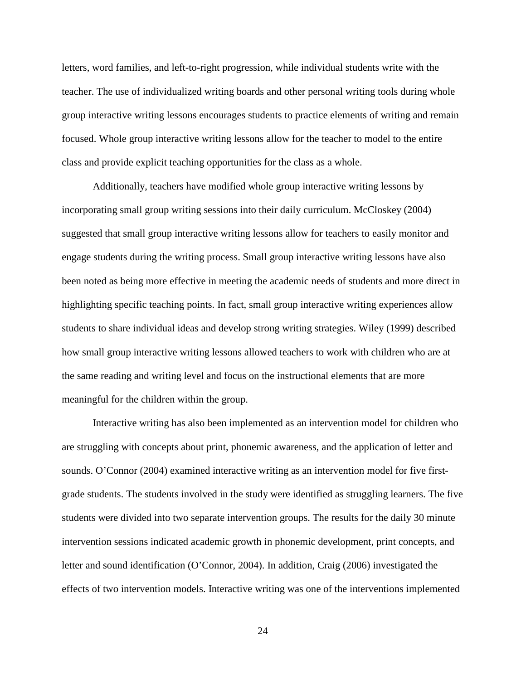letters, word families, and left-to-right progression, while individual students write with the teacher. The use of individualized writing boards and other personal writing tools during whole group interactive writing lessons encourages students to practice elements of writing and remain focused. Whole group interactive writing lessons allow for the teacher to model to the entire class and provide explicit teaching opportunities for the class as a whole.

Additionally, teachers have modified whole group interactive writing lessons by incorporating small group writing sessions into their daily curriculum. McCloskey (2004) suggested that small group interactive writing lessons allow for teachers to easily monitor and engage students during the writing process. Small group interactive writing lessons have also been noted as being more effective in meeting the academic needs of students and more direct in highlighting specific teaching points. In fact, small group interactive writing experiences allow students to share individual ideas and develop strong writing strategies. Wiley (1999) described how small group interactive writing lessons allowed teachers to work with children who are at the same reading and writing level and focus on the instructional elements that are more meaningful for the children within the group.

Interactive writing has also been implemented as an intervention model for children who are struggling with concepts about print, phonemic awareness, and the application of letter and sounds. O'Connor (2004) examined interactive writing as an intervention model for five firstgrade students. The students involved in the study were identified as struggling learners. The five students were divided into two separate intervention groups. The results for the daily 30 minute intervention sessions indicated academic growth in phonemic development, print concepts, and letter and sound identification (O'Connor, 2004). In addition, Craig (2006) investigated the effects of two intervention models. Interactive writing was one of the interventions implemented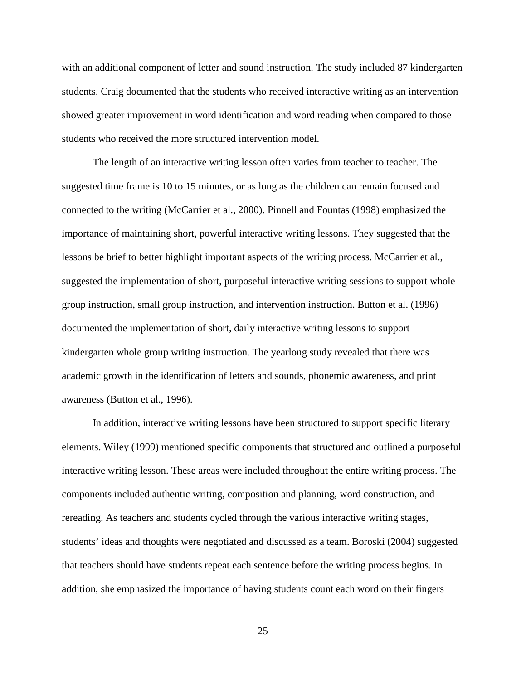with an additional component of letter and sound instruction. The study included 87 kindergarten students. Craig documented that the students who received interactive writing as an intervention showed greater improvement in word identification and word reading when compared to those students who received the more structured intervention model.

The length of an interactive writing lesson often varies from teacher to teacher. The suggested time frame is 10 to 15 minutes, or as long as the children can remain focused and connected to the writing (McCarrier et al., 2000). Pinnell and Fountas (1998) emphasized the importance of maintaining short, powerful interactive writing lessons. They suggested that the lessons be brief to better highlight important aspects of the writing process. McCarrier et al., suggested the implementation of short, purposeful interactive writing sessions to support whole group instruction, small group instruction, and intervention instruction. Button et al. (1996) documented the implementation of short, daily interactive writing lessons to support kindergarten whole group writing instruction. The yearlong study revealed that there was academic growth in the identification of letters and sounds, phonemic awareness, and print awareness (Button et al., 1996).

In addition, interactive writing lessons have been structured to support specific literary elements. Wiley (1999) mentioned specific components that structured and outlined a purposeful interactive writing lesson. These areas were included throughout the entire writing process. The components included authentic writing, composition and planning, word construction, and rereading. As teachers and students cycled through the various interactive writing stages, students' ideas and thoughts were negotiated and discussed as a team. Boroski (2004) suggested that teachers should have students repeat each sentence before the writing process begins. In addition, she emphasized the importance of having students count each word on their fingers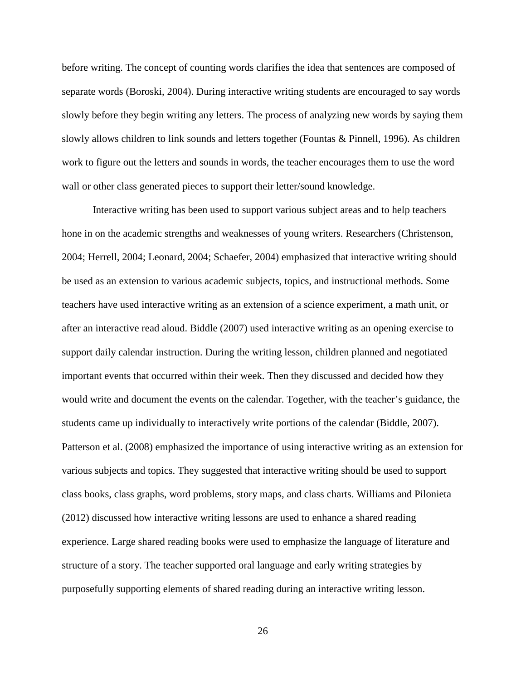before writing. The concept of counting words clarifies the idea that sentences are composed of separate words (Boroski, 2004). During interactive writing students are encouraged to say words slowly before they begin writing any letters. The process of analyzing new words by saying them slowly allows children to link sounds and letters together (Fountas & Pinnell, 1996). As children work to figure out the letters and sounds in words, the teacher encourages them to use the word wall or other class generated pieces to support their letter/sound knowledge.

Interactive writing has been used to support various subject areas and to help teachers hone in on the academic strengths and weaknesses of young writers. Researchers (Christenson, 2004; Herrell, 2004; Leonard, 2004; Schaefer, 2004) emphasized that interactive writing should be used as an extension to various academic subjects, topics, and instructional methods. Some teachers have used interactive writing as an extension of a science experiment, a math unit, or after an interactive read aloud. Biddle (2007) used interactive writing as an opening exercise to support daily calendar instruction. During the writing lesson, children planned and negotiated important events that occurred within their week. Then they discussed and decided how they would write and document the events on the calendar. Together, with the teacher's guidance, the students came up individually to interactively write portions of the calendar (Biddle, 2007). Patterson et al. (2008) emphasized the importance of using interactive writing as an extension for various subjects and topics. They suggested that interactive writing should be used to support class books, class graphs, word problems, story maps, and class charts. Williams and Pilonieta (2012) discussed how interactive writing lessons are used to enhance a shared reading experience. Large shared reading books were used to emphasize the language of literature and structure of a story. The teacher supported oral language and early writing strategies by purposefully supporting elements of shared reading during an interactive writing lesson.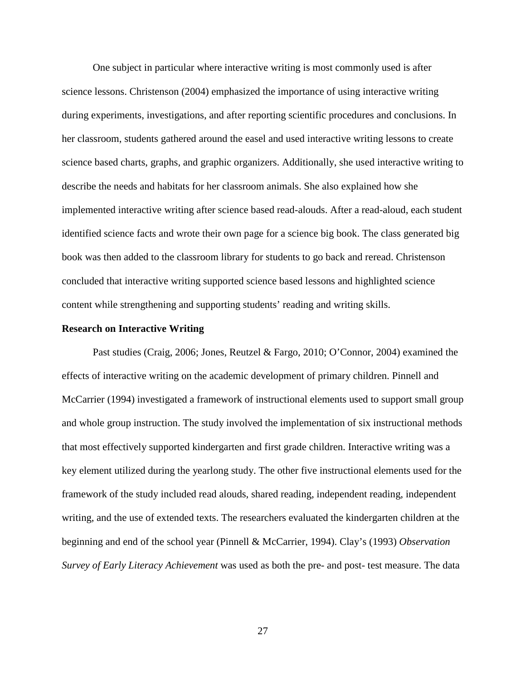One subject in particular where interactive writing is most commonly used is after science lessons. Christenson (2004) emphasized the importance of using interactive writing during experiments, investigations, and after reporting scientific procedures and conclusions. In her classroom, students gathered around the easel and used interactive writing lessons to create science based charts, graphs, and graphic organizers. Additionally, she used interactive writing to describe the needs and habitats for her classroom animals. She also explained how she implemented interactive writing after science based read-alouds. After a read-aloud, each student identified science facts and wrote their own page for a science big book. The class generated big book was then added to the classroom library for students to go back and reread. Christenson concluded that interactive writing supported science based lessons and highlighted science content while strengthening and supporting students' reading and writing skills.

#### **Research on Interactive Writing**

Past studies (Craig, 2006; Jones, Reutzel & Fargo, 2010; O'Connor, 2004) examined the effects of interactive writing on the academic development of primary children. Pinnell and McCarrier (1994) investigated a framework of instructional elements used to support small group and whole group instruction. The study involved the implementation of six instructional methods that most effectively supported kindergarten and first grade children. Interactive writing was a key element utilized during the yearlong study. The other five instructional elements used for the framework of the study included read alouds, shared reading, independent reading, independent writing, and the use of extended texts. The researchers evaluated the kindergarten children at the beginning and end of the school year (Pinnell & McCarrier, 1994). Clay's (1993) *Observation Survey of Early Literacy Achievement* was used as both the pre- and post- test measure. The data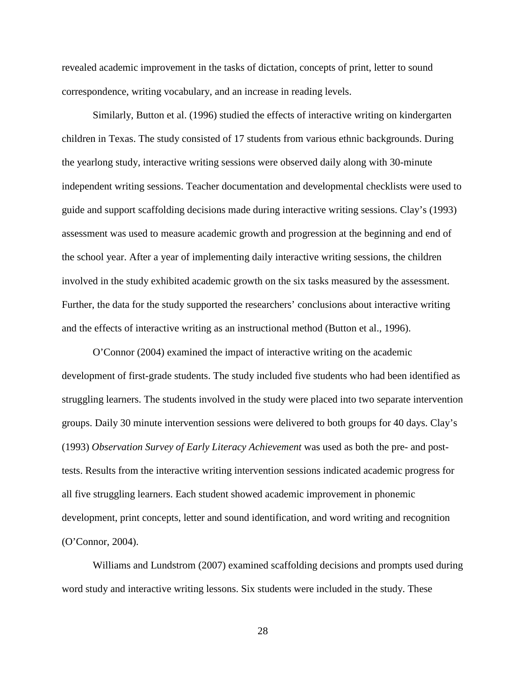revealed academic improvement in the tasks of dictation, concepts of print, letter to sound correspondence, writing vocabulary, and an increase in reading levels.

Similarly, Button et al. (1996) studied the effects of interactive writing on kindergarten children in Texas. The study consisted of 17 students from various ethnic backgrounds. During the yearlong study, interactive writing sessions were observed daily along with 30-minute independent writing sessions. Teacher documentation and developmental checklists were used to guide and support scaffolding decisions made during interactive writing sessions. Clay's (1993) assessment was used to measure academic growth and progression at the beginning and end of the school year. After a year of implementing daily interactive writing sessions, the children involved in the study exhibited academic growth on the six tasks measured by the assessment. Further, the data for the study supported the researchers' conclusions about interactive writing and the effects of interactive writing as an instructional method (Button et al., 1996).

O'Connor (2004) examined the impact of interactive writing on the academic development of first-grade students. The study included five students who had been identified as struggling learners. The students involved in the study were placed into two separate intervention groups. Daily 30 minute intervention sessions were delivered to both groups for 40 days. Clay's (1993) *Observation Survey of Early Literacy Achievement* was used as both the pre- and posttests. Results from the interactive writing intervention sessions indicated academic progress for all five struggling learners. Each student showed academic improvement in phonemic development, print concepts, letter and sound identification, and word writing and recognition (O'Connor, 2004).

 Williams and Lundstrom (2007) examined scaffolding decisions and prompts used during word study and interactive writing lessons. Six students were included in the study. These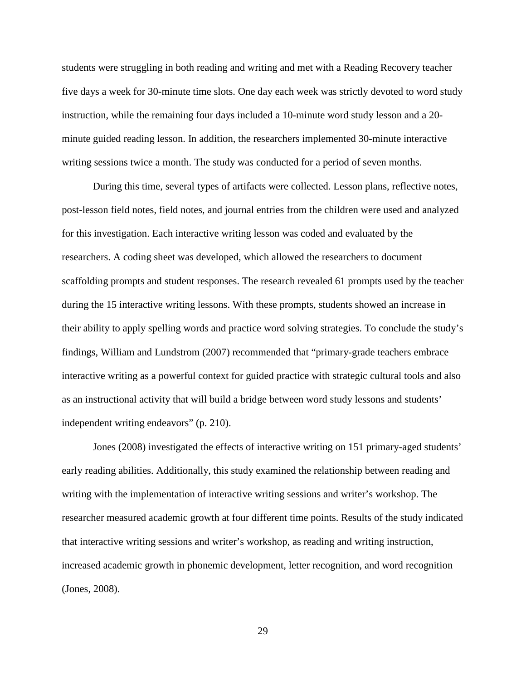students were struggling in both reading and writing and met with a Reading Recovery teacher five days a week for 30-minute time slots. One day each week was strictly devoted to word study instruction, while the remaining four days included a 10-minute word study lesson and a 20 minute guided reading lesson. In addition, the researchers implemented 30-minute interactive writing sessions twice a month. The study was conducted for a period of seven months.

During this time, several types of artifacts were collected. Lesson plans, reflective notes, post-lesson field notes, field notes, and journal entries from the children were used and analyzed for this investigation. Each interactive writing lesson was coded and evaluated by the researchers. A coding sheet was developed, which allowed the researchers to document scaffolding prompts and student responses. The research revealed 61 prompts used by the teacher during the 15 interactive writing lessons. With these prompts, students showed an increase in their ability to apply spelling words and practice word solving strategies. To conclude the study's findings, William and Lundstrom (2007) recommended that "primary-grade teachers embrace interactive writing as a powerful context for guided practice with strategic cultural tools and also as an instructional activity that will build a bridge between word study lessons and students' independent writing endeavors" (p. 210).

Jones (2008) investigated the effects of interactive writing on 151 primary-aged students' early reading abilities. Additionally, this study examined the relationship between reading and writing with the implementation of interactive writing sessions and writer's workshop. The researcher measured academic growth at four different time points. Results of the study indicated that interactive writing sessions and writer's workshop, as reading and writing instruction, increased academic growth in phonemic development, letter recognition, and word recognition (Jones, 2008).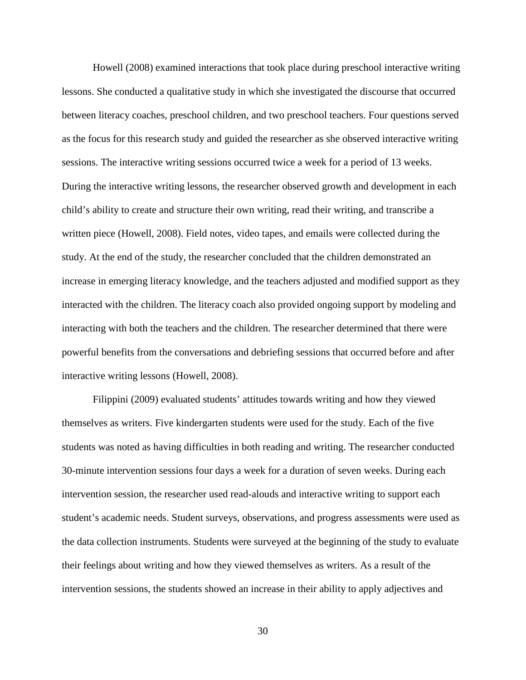Howell (2008) examined interactions that took place during preschool interactive writing lessons. She conducted a qualitative study in which she investigated the discourse that occurred between literacy coaches, preschool children, and two preschool teachers. Four questions served as the focus for this research study and guided the researcher as she observed interactive writing sessions. The interactive writing sessions occurred twice a week for a period of 13 weeks. During the interactive writing lessons, the researcher observed growth and development in each child's ability to create and structure their own writing, read their writing, and transcribe a written piece (Howell, 2008). Field notes, video tapes, and emails were collected during the study. At the end of the study, the researcher concluded that the children demonstrated an increase in emerging literacy knowledge, and the teachers adjusted and modified support as they interacted with the children. The literacy coach also provided ongoing support by modeling and interacting with both the teachers and the children. The researcher determined that there were powerful benefits from the conversations and debriefing sessions that occurred before and after interactive writing lessons (Howell, 2008).

Filippini (2009) evaluated students' attitudes towards writing and how they viewed themselves as writers. Five kindergarten students were used for the study. Each of the five students was noted as having difficulties in both reading and writing. The researcher conducted 30-minute intervention sessions four days a week for a duration of seven weeks. During each intervention session, the researcher used read-alouds and interactive writing to support each student's academic needs. Student surveys, observations, and progress assessments were used as the data collection instruments. Students were surveyed at the beginning of the study to evaluate their feelings about writing and how they viewed themselves as writers. As a result of the intervention sessions, the students showed an increase in their ability to apply adjectives and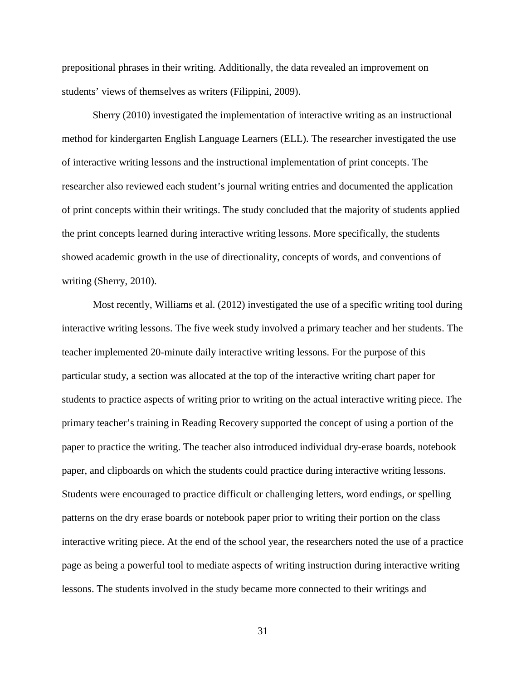prepositional phrases in their writing. Additionally, the data revealed an improvement on students' views of themselves as writers (Filippini, 2009).

Sherry (2010) investigated the implementation of interactive writing as an instructional method for kindergarten English Language Learners (ELL). The researcher investigated the use of interactive writing lessons and the instructional implementation of print concepts. The researcher also reviewed each student's journal writing entries and documented the application of print concepts within their writings. The study concluded that the majority of students applied the print concepts learned during interactive writing lessons. More specifically, the students showed academic growth in the use of directionality, concepts of words, and conventions of writing (Sherry, 2010).

Most recently, Williams et al. (2012) investigated the use of a specific writing tool during interactive writing lessons. The five week study involved a primary teacher and her students. The teacher implemented 20-minute daily interactive writing lessons. For the purpose of this particular study, a section was allocated at the top of the interactive writing chart paper for students to practice aspects of writing prior to writing on the actual interactive writing piece. The primary teacher's training in Reading Recovery supported the concept of using a portion of the paper to practice the writing. The teacher also introduced individual dry-erase boards, notebook paper, and clipboards on which the students could practice during interactive writing lessons. Students were encouraged to practice difficult or challenging letters, word endings, or spelling patterns on the dry erase boards or notebook paper prior to writing their portion on the class interactive writing piece. At the end of the school year, the researchers noted the use of a practice page as being a powerful tool to mediate aspects of writing instruction during interactive writing lessons. The students involved in the study became more connected to their writings and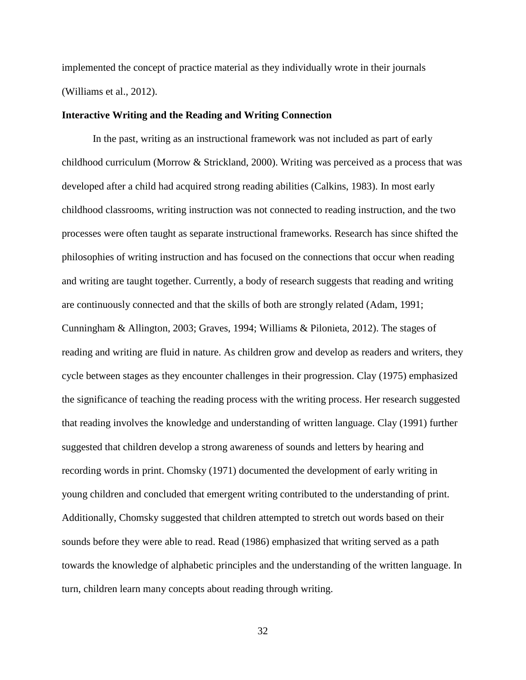implemented the concept of practice material as they individually wrote in their journals (Williams et al., 2012).

#### **Interactive Writing and the Reading and Writing Connection**

 In the past, writing as an instructional framework was not included as part of early childhood curriculum (Morrow & Strickland, 2000). Writing was perceived as a process that was developed after a child had acquired strong reading abilities (Calkins, 1983). In most early childhood classrooms, writing instruction was not connected to reading instruction, and the two processes were often taught as separate instructional frameworks. Research has since shifted the philosophies of writing instruction and has focused on the connections that occur when reading and writing are taught together. Currently, a body of research suggests that reading and writing are continuously connected and that the skills of both are strongly related (Adam, 1991; Cunningham & Allington, 2003; Graves, 1994; Williams & Pilonieta, 2012). The stages of reading and writing are fluid in nature. As children grow and develop as readers and writers, they cycle between stages as they encounter challenges in their progression. Clay (1975) emphasized the significance of teaching the reading process with the writing process. Her research suggested that reading involves the knowledge and understanding of written language. Clay (1991) further suggested that children develop a strong awareness of sounds and letters by hearing and recording words in print. Chomsky (1971) documented the development of early writing in young children and concluded that emergent writing contributed to the understanding of print. Additionally, Chomsky suggested that children attempted to stretch out words based on their sounds before they were able to read. Read (1986) emphasized that writing served as a path towards the knowledge of alphabetic principles and the understanding of the written language. In turn, children learn many concepts about reading through writing.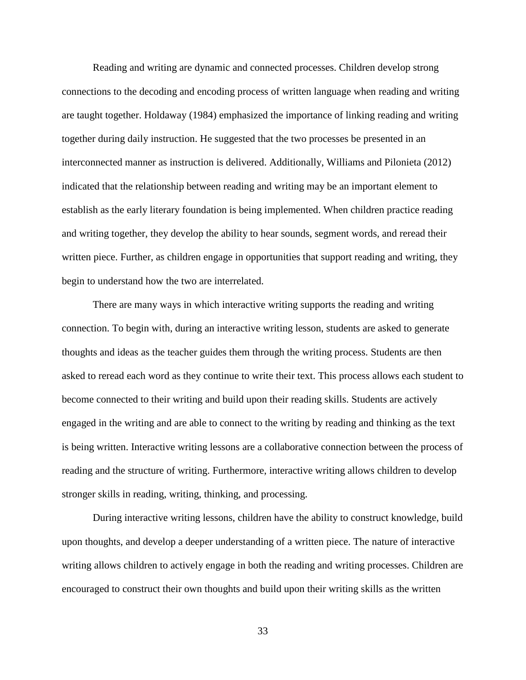Reading and writing are dynamic and connected processes. Children develop strong connections to the decoding and encoding process of written language when reading and writing are taught together. Holdaway (1984) emphasized the importance of linking reading and writing together during daily instruction. He suggested that the two processes be presented in an interconnected manner as instruction is delivered. Additionally, Williams and Pilonieta (2012) indicated that the relationship between reading and writing may be an important element to establish as the early literary foundation is being implemented. When children practice reading and writing together, they develop the ability to hear sounds, segment words, and reread their written piece. Further, as children engage in opportunities that support reading and writing, they begin to understand how the two are interrelated.

 There are many ways in which interactive writing supports the reading and writing connection. To begin with, during an interactive writing lesson, students are asked to generate thoughts and ideas as the teacher guides them through the writing process. Students are then asked to reread each word as they continue to write their text. This process allows each student to become connected to their writing and build upon their reading skills. Students are actively engaged in the writing and are able to connect to the writing by reading and thinking as the text is being written. Interactive writing lessons are a collaborative connection between the process of reading and the structure of writing. Furthermore, interactive writing allows children to develop stronger skills in reading, writing, thinking, and processing.

During interactive writing lessons, children have the ability to construct knowledge, build upon thoughts, and develop a deeper understanding of a written piece. The nature of interactive writing allows children to actively engage in both the reading and writing processes. Children are encouraged to construct their own thoughts and build upon their writing skills as the written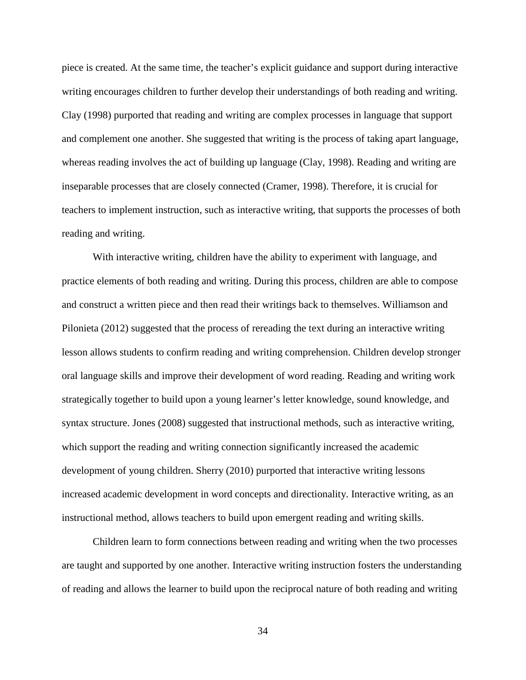piece is created. At the same time, the teacher's explicit guidance and support during interactive writing encourages children to further develop their understandings of both reading and writing. Clay (1998) purported that reading and writing are complex processes in language that support and complement one another. She suggested that writing is the process of taking apart language, whereas reading involves the act of building up language (Clay, 1998). Reading and writing are inseparable processes that are closely connected (Cramer, 1998). Therefore, it is crucial for teachers to implement instruction, such as interactive writing, that supports the processes of both reading and writing.

With interactive writing, children have the ability to experiment with language, and practice elements of both reading and writing. During this process, children are able to compose and construct a written piece and then read their writings back to themselves. Williamson and Pilonieta (2012) suggested that the process of rereading the text during an interactive writing lesson allows students to confirm reading and writing comprehension. Children develop stronger oral language skills and improve their development of word reading. Reading and writing work strategically together to build upon a young learner's letter knowledge, sound knowledge, and syntax structure. Jones (2008) suggested that instructional methods, such as interactive writing, which support the reading and writing connection significantly increased the academic development of young children. Sherry (2010) purported that interactive writing lessons increased academic development in word concepts and directionality. Interactive writing, as an instructional method, allows teachers to build upon emergent reading and writing skills.

Children learn to form connections between reading and writing when the two processes are taught and supported by one another. Interactive writing instruction fosters the understanding of reading and allows the learner to build upon the reciprocal nature of both reading and writing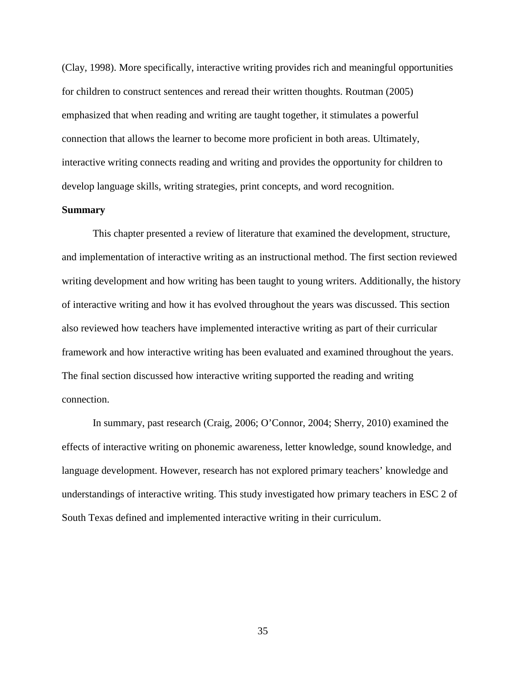(Clay, 1998). More specifically, interactive writing provides rich and meaningful opportunities for children to construct sentences and reread their written thoughts. Routman (2005) emphasized that when reading and writing are taught together, it stimulates a powerful connection that allows the learner to become more proficient in both areas. Ultimately, interactive writing connects reading and writing and provides the opportunity for children to develop language skills, writing strategies, print concepts, and word recognition.

#### **Summary**

 This chapter presented a review of literature that examined the development, structure, and implementation of interactive writing as an instructional method. The first section reviewed writing development and how writing has been taught to young writers. Additionally, the history of interactive writing and how it has evolved throughout the years was discussed. This section also reviewed how teachers have implemented interactive writing as part of their curricular framework and how interactive writing has been evaluated and examined throughout the years. The final section discussed how interactive writing supported the reading and writing connection.

 In summary, past research (Craig, 2006; O'Connor, 2004; Sherry, 2010) examined the effects of interactive writing on phonemic awareness, letter knowledge, sound knowledge, and language development. However, research has not explored primary teachers' knowledge and understandings of interactive writing. This study investigated how primary teachers in ESC 2 of South Texas defined and implemented interactive writing in their curriculum.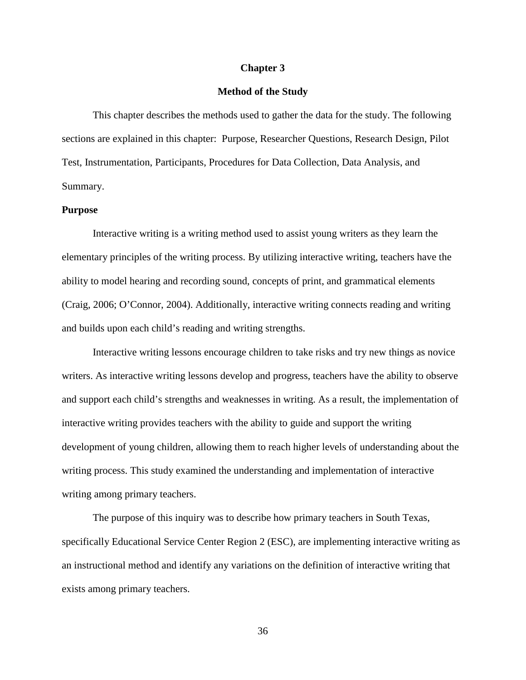#### **Chapter 3**

#### **Method of the Study**

 This chapter describes the methods used to gather the data for the study. The following sections are explained in this chapter: Purpose, Researcher Questions, Research Design, Pilot Test, Instrumentation, Participants, Procedures for Data Collection, Data Analysis, and Summary.

#### **Purpose**

Interactive writing is a writing method used to assist young writers as they learn the elementary principles of the writing process. By utilizing interactive writing, teachers have the ability to model hearing and recording sound, concepts of print, and grammatical elements (Craig, 2006; O'Connor, 2004). Additionally, interactive writing connects reading and writing and builds upon each child's reading and writing strengths.

Interactive writing lessons encourage children to take risks and try new things as novice writers. As interactive writing lessons develop and progress, teachers have the ability to observe and support each child's strengths and weaknesses in writing. As a result, the implementation of interactive writing provides teachers with the ability to guide and support the writing development of young children, allowing them to reach higher levels of understanding about the writing process. This study examined the understanding and implementation of interactive writing among primary teachers.

The purpose of this inquiry was to describe how primary teachers in South Texas, specifically Educational Service Center Region 2 (ESC), are implementing interactive writing as an instructional method and identify any variations on the definition of interactive writing that exists among primary teachers.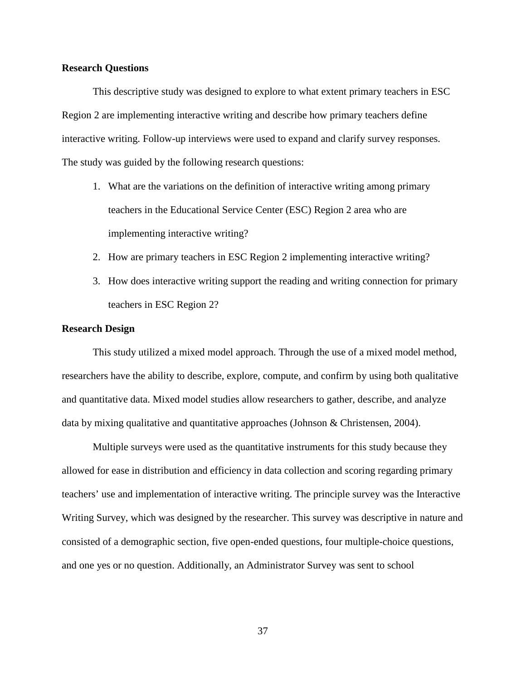#### **Research Questions**

This descriptive study was designed to explore to what extent primary teachers in ESC Region 2 are implementing interactive writing and describe how primary teachers define interactive writing. Follow-up interviews were used to expand and clarify survey responses. The study was guided by the following research questions:

- 1. What are the variations on the definition of interactive writing among primary teachers in the Educational Service Center (ESC) Region 2 area who are implementing interactive writing?
- 2. How are primary teachers in ESC Region 2 implementing interactive writing?
- 3. How does interactive writing support the reading and writing connection for primary teachers in ESC Region 2?

#### **Research Design**

 This study utilized a mixed model approach. Through the use of a mixed model method, researchers have the ability to describe, explore, compute, and confirm by using both qualitative and quantitative data. Mixed model studies allow researchers to gather, describe, and analyze data by mixing qualitative and quantitative approaches (Johnson & Christensen, 2004).

 Multiple surveys were used as the quantitative instruments for this study because they allowed for ease in distribution and efficiency in data collection and scoring regarding primary teachers' use and implementation of interactive writing. The principle survey was the Interactive Writing Survey, which was designed by the researcher. This survey was descriptive in nature and consisted of a demographic section, five open-ended questions, four multiple-choice questions, and one yes or no question. Additionally, an Administrator Survey was sent to school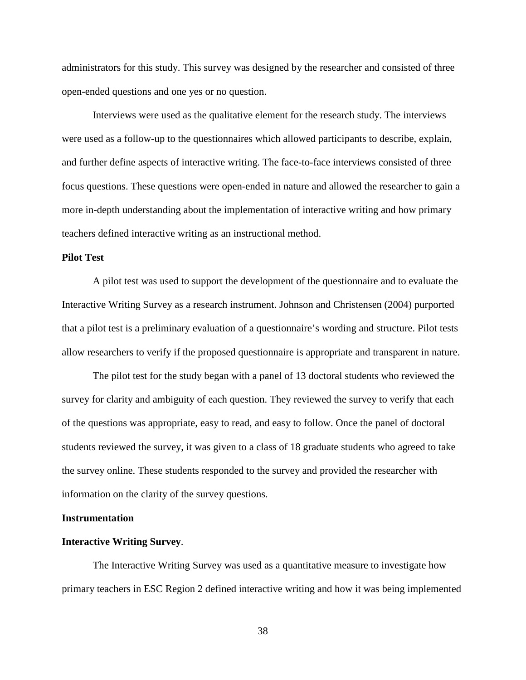administrators for this study. This survey was designed by the researcher and consisted of three open-ended questions and one yes or no question.

Interviews were used as the qualitative element for the research study. The interviews were used as a follow-up to the questionnaires which allowed participants to describe, explain, and further define aspects of interactive writing. The face-to-face interviews consisted of three focus questions. These questions were open-ended in nature and allowed the researcher to gain a more in-depth understanding about the implementation of interactive writing and how primary teachers defined interactive writing as an instructional method.

#### **Pilot Test**

A pilot test was used to support the development of the questionnaire and to evaluate the Interactive Writing Survey as a research instrument. Johnson and Christensen (2004) purported that a pilot test is a preliminary evaluation of a questionnaire's wording and structure. Pilot tests allow researchers to verify if the proposed questionnaire is appropriate and transparent in nature.

The pilot test for the study began with a panel of 13 doctoral students who reviewed the survey for clarity and ambiguity of each question. They reviewed the survey to verify that each of the questions was appropriate, easy to read, and easy to follow. Once the panel of doctoral students reviewed the survey, it was given to a class of 18 graduate students who agreed to take the survey online. These students responded to the survey and provided the researcher with information on the clarity of the survey questions.

#### **Instrumentation**

#### **Interactive Writing Survey**.

 The Interactive Writing Survey was used as a quantitative measure to investigate how primary teachers in ESC Region 2 defined interactive writing and how it was being implemented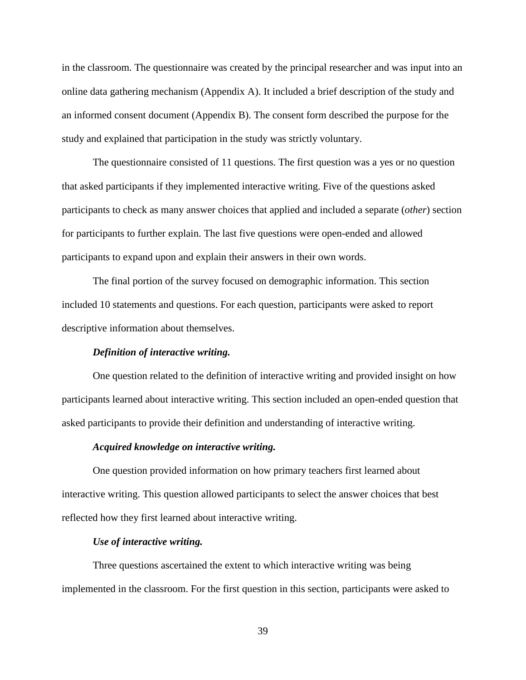in the classroom. The questionnaire was created by the principal researcher and was input into an online data gathering mechanism (Appendix A). It included a brief description of the study and an informed consent document (Appendix B). The consent form described the purpose for the study and explained that participation in the study was strictly voluntary.

The questionnaire consisted of 11 questions. The first question was a yes or no question that asked participants if they implemented interactive writing. Five of the questions asked participants to check as many answer choices that applied and included a separate (*other*) section for participants to further explain. The last five questions were open-ended and allowed participants to expand upon and explain their answers in their own words.

The final portion of the survey focused on demographic information. This section included 10 statements and questions. For each question, participants were asked to report descriptive information about themselves.

#### *Definition of interactive writing.*

One question related to the definition of interactive writing and provided insight on how participants learned about interactive writing. This section included an open-ended question that asked participants to provide their definition and understanding of interactive writing.

#### *Acquired knowledge on interactive writing.*

 One question provided information on how primary teachers first learned about interactive writing. This question allowed participants to select the answer choices that best reflected how they first learned about interactive writing.

#### *Use of interactive writing.*

Three questions ascertained the extent to which interactive writing was being implemented in the classroom. For the first question in this section, participants were asked to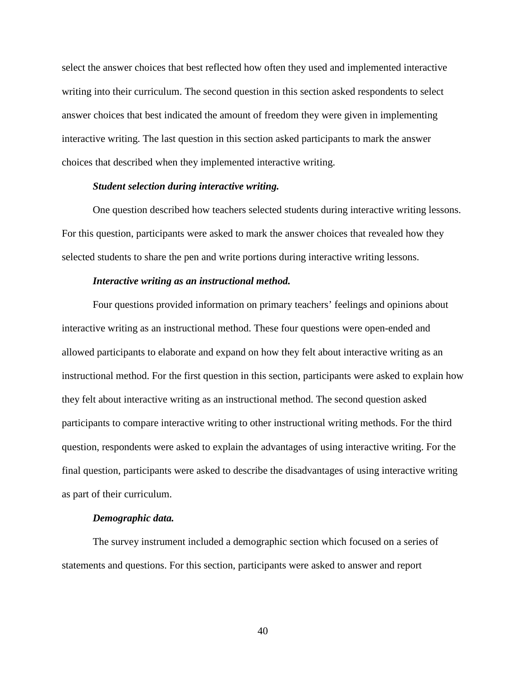select the answer choices that best reflected how often they used and implemented interactive writing into their curriculum. The second question in this section asked respondents to select answer choices that best indicated the amount of freedom they were given in implementing interactive writing. The last question in this section asked participants to mark the answer choices that described when they implemented interactive writing.

#### *Student selection during interactive writing.*

 One question described how teachers selected students during interactive writing lessons. For this question, participants were asked to mark the answer choices that revealed how they selected students to share the pen and write portions during interactive writing lessons.

#### *Interactive writing as an instructional method.*

 Four questions provided information on primary teachers' feelings and opinions about interactive writing as an instructional method. These four questions were open-ended and allowed participants to elaborate and expand on how they felt about interactive writing as an instructional method. For the first question in this section, participants were asked to explain how they felt about interactive writing as an instructional method. The second question asked participants to compare interactive writing to other instructional writing methods. For the third question, respondents were asked to explain the advantages of using interactive writing. For the final question, participants were asked to describe the disadvantages of using interactive writing as part of their curriculum.

#### *Demographic data.*

The survey instrument included a demographic section which focused on a series of statements and questions. For this section, participants were asked to answer and report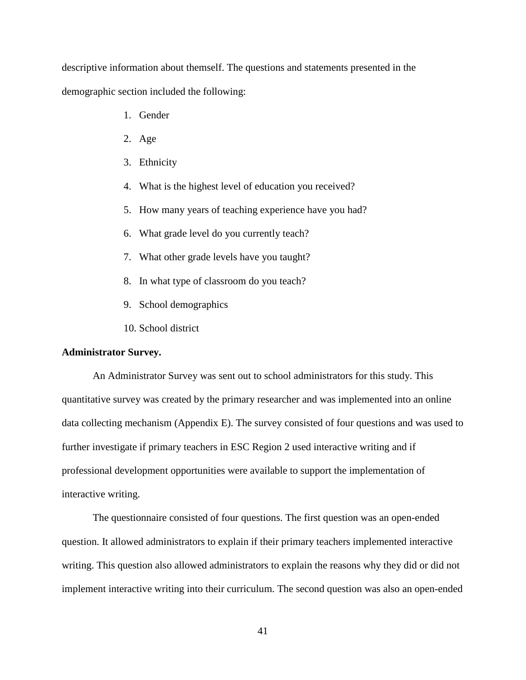descriptive information about themself. The questions and statements presented in the demographic section included the following:

- 1. Gender
- 2. Age
- 3. Ethnicity
- 4. What is the highest level of education you received?
- 5. How many years of teaching experience have you had?
- 6. What grade level do you currently teach?
- 7. What other grade levels have you taught?
- 8. In what type of classroom do you teach?
- 9. School demographics
- 10. School district

### **Administrator Survey.**

 An Administrator Survey was sent out to school administrators for this study. This quantitative survey was created by the primary researcher and was implemented into an online data collecting mechanism (Appendix E). The survey consisted of four questions and was used to further investigate if primary teachers in ESC Region 2 used interactive writing and if professional development opportunities were available to support the implementation of interactive writing.

 The questionnaire consisted of four questions. The first question was an open-ended question. It allowed administrators to explain if their primary teachers implemented interactive writing. This question also allowed administrators to explain the reasons why they did or did not implement interactive writing into their curriculum. The second question was also an open-ended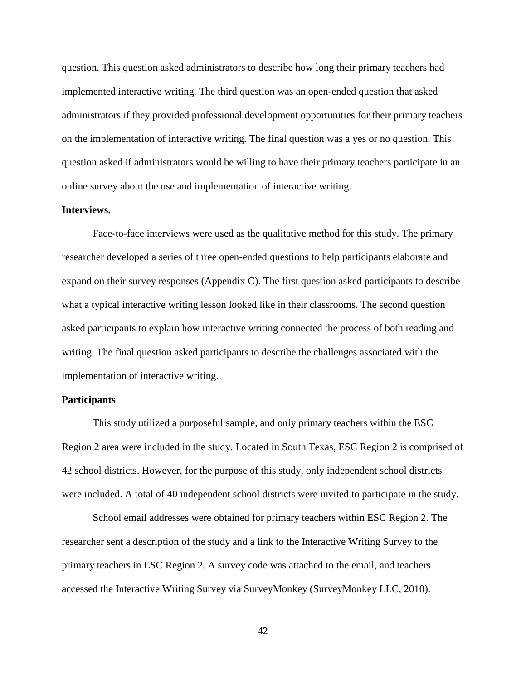question. This question asked administrators to describe how long their primary teachers had implemented interactive writing. The third question was an open-ended question that asked administrators if they provided professional development opportunities for their primary teachers on the implementation of interactive writing. The final question was a yes or no question. This question asked if administrators would be willing to have their primary teachers participate in an online survey about the use and implementation of interactive writing.

### **Interviews.**

 Face-to-face interviews were used as the qualitative method for this study. The primary researcher developed a series of three open-ended questions to help participants elaborate and expand on their survey responses (Appendix C). The first question asked participants to describe what a typical interactive writing lesson looked like in their classrooms. The second question asked participants to explain how interactive writing connected the process of both reading and writing. The final question asked participants to describe the challenges associated with the implementation of interactive writing.

#### **Participants**

This study utilized a purposeful sample, and only primary teachers within the ESC Region 2 area were included in the study. Located in South Texas, ESC Region 2 is comprised of 42 school districts. However, for the purpose of this study, only independent school districts were included. A total of 40 independent school districts were invited to participate in the study.

School email addresses were obtained for primary teachers within ESC Region 2. The researcher sent a description of the study and a link to the Interactive Writing Survey to the primary teachers in ESC Region 2. A survey code was attached to the email, and teachers accessed the Interactive Writing Survey via SurveyMonkey (SurveyMonkey LLC, 2010).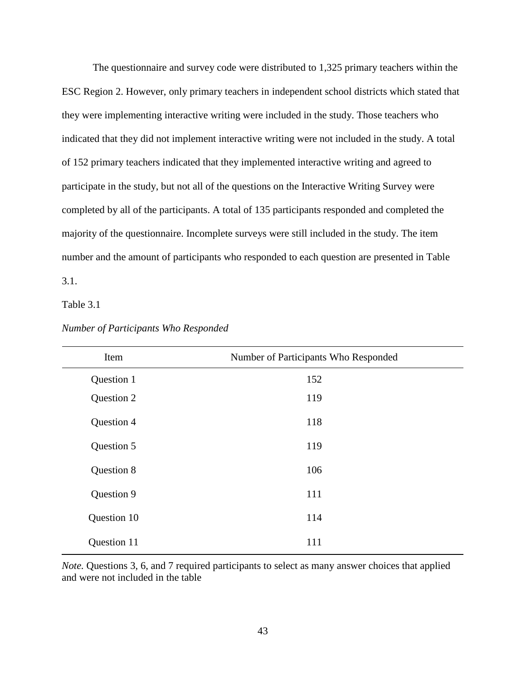The questionnaire and survey code were distributed to 1,325 primary teachers within the ESC Region 2. However, only primary teachers in independent school districts which stated that they were implementing interactive writing were included in the study. Those teachers who indicated that they did not implement interactive writing were not included in the study. A total of 152 primary teachers indicated that they implemented interactive writing and agreed to participate in the study, but not all of the questions on the Interactive Writing Survey were completed by all of the participants. A total of 135 participants responded and completed the majority of the questionnaire. Incomplete surveys were still included in the study. The item number and the amount of participants who responded to each question are presented in Table

3.1.

Table 3.1

| Item        | Number of Participants Who Responded |
|-------------|--------------------------------------|
| Question 1  | 152                                  |
| Question 2  | 119                                  |
| Question 4  | 118                                  |
| Question 5  | 119                                  |
| Question 8  | 106                                  |
| Question 9  | 111                                  |
| Question 10 | 114                                  |
| Question 11 | 111                                  |

*Number of Participants Who Responded* 

*Note.* Questions 3, 6, and 7 required participants to select as many answer choices that applied and were not included in the table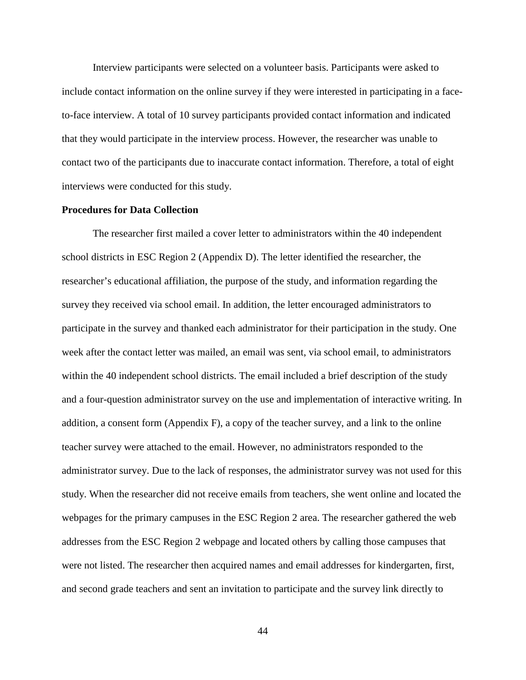Interview participants were selected on a volunteer basis. Participants were asked to include contact information on the online survey if they were interested in participating in a faceto-face interview. A total of 10 survey participants provided contact information and indicated that they would participate in the interview process. However, the researcher was unable to contact two of the participants due to inaccurate contact information. Therefore, a total of eight interviews were conducted for this study.

#### **Procedures for Data Collection**

The researcher first mailed a cover letter to administrators within the 40 independent school districts in ESC Region 2 (Appendix D). The letter identified the researcher, the researcher's educational affiliation, the purpose of the study, and information regarding the survey they received via school email. In addition, the letter encouraged administrators to participate in the survey and thanked each administrator for their participation in the study. One week after the contact letter was mailed, an email was sent, via school email, to administrators within the 40 independent school districts. The email included a brief description of the study and a four-question administrator survey on the use and implementation of interactive writing. In addition, a consent form (Appendix F), a copy of the teacher survey, and a link to the online teacher survey were attached to the email. However, no administrators responded to the administrator survey. Due to the lack of responses, the administrator survey was not used for this study. When the researcher did not receive emails from teachers, she went online and located the webpages for the primary campuses in the ESC Region 2 area. The researcher gathered the web addresses from the ESC Region 2 webpage and located others by calling those campuses that were not listed. The researcher then acquired names and email addresses for kindergarten, first, and second grade teachers and sent an invitation to participate and the survey link directly to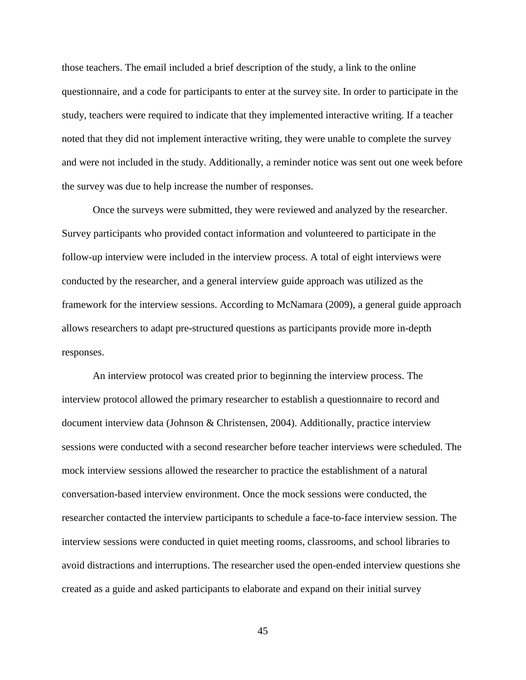those teachers. The email included a brief description of the study, a link to the online questionnaire, and a code for participants to enter at the survey site. In order to participate in the study, teachers were required to indicate that they implemented interactive writing. If a teacher noted that they did not implement interactive writing, they were unable to complete the survey and were not included in the study. Additionally, a reminder notice was sent out one week before the survey was due to help increase the number of responses.

Once the surveys were submitted, they were reviewed and analyzed by the researcher. Survey participants who provided contact information and volunteered to participate in the follow-up interview were included in the interview process. A total of eight interviews were conducted by the researcher, and a general interview guide approach was utilized as the framework for the interview sessions. According to McNamara (2009), a general guide approach allows researchers to adapt pre-structured questions as participants provide more in-depth responses.

An interview protocol was created prior to beginning the interview process. The interview protocol allowed the primary researcher to establish a questionnaire to record and document interview data (Johnson & Christensen, 2004). Additionally, practice interview sessions were conducted with a second researcher before teacher interviews were scheduled. The mock interview sessions allowed the researcher to practice the establishment of a natural conversation-based interview environment. Once the mock sessions were conducted, the researcher contacted the interview participants to schedule a face-to-face interview session. The interview sessions were conducted in quiet meeting rooms, classrooms, and school libraries to avoid distractions and interruptions. The researcher used the open-ended interview questions she created as a guide and asked participants to elaborate and expand on their initial survey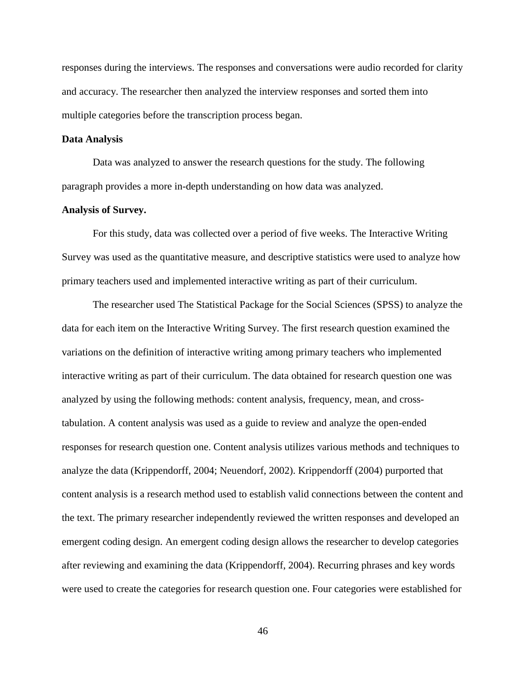responses during the interviews. The responses and conversations were audio recorded for clarity and accuracy. The researcher then analyzed the interview responses and sorted them into multiple categories before the transcription process began.

#### **Data Analysis**

Data was analyzed to answer the research questions for the study. The following paragraph provides a more in-depth understanding on how data was analyzed.

#### **Analysis of Survey.**

For this study, data was collected over a period of five weeks. The Interactive Writing Survey was used as the quantitative measure, and descriptive statistics were used to analyze how primary teachers used and implemented interactive writing as part of their curriculum.

The researcher used The Statistical Package for the Social Sciences (SPSS) to analyze the data for each item on the Interactive Writing Survey. The first research question examined the variations on the definition of interactive writing among primary teachers who implemented interactive writing as part of their curriculum. The data obtained for research question one was analyzed by using the following methods: content analysis, frequency, mean, and crosstabulation. A content analysis was used as a guide to review and analyze the open-ended responses for research question one. Content analysis utilizes various methods and techniques to analyze the data (Krippendorff, 2004; Neuendorf, 2002). Krippendorff (2004) purported that content analysis is a research method used to establish valid connections between the content and the text. The primary researcher independently reviewed the written responses and developed an emergent coding design. An emergent coding design allows the researcher to develop categories after reviewing and examining the data (Krippendorff, 2004). Recurring phrases and key words were used to create the categories for research question one. Four categories were established for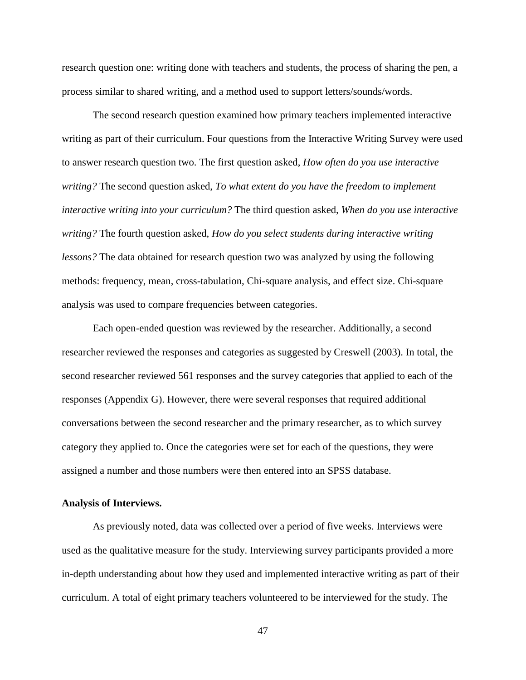research question one: writing done with teachers and students, the process of sharing the pen, a process similar to shared writing, and a method used to support letters/sounds/words.

The second research question examined how primary teachers implemented interactive writing as part of their curriculum. Four questions from the Interactive Writing Survey were used to answer research question two. The first question asked, *How often do you use interactive writing?* The second question asked, *To what extent do you have the freedom to implement interactive writing into your curriculum?* The third question asked, *When do you use interactive writing?* The fourth question asked, *How do you select students during interactive writing lessons?* The data obtained for research question two was analyzed by using the following methods: frequency, mean, cross-tabulation, Chi-square analysis, and effect size. Chi-square analysis was used to compare frequencies between categories.

Each open-ended question was reviewed by the researcher. Additionally, a second researcher reviewed the responses and categories as suggested by Creswell (2003). In total, the second researcher reviewed 561 responses and the survey categories that applied to each of the responses (Appendix G). However, there were several responses that required additional conversations between the second researcher and the primary researcher, as to which survey category they applied to. Once the categories were set for each of the questions, they were assigned a number and those numbers were then entered into an SPSS database.

#### **Analysis of Interviews.**

As previously noted, data was collected over a period of five weeks. Interviews were used as the qualitative measure for the study. Interviewing survey participants provided a more in-depth understanding about how they used and implemented interactive writing as part of their curriculum. A total of eight primary teachers volunteered to be interviewed for the study. The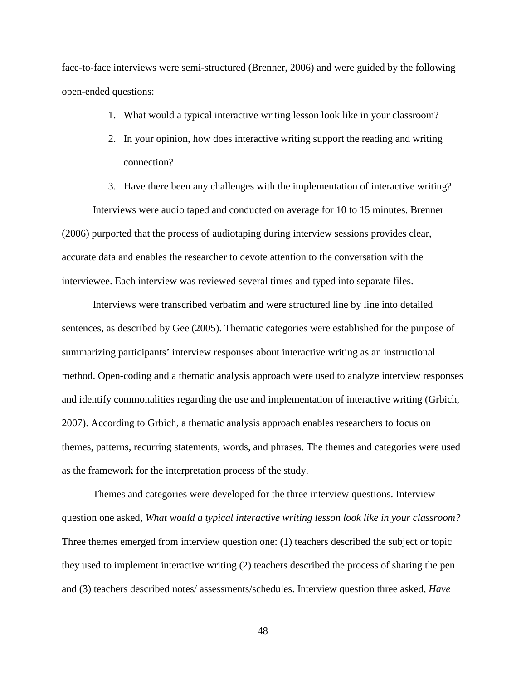face-to-face interviews were semi-structured (Brenner, 2006) and were guided by the following open-ended questions:

- 1. What would a typical interactive writing lesson look like in your classroom?
- 2. In your opinion, how does interactive writing support the reading and writing connection?
- 3. Have there been any challenges with the implementation of interactive writing?

Interviews were audio taped and conducted on average for 10 to 15 minutes. Brenner (2006) purported that the process of audiotaping during interview sessions provides clear, accurate data and enables the researcher to devote attention to the conversation with the interviewee. Each interview was reviewed several times and typed into separate files.

Interviews were transcribed verbatim and were structured line by line into detailed sentences, as described by Gee (2005). Thematic categories were established for the purpose of summarizing participants' interview responses about interactive writing as an instructional method. Open-coding and a thematic analysis approach were used to analyze interview responses and identify commonalities regarding the use and implementation of interactive writing (Grbich, 2007). According to Grbich, a thematic analysis approach enables researchers to focus on themes, patterns, recurring statements, words, and phrases. The themes and categories were used as the framework for the interpretation process of the study.

Themes and categories were developed for the three interview questions. Interview question one asked, *What would a typical interactive writing lesson look like in your classroom?* Three themes emerged from interview question one: (1) teachers described the subject or topic they used to implement interactive writing (2) teachers described the process of sharing the pen and (3) teachers described notes/ assessments/schedules. Interview question three asked, *Have*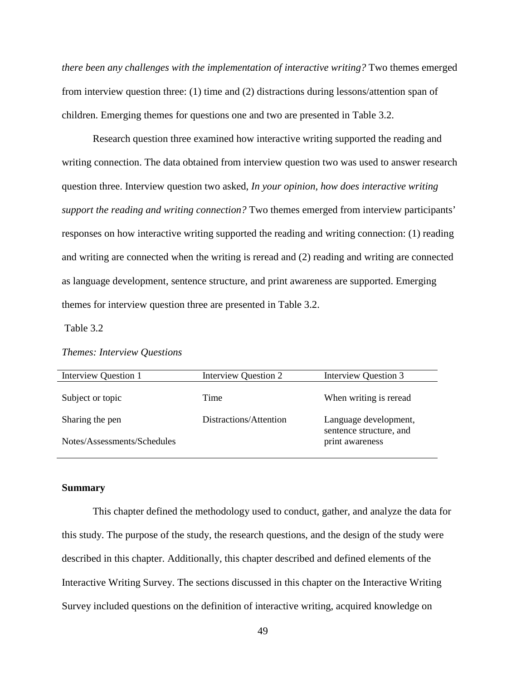*there been any challenges with the implementation of interactive writing?* Two themes emerged from interview question three: (1) time and (2) distractions during lessons/attention span of children. Emerging themes for questions one and two are presented in Table 3.2.

Research question three examined how interactive writing supported the reading and writing connection. The data obtained from interview question two was used to answer research question three. Interview question two asked, *In your opinion, how does interactive writing support the reading and writing connection?* Two themes emerged from interview participants' responses on how interactive writing supported the reading and writing connection: (1) reading and writing are connected when the writing is reread and (2) reading and writing are connected as language development, sentence structure, and print awareness are supported. Emerging themes for interview question three are presented in Table 3.2.

Table 3.2

## *Themes: Interview Questions*

| Interview Question 1        | Interview Question 2   | Interview Question 3                             |
|-----------------------------|------------------------|--------------------------------------------------|
| Subject or topic            | Time                   | When writing is reread                           |
| Sharing the pen             | Distractions/Attention | Language development,<br>sentence structure, and |
| Notes/Assessments/Schedules |                        | print awareness                                  |

#### **Summary**

This chapter defined the methodology used to conduct, gather, and analyze the data for this study. The purpose of the study, the research questions, and the design of the study were described in this chapter. Additionally, this chapter described and defined elements of the Interactive Writing Survey. The sections discussed in this chapter on the Interactive Writing Survey included questions on the definition of interactive writing, acquired knowledge on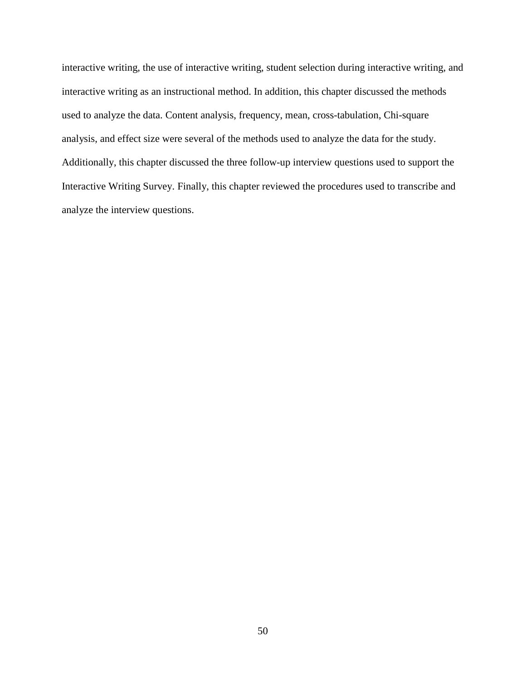interactive writing, the use of interactive writing, student selection during interactive writing, and interactive writing as an instructional method. In addition, this chapter discussed the methods used to analyze the data. Content analysis, frequency, mean, cross-tabulation, Chi-square analysis, and effect size were several of the methods used to analyze the data for the study. Additionally, this chapter discussed the three follow-up interview questions used to support the Interactive Writing Survey. Finally, this chapter reviewed the procedures used to transcribe and analyze the interview questions.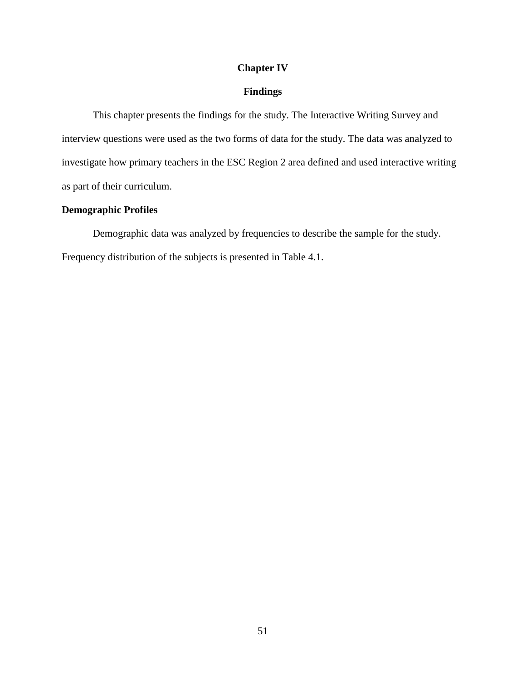## **Chapter IV**

## **Findings**

 This chapter presents the findings for the study. The Interactive Writing Survey and interview questions were used as the two forms of data for the study. The data was analyzed to investigate how primary teachers in the ESC Region 2 area defined and used interactive writing as part of their curriculum.

## **Demographic Profiles**

Demographic data was analyzed by frequencies to describe the sample for the study. Frequency distribution of the subjects is presented in Table 4.1.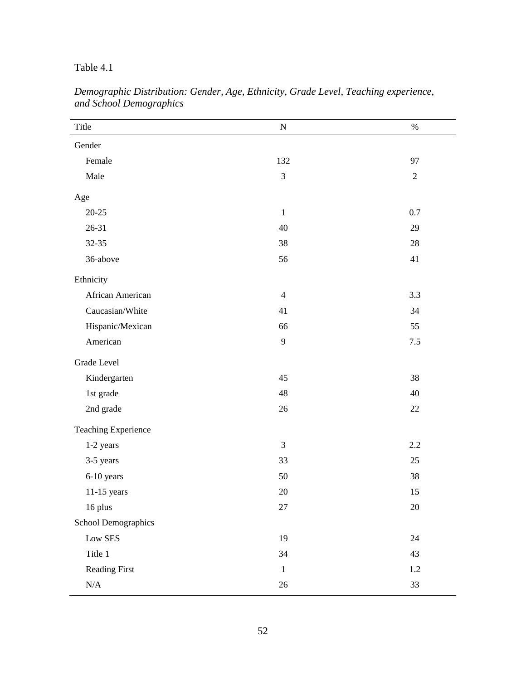## Table 4.1

| Title                      | ${\bf N}$      | $\%$       |
|----------------------------|----------------|------------|
| Gender                     |                |            |
| Female                     | 132            | 97         |
| Male                       | 3              | $\sqrt{2}$ |
| Age                        |                |            |
| $20 - 25$                  | $\mathbf{1}$   | 0.7        |
| 26-31                      | 40             | 29         |
| 32-35                      | 38             | 28         |
| 36-above                   | 56             | 41         |
| Ethnicity                  |                |            |
| African American           | $\overline{4}$ | 3.3        |
| Caucasian/White            | 41             | 34         |
| Hispanic/Mexican           | 66             | 55         |
| American                   | 9              | 7.5        |
| Grade Level                |                |            |
| Kindergarten               | 45             | 38         |
| 1st grade                  | 48             | 40         |
| 2nd grade                  | 26             | $22\,$     |
| <b>Teaching Experience</b> |                |            |
| 1-2 years                  | 3              | 2.2        |
| 3-5 years                  | 33             | 25         |
| 6-10 years                 | 50             | 38         |
| 11-15 years                | 20             | 15         |
| 16 plus                    | $27\,$         | $20\,$     |
| School Demographics        |                |            |
| ${\rm Low}$ ${\rm SES}$    | 19             | 24         |
| Title 1                    | 34             | 43         |
| Reading First              | $1\,$          | 1.2        |
| $\rm N/A$                  | $26\,$         | 33         |

*Demographic Distribution: Gender, Age, Ethnicity, Grade Level, Teaching experience, and School Demographics*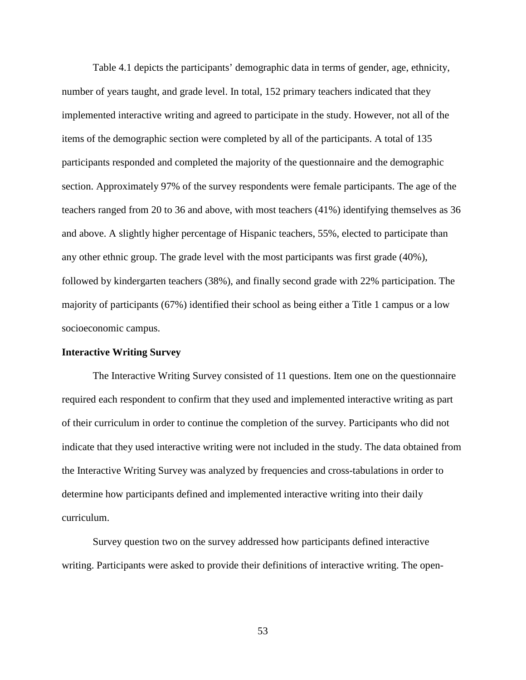Table 4.1 depicts the participants' demographic data in terms of gender, age, ethnicity, number of years taught, and grade level. In total, 152 primary teachers indicated that they implemented interactive writing and agreed to participate in the study. However, not all of the items of the demographic section were completed by all of the participants. A total of 135 participants responded and completed the majority of the questionnaire and the demographic section. Approximately 97% of the survey respondents were female participants. The age of the teachers ranged from 20 to 36 and above, with most teachers (41%) identifying themselves as 36 and above. A slightly higher percentage of Hispanic teachers, 55%, elected to participate than any other ethnic group. The grade level with the most participants was first grade (40%), followed by kindergarten teachers (38%), and finally second grade with 22% participation. The majority of participants (67%) identified their school as being either a Title 1 campus or a low socioeconomic campus.

#### **Interactive Writing Survey**

 The Interactive Writing Survey consisted of 11 questions. Item one on the questionnaire required each respondent to confirm that they used and implemented interactive writing as part of their curriculum in order to continue the completion of the survey. Participants who did not indicate that they used interactive writing were not included in the study. The data obtained from the Interactive Writing Survey was analyzed by frequencies and cross-tabulations in order to determine how participants defined and implemented interactive writing into their daily curriculum.

Survey question two on the survey addressed how participants defined interactive writing. Participants were asked to provide their definitions of interactive writing. The open-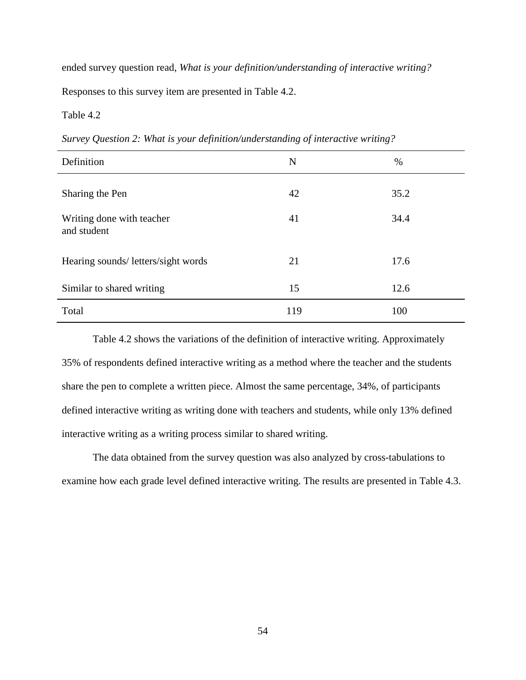ended survey question read, *What is your definition/understanding of interactive writing?* Responses to this survey item are presented in Table 4.2.

### Table 4.2

*Survey Question 2: What is your definition/understanding of interactive writing?*

| Definition                               | N   | %    |
|------------------------------------------|-----|------|
| Sharing the Pen                          | 42  | 35.2 |
| Writing done with teacher<br>and student | 41  | 34.4 |
| Hearing sounds/ letters/sight words      | 21  | 17.6 |
| Similar to shared writing                | 15  | 12.6 |
| Total                                    | 119 | 100  |

Table 4.2 shows the variations of the definition of interactive writing. Approximately 35% of respondents defined interactive writing as a method where the teacher and the students share the pen to complete a written piece. Almost the same percentage, 34%, of participants defined interactive writing as writing done with teachers and students, while only 13% defined interactive writing as a writing process similar to shared writing.

 The data obtained from the survey question was also analyzed by cross-tabulations to examine how each grade level defined interactive writing. The results are presented in Table 4.3.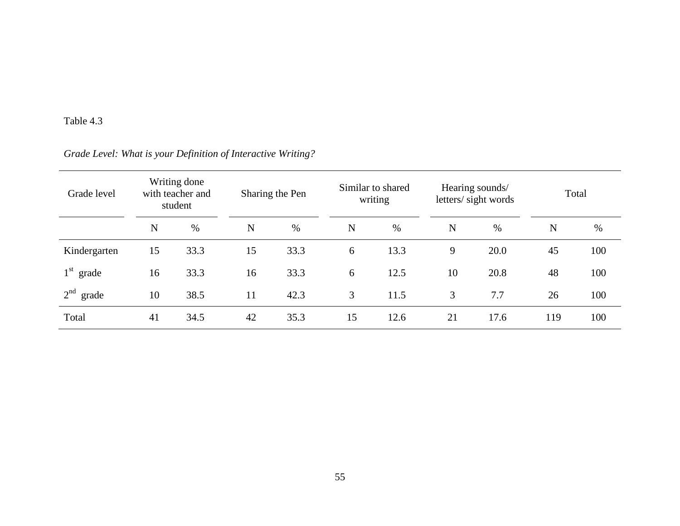## Table 4.3

# *Grade Level: What is your Definition of Interactive Writing?*

| Grade level              |    | Writing done<br>with teacher and<br>student |    | Sharing the Pen | Similar to shared<br>writing |      |             | Hearing sounds/<br>letters/sight words | Total       |     |
|--------------------------|----|---------------------------------------------|----|-----------------|------------------------------|------|-------------|----------------------------------------|-------------|-----|
|                          | N  | $\%$                                        | N  | %               | N                            | $\%$ | $\mathbf N$ | %                                      | $\mathbf N$ | %   |
| Kindergarten             | 15 | 33.3                                        | 15 | 33.3            | 6                            | 13.3 | 9           | 20.0                                   | 45          | 100 |
| $1st$ grade              | 16 | 33.3                                        | 16 | 33.3            | 6                            | 12.5 | 10          | 20.8                                   | 48          | 100 |
| 2 <sup>nd</sup><br>grade | 10 | 38.5                                        | 11 | 42.3            | 3                            | 11.5 | 3           | 7.7                                    | 26          | 100 |
| Total                    | 41 | 34.5                                        | 42 | 35.3            | 15                           | 12.6 | 21          | 17.6                                   | 119         | 100 |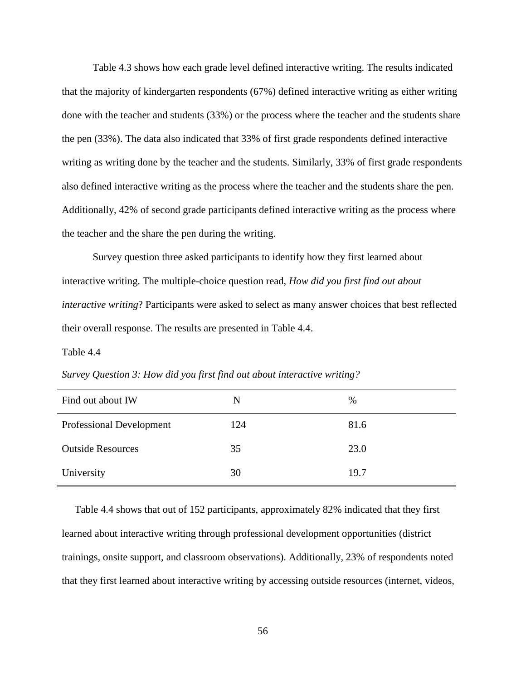Table 4.3 shows how each grade level defined interactive writing. The results indicated that the majority of kindergarten respondents (67%) defined interactive writing as either writing done with the teacher and students (33%) or the process where the teacher and the students share the pen (33%). The data also indicated that 33% of first grade respondents defined interactive writing as writing done by the teacher and the students. Similarly, 33% of first grade respondents also defined interactive writing as the process where the teacher and the students share the pen. Additionally, 42% of second grade participants defined interactive writing as the process where the teacher and the share the pen during the writing.

Survey question three asked participants to identify how they first learned about interactive writing. The multiple-choice question read, *How did you first find out about interactive writing*? Participants were asked to select as many answer choices that best reflected their overall response. The results are presented in Table 4.4.

Table 4.4

*Survey Question 3: How did you first find out about interactive writing?*

| Find out about IW               | N   | %    |
|---------------------------------|-----|------|
| <b>Professional Development</b> | 124 | 81.6 |
| <b>Outside Resources</b>        | 35  | 23.0 |
| University                      | 30  | 19.7 |

 Table 4.4 shows that out of 152 participants, approximately 82% indicated that they first learned about interactive writing through professional development opportunities (district trainings, onsite support, and classroom observations). Additionally, 23% of respondents noted that they first learned about interactive writing by accessing outside resources (internet, videos,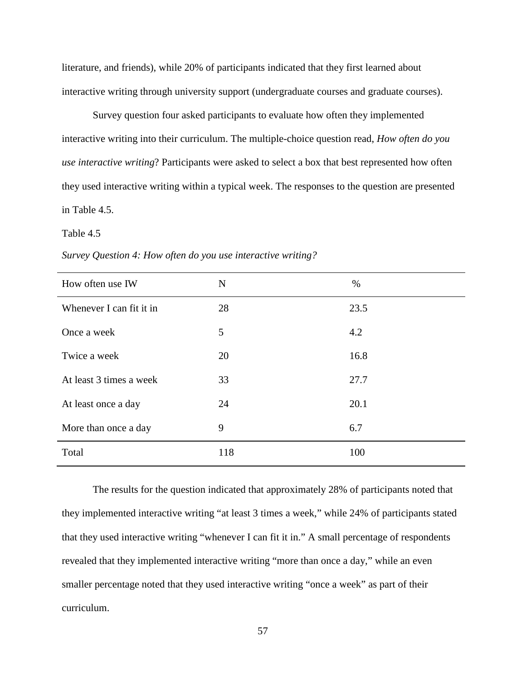literature, and friends), while 20% of participants indicated that they first learned about interactive writing through university support (undergraduate courses and graduate courses).

Survey question four asked participants to evaluate how often they implemented interactive writing into their curriculum. The multiple-choice question read, *How often do you use interactive writing*? Participants were asked to select a box that best represented how often they used interactive writing within a typical week. The responses to the question are presented in Table 4.5.

#### Table 4.5

| How often use IW         | N   | $\%$ |
|--------------------------|-----|------|
| Whenever I can fit it in | 28  | 23.5 |
| Once a week              | 5   | 4.2  |
| Twice a week             | 20  | 16.8 |
| At least 3 times a week  | 33  | 27.7 |
| At least once a day      | 24  | 20.1 |
| More than once a day     | 9   | 6.7  |
| Total                    | 118 | 100  |

*Survey Question 4: How often do you use interactive writing?* 

 The results for the question indicated that approximately 28% of participants noted that they implemented interactive writing "at least 3 times a week," while 24% of participants stated that they used interactive writing "whenever I can fit it in." A small percentage of respondents revealed that they implemented interactive writing "more than once a day," while an even smaller percentage noted that they used interactive writing "once a week" as part of their curriculum.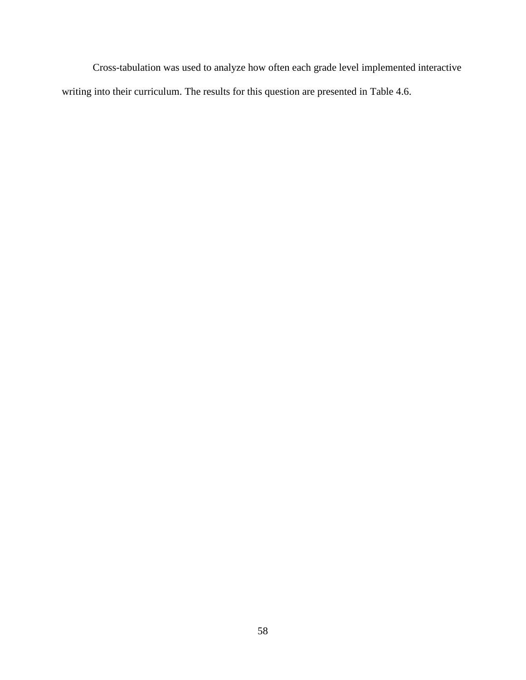Cross-tabulation was used to analyze how often each grade level implemented interactive writing into their curriculum. The results for this question are presented in Table 4.6.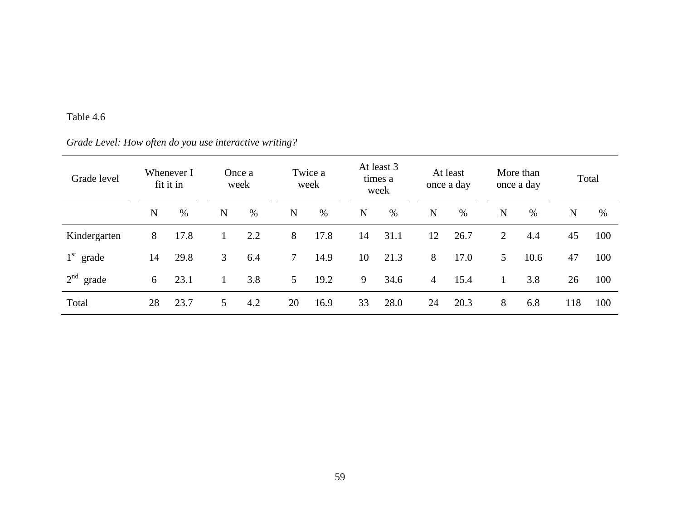## Table 4.6

# *Grade Level: How often do you use interactive writing?*

| Grade level  |             | Whenever I<br>fit it in |   | Once a<br>week |                | Twice a<br>week |    | At least 3<br>times a<br>week |                | At least<br>once a day |                | More than<br>once a day |     | Total |
|--------------|-------------|-------------------------|---|----------------|----------------|-----------------|----|-------------------------------|----------------|------------------------|----------------|-------------------------|-----|-------|
|              | $\mathbf N$ | $\%$                    | N | %              | $\mathbf N$    | $\%$            | N  | $\%$                          | N              | %                      | $\mathbf N$    | %                       | N   | $\%$  |
| Kindergarten | 8           | 17.8                    |   | 2.2            | 8              | 17.8            | 14 | 31.1                          | 12             | 26.7                   | $\overline{2}$ | 4.4                     | 45  | 100   |
| $1st$ grade  | 14          | 29.8                    | 3 | 6.4            | $7\phantom{.}$ | 14.9            | 10 | 21.3                          | 8              | 17.0                   | 5              | 10.6                    | 47  | 100   |
| $2nd$ grade  | 6           | 23.1                    |   | 3.8            | 5 <sup>5</sup> | 19.2            | 9  | 34.6                          | $\overline{4}$ | 15.4                   |                | 3.8                     | 26  | 100   |
| Total        | 28          | 23.7                    | 5 | 4.2            | 20             | 16.9            | 33 | 28.0                          | 24             | 20.3                   | 8              | 6.8                     | 118 | 100   |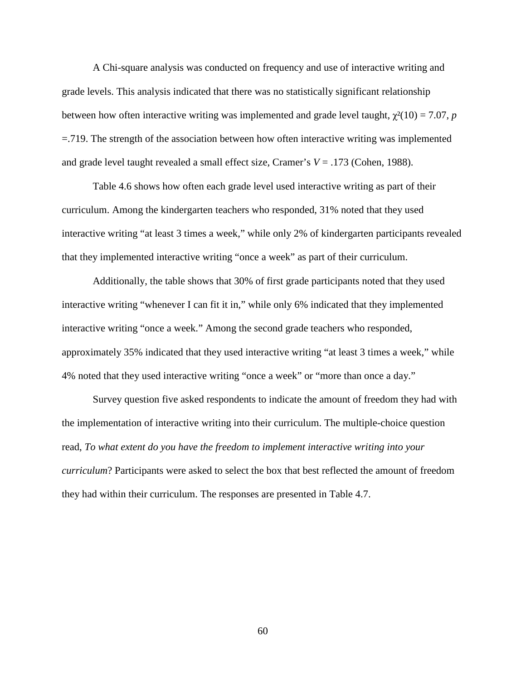A Chi-square analysis was conducted on frequency and use of interactive writing and grade levels. This analysis indicated that there was no statistically significant relationship between how often interactive writing was implemented and grade level taught,  $\chi^2(10) = 7.07$ , *p* =.719. The strength of the association between how often interactive writing was implemented and grade level taught revealed a small effect size, Cramer's *V* = .173 (Cohen, 1988).

Table 4.6 shows how often each grade level used interactive writing as part of their curriculum. Among the kindergarten teachers who responded, 31% noted that they used interactive writing "at least 3 times a week," while only 2% of kindergarten participants revealed that they implemented interactive writing "once a week" as part of their curriculum.

Additionally, the table shows that 30% of first grade participants noted that they used interactive writing "whenever I can fit it in," while only 6% indicated that they implemented interactive writing "once a week." Among the second grade teachers who responded, approximately 35% indicated that they used interactive writing "at least 3 times a week," while 4% noted that they used interactive writing "once a week" or "more than once a day."

Survey question five asked respondents to indicate the amount of freedom they had with the implementation of interactive writing into their curriculum. The multiple-choice question read, *To what extent do you have the freedom to implement interactive writing into your curriculum*? Participants were asked to select the box that best reflected the amount of freedom they had within their curriculum. The responses are presented in Table 4.7.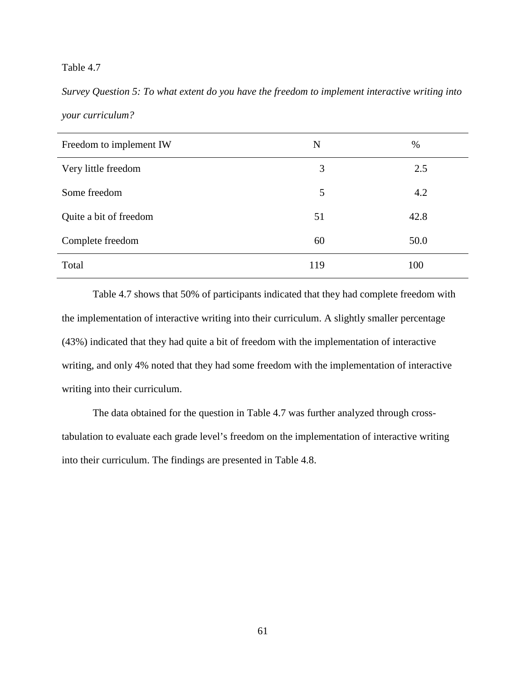*Survey Question 5: To what extent do you have the freedom to implement interactive writing into your curriculum?*

| Freedom to implement IW | N   | %    |
|-------------------------|-----|------|
| Very little freedom     | 3   | 2.5  |
| Some freedom            | 5   | 4.2  |
| Quite a bit of freedom  | 51  | 42.8 |
| Complete freedom        | 60  | 50.0 |
| Total                   | 119 | 100  |

 Table 4.7 shows that 50% of participants indicated that they had complete freedom with the implementation of interactive writing into their curriculum. A slightly smaller percentage (43%) indicated that they had quite a bit of freedom with the implementation of interactive writing, and only 4% noted that they had some freedom with the implementation of interactive writing into their curriculum.

The data obtained for the question in Table 4.7 was further analyzed through crosstabulation to evaluate each grade level's freedom on the implementation of interactive writing into their curriculum. The findings are presented in Table 4.8.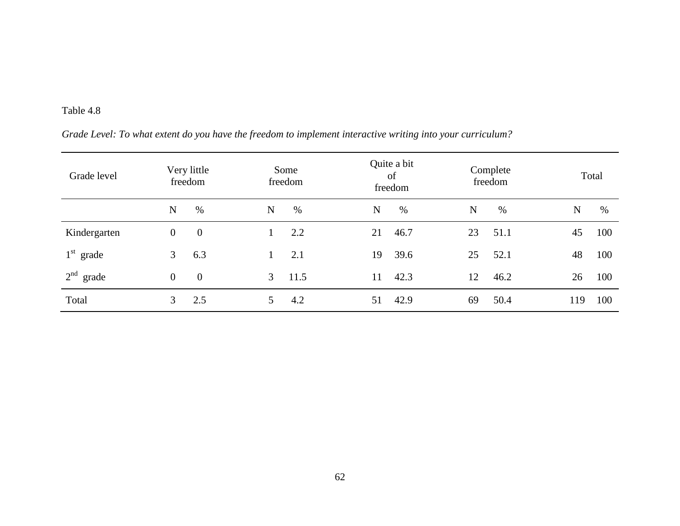| Grade Level: To what extent do you have the freedom to implement interactive writing into your curriculum? |  |
|------------------------------------------------------------------------------------------------------------|--|
|                                                                                                            |  |

| Grade level              |                | Very little<br>freedom | Some                   | Quite a bit<br>of<br>freedom<br>freedom |      |    | Complete<br>freedom |     | Total |
|--------------------------|----------------|------------------------|------------------------|-----------------------------------------|------|----|---------------------|-----|-------|
|                          | N              | %                      | $\%$<br>$\mathbf N$    | $\mathbf N$                             | $\%$ | N  | $\%$                | N   | $\%$  |
| Kindergarten             | $\overline{0}$ | $\overline{0}$         | 2.2                    | 21                                      | 46.7 | 23 | 51.1                | 45  | 100   |
| $1st$ grade              | 3 <sup>1</sup> | 6.3                    | 2.1                    | 19                                      | 39.6 | 25 | 52.1                | 48  | 100   |
| 2 <sup>nd</sup><br>grade | $\overline{0}$ | $\overline{0}$         | $\mathfrak{Z}$<br>11.5 | 11                                      | 42.3 | 12 | 46.2                | 26  | 100   |
| Total                    | 3 <sup>1</sup> | 2.5                    | 4.2<br>5               | 51                                      | 42.9 | 69 | 50.4                | 119 | 100   |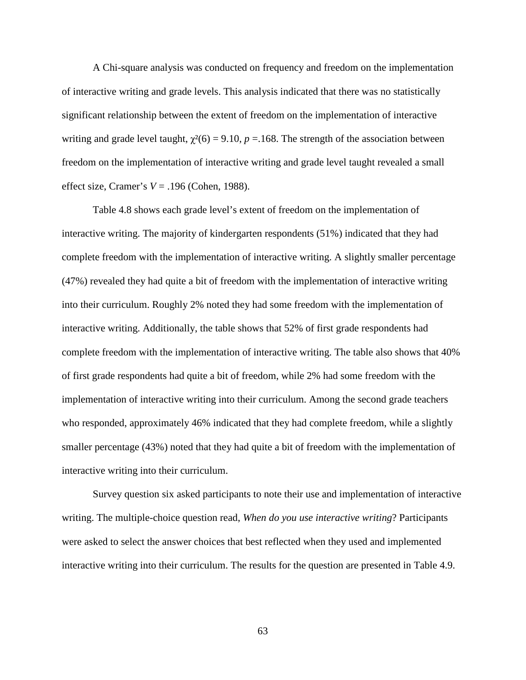A Chi-square analysis was conducted on frequency and freedom on the implementation of interactive writing and grade levels. This analysis indicated that there was no statistically significant relationship between the extent of freedom on the implementation of interactive writing and grade level taught,  $\gamma^2(6) = 9.10$ ,  $p = 168$ . The strength of the association between freedom on the implementation of interactive writing and grade level taught revealed a small effect size, Cramer's *V* = .196 (Cohen, 1988).

Table 4.8 shows each grade level's extent of freedom on the implementation of interactive writing. The majority of kindergarten respondents (51%) indicated that they had complete freedom with the implementation of interactive writing. A slightly smaller percentage (47%) revealed they had quite a bit of freedom with the implementation of interactive writing into their curriculum. Roughly 2% noted they had some freedom with the implementation of interactive writing. Additionally, the table shows that 52% of first grade respondents had complete freedom with the implementation of interactive writing. The table also shows that 40% of first grade respondents had quite a bit of freedom, while 2% had some freedom with the implementation of interactive writing into their curriculum. Among the second grade teachers who responded, approximately 46% indicated that they had complete freedom, while a slightly smaller percentage (43%) noted that they had quite a bit of freedom with the implementation of interactive writing into their curriculum.

Survey question six asked participants to note their use and implementation of interactive writing. The multiple-choice question read, *When do you use interactive writing*? Participants were asked to select the answer choices that best reflected when they used and implemented interactive writing into their curriculum. The results for the question are presented in Table 4.9.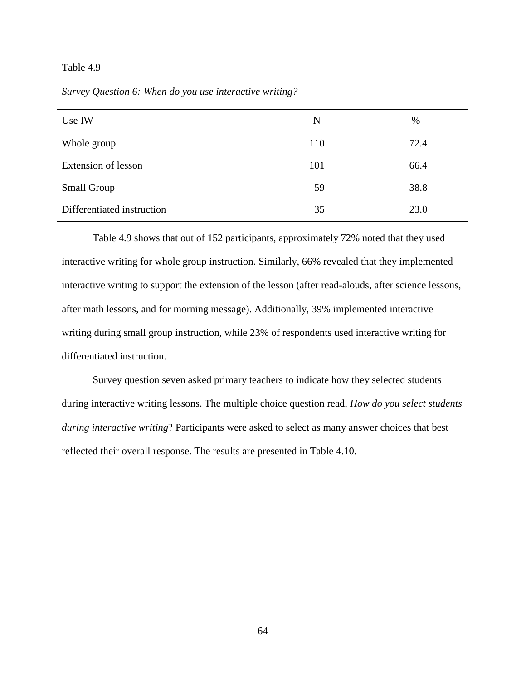*Survey Question 6: When do you use interactive writing?* 

| Use IW                     | N   | %    |
|----------------------------|-----|------|
| Whole group                | 110 | 72.4 |
| Extension of lesson        | 101 | 66.4 |
| <b>Small Group</b>         | 59  | 38.8 |
| Differentiated instruction | 35  | 23.0 |

 Table 4.9 shows that out of 152 participants, approximately 72% noted that they used interactive writing for whole group instruction. Similarly, 66% revealed that they implemented interactive writing to support the extension of the lesson (after read-alouds, after science lessons, after math lessons, and for morning message). Additionally, 39% implemented interactive writing during small group instruction, while 23% of respondents used interactive writing for differentiated instruction.

Survey question seven asked primary teachers to indicate how they selected students during interactive writing lessons. The multiple choice question read, *How do you select students during interactive writing*? Participants were asked to select as many answer choices that best reflected their overall response. The results are presented in Table 4.10.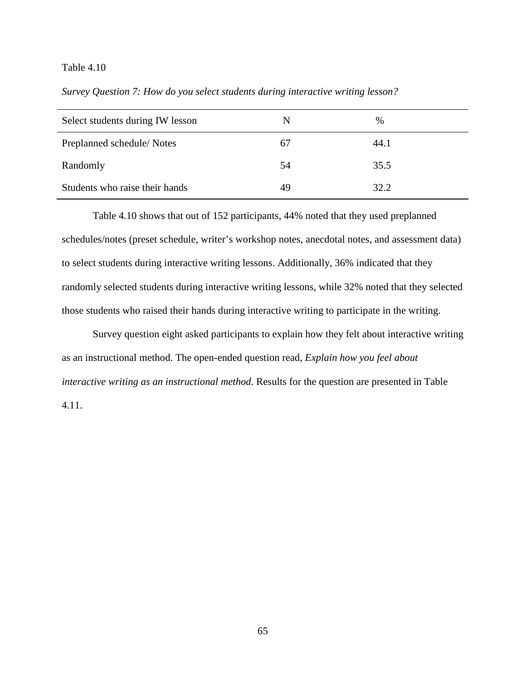*Survey Question 7: How do you select students during interactive writing lesson?* 

| Select students during IW lesson | N  | $\%$ |
|----------------------------------|----|------|
| Preplanned schedule/Notes        | 67 | 44.1 |
| Randomly                         | 54 | 35.5 |
| Students who raise their hands   | 49 | 32.2 |

 Table 4.10 shows that out of 152 participants, 44% noted that they used preplanned schedules/notes (preset schedule, writer's workshop notes, anecdotal notes, and assessment data) to select students during interactive writing lessons. Additionally, 36% indicated that they randomly selected students during interactive writing lessons, while 32% noted that they selected those students who raised their hands during interactive writing to participate in the writing.

Survey question eight asked participants to explain how they felt about interactive writing as an instructional method. The open-ended question read, *Explain how you feel about interactive writing as an instructional method.* Results for the question are presented in Table 4.11.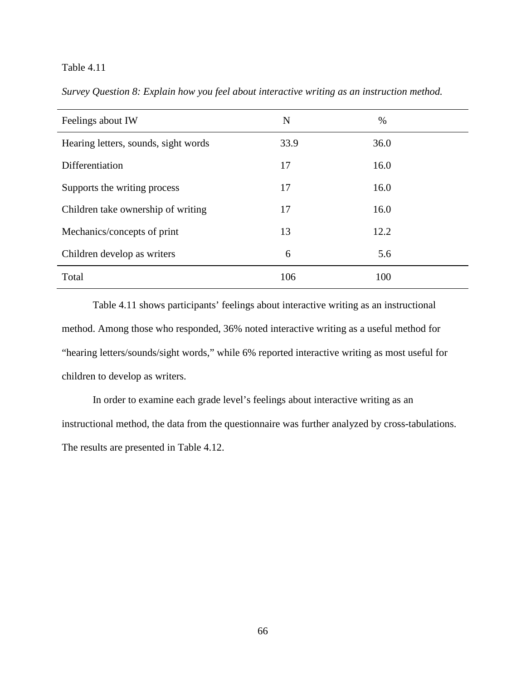| Feelings about IW                    | N    | $\%$ |
|--------------------------------------|------|------|
| Hearing letters, sounds, sight words | 33.9 | 36.0 |
| Differentiation                      | 17   | 16.0 |
| Supports the writing process         | 17   | 16.0 |
| Children take ownership of writing   | 17   | 16.0 |
| Mechanics/concepts of print          | 13   | 12.2 |
| Children develop as writers          | 6    | 5.6  |
| Total                                | 106  | 100  |

*Survey Question 8: Explain how you feel about interactive writing as an instruction method.* 

 Table 4.11 shows participants' feelings about interactive writing as an instructional method. Among those who responded, 36% noted interactive writing as a useful method for "hearing letters/sounds/sight words," while 6% reported interactive writing as most useful for children to develop as writers.

In order to examine each grade level's feelings about interactive writing as an instructional method, the data from the questionnaire was further analyzed by cross-tabulations. The results are presented in Table 4.12.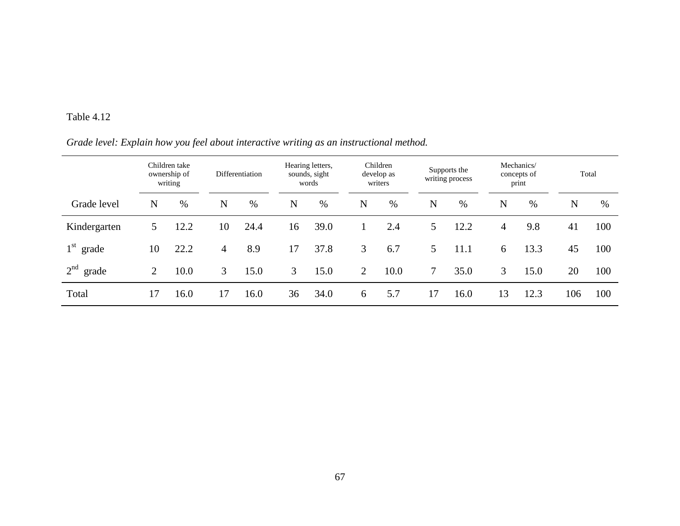### *Grade level: Explain how you feel about interactive writing as an instructional method.*

|                          |                | Children take<br>ownership of<br>writing |                | Differentiation |                | Hearing letters,<br>sounds, sight<br>words |                | Children<br>develop as<br>writers |    | Supports the<br>writing process |                | Mechanics/<br>concepts of<br>print |     | Total |
|--------------------------|----------------|------------------------------------------|----------------|-----------------|----------------|--------------------------------------------|----------------|-----------------------------------|----|---------------------------------|----------------|------------------------------------|-----|-------|
| Grade level              | N              | %                                        | N              | $\%$            | N              | $\%$                                       | N              | $\%$                              | N  | $\%$                            | N              | $\%$                               | N   | %     |
| Kindergarten             | 5              | 12.2                                     | 10             | 24.4            | 16             | 39.0                                       |                | 2.4                               | 5  | 12.2                            | $\overline{4}$ | 9.8                                | 41  | 100   |
| $1st$ grade              | 10             | 22.2                                     | $\overline{4}$ | 8.9             | 17             | 37.8                                       | 3              | 6.7                               | 5  | 11.1                            | 6              | 13.3                               | 45  | 100   |
| 2 <sup>nd</sup><br>grade | $\overline{2}$ | 10.0                                     | 3              | 15.0            | $\mathfrak{Z}$ | 15.0                                       | $\overline{2}$ | 10.0                              |    | 35.0                            | 3              | 15.0                               | 20  | 100   |
| Total                    | 17             | 16.0                                     | 17             | 16.0            | 36             | 34.0                                       | 6              | 5.7                               | 17 | 16.0                            | 13             | 12.3                               | 106 | 100   |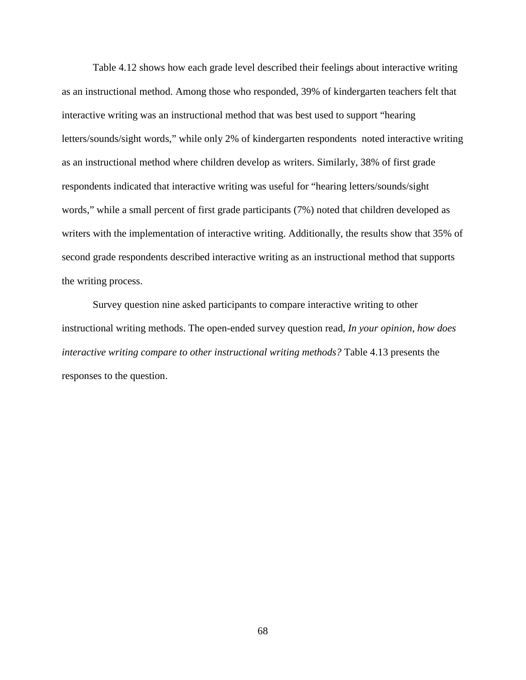Table 4.12 shows how each grade level described their feelings about interactive writing as an instructional method. Among those who responded, 39% of kindergarten teachers felt that interactive writing was an instructional method that was best used to support "hearing letters/sounds/sight words," while only 2% of kindergarten respondents noted interactive writing as an instructional method where children develop as writers. Similarly, 38% of first grade respondents indicated that interactive writing was useful for "hearing letters/sounds/sight words," while a small percent of first grade participants (7%) noted that children developed as writers with the implementation of interactive writing. Additionally, the results show that 35% of second grade respondents described interactive writing as an instructional method that supports the writing process.

Survey question nine asked participants to compare interactive writing to other instructional writing methods. The open-ended survey question read, *In your opinion, how does interactive writing compare to other instructional writing methods?* Table 4.13 presents the responses to the question.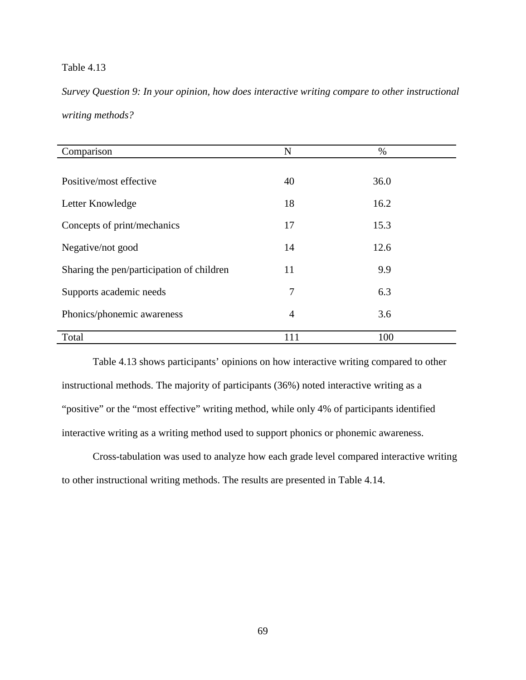*Survey Question 9: In your opinion, how does interactive writing compare to other instructional writing methods?* 

| Comparison                                | N              | $\%$ |
|-------------------------------------------|----------------|------|
|                                           |                |      |
| Positive/most effective                   | 40             | 36.0 |
| Letter Knowledge                          | 18             | 16.2 |
| Concepts of print/mechanics               | 17             | 15.3 |
| Negative/not good                         | 14             | 12.6 |
| Sharing the pen/participation of children | 11             | 9.9  |
| Supports academic needs                   | 7              | 6.3  |
| Phonics/phonemic awareness                | $\overline{4}$ | 3.6  |
| Total                                     | 111            | 100  |

 Table 4.13 shows participants' opinions on how interactive writing compared to other instructional methods. The majority of participants (36%) noted interactive writing as a "positive" or the "most effective" writing method, while only 4% of participants identified interactive writing as a writing method used to support phonics or phonemic awareness.

Cross-tabulation was used to analyze how each grade level compared interactive writing to other instructional writing methods. The results are presented in Table 4.14.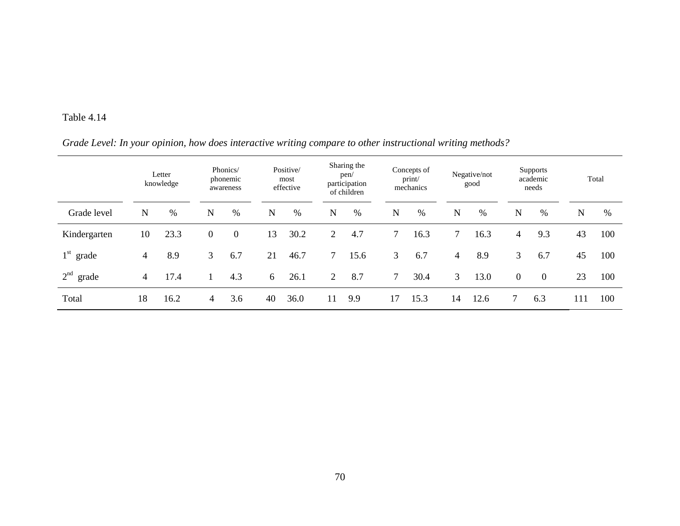### *Grade Level: In your opinion, how does interactive writing compare to other instructional writing methods?*

|                          |                | Letter<br>knowledge |                  | Phonics/<br>phonemic<br>awareness |             | Positive/<br>most<br>effective |             | Sharing the<br>pen/<br>participation<br>of children |        | Concepts of<br>print/<br>mechanics |                | Negative/not<br>good |          | <b>Supports</b><br>academic<br>needs |             | Total |
|--------------------------|----------------|---------------------|------------------|-----------------------------------|-------------|--------------------------------|-------------|-----------------------------------------------------|--------|------------------------------------|----------------|----------------------|----------|--------------------------------------|-------------|-------|
| Grade level              | N              | $\%$                | N                | $\%$                              | $\mathbf N$ | %                              | $\mathbf N$ | %                                                   | N      | $\%$                               | $\mathbf N$    | $\%$                 | N        | %                                    | $\mathbf N$ | %     |
| Kindergarten             | 10             | 23.3                | $\boldsymbol{0}$ | $\overline{0}$                    | 13          | 30.2                           | 2           | 4.7                                                 |        | 16.3                               |                | 16.3                 | 4        | 9.3                                  | 43          | 100   |
| $1st$ grade              | $\overline{4}$ | 8.9                 | 3                | 6.7                               | 21          | 46.7                           | 7           | 15.6                                                | 3      | 6.7                                | $\overline{4}$ | 8.9                  | 3        | 6.7                                  | 45          | 100   |
| 2 <sup>nd</sup><br>grade | $\overline{4}$ | 17.4                |                  | 4.3                               | 6           | 26.1                           | 2           | 8.7                                                 | $\tau$ | 30.4                               | 3              | 13.0                 | $\Omega$ | $\overline{0}$                       | 23          | 100   |
| Total                    | 18             | 16.2                | 4                | 3.6                               | 40          | 36.0                           | 11          | 9.9                                                 | 17     | 15.3                               | 14             | 12.6                 | 7        | 6.3                                  | 111         | 100   |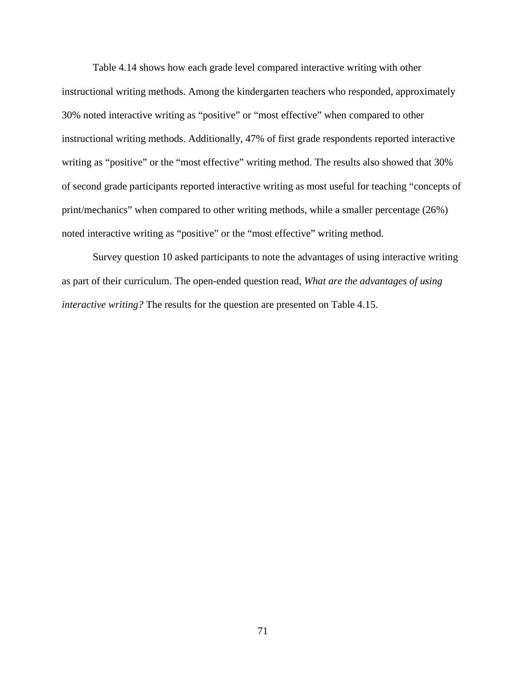Table 4.14 shows how each grade level compared interactive writing with other instructional writing methods. Among the kindergarten teachers who responded, approximately 30% noted interactive writing as "positive" or "most effective" when compared to other instructional writing methods. Additionally, 47% of first grade respondents reported interactive writing as "positive" or the "most effective" writing method. The results also showed that 30% of second grade participants reported interactive writing as most useful for teaching "concepts of print/mechanics" when compared to other writing methods, while a smaller percentage (26%) noted interactive writing as "positive" or the "most effective" writing method.

 Survey question 10 asked participants to note the advantages of using interactive writing as part of their curriculum. The open-ended question read, *What are the advantages of using interactive writing?* The results for the question are presented on Table 4.15.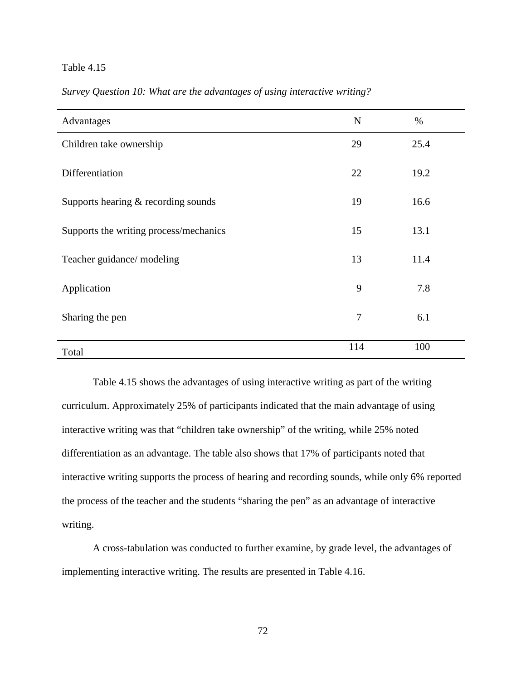| Advantages                             | N              | $\%$ |
|----------------------------------------|----------------|------|
| Children take ownership                | 29             | 25.4 |
| Differentiation                        | 22             | 19.2 |
| Supports hearing & recording sounds    | 19             | 16.6 |
| Supports the writing process/mechanics | 15             | 13.1 |
| Teacher guidance/ modeling             | 13             | 11.4 |
| Application                            | 9              | 7.8  |
| Sharing the pen                        | $\overline{7}$ | 6.1  |
| Total                                  | 114            | 100  |

*Survey Question 10: What are the advantages of using interactive writing?* 

 Table 4.15 shows the advantages of using interactive writing as part of the writing curriculum. Approximately 25% of participants indicated that the main advantage of using interactive writing was that "children take ownership" of the writing, while 25% noted differentiation as an advantage. The table also shows that 17% of participants noted that interactive writing supports the process of hearing and recording sounds, while only 6% reported the process of the teacher and the students "sharing the pen" as an advantage of interactive writing.

 A cross-tabulation was conducted to further examine, by grade level, the advantages of implementing interactive writing. The results are presented in Table 4.16.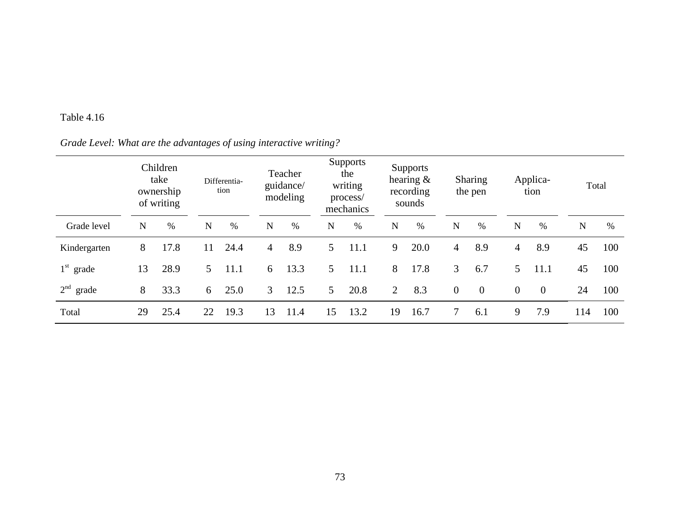## *Grade Level: What are the advantages of using interactive writing?*

|              |             | Children<br>take<br>ownership<br>of writing |             | Differentia-<br>tion |                | Teacher<br>guidance/<br>modeling |                | <b>Supports</b><br>the<br>writing<br>process/<br>mechanics |    | Supports<br>hearing $\&$<br>recording<br>sounds |                | <b>Sharing</b><br>the pen |              | Applica-<br>tion | Total |     |
|--------------|-------------|---------------------------------------------|-------------|----------------------|----------------|----------------------------------|----------------|------------------------------------------------------------|----|-------------------------------------------------|----------------|---------------------------|--------------|------------------|-------|-----|
| Grade level  | $\mathbf N$ | %                                           | $\mathbf N$ | $\%$                 | $\mathbf N$    | $\%$                             | N              | $\%$                                                       | N  | $\%$                                            | N              | $\%$                      | N            | $\%$             | N     | %   |
| Kindergarten | 8           | 17.8                                        | 11          | 24.4                 | $\overline{4}$ | 8.9                              | $\mathfrak{S}$ | 11.1                                                       | 9  | 20.0                                            | $\overline{4}$ | 8.9                       | 4            | 8.9              | 45    | 100 |
| $1st$ grade  | 13          | 28.9                                        | 5.          | 11.1                 | 6              | 13.3                             | $\mathfrak{S}$ | 11.1                                                       | 8  | 17.8                                            | 3              | 6.7                       | 5            | 11.1             | 45    | 100 |
| $2nd$ grade  | 8           | 33.3                                        | 6           | 25.0                 | 3              | 12.5                             | $\mathfrak{S}$ | 20.8                                                       | 2  | 8.3                                             | $\overline{0}$ | $\overline{0}$            | $\mathbf{0}$ | $\overline{0}$   | 24    | 100 |
| Total        | 29          | 25.4                                        | 22          | 19.3                 | 13             | 11.4                             | 15             | 13.2                                                       | 19 | 16.7                                            | 7              | 6.1                       | 9            | 7.9              | 114   | 100 |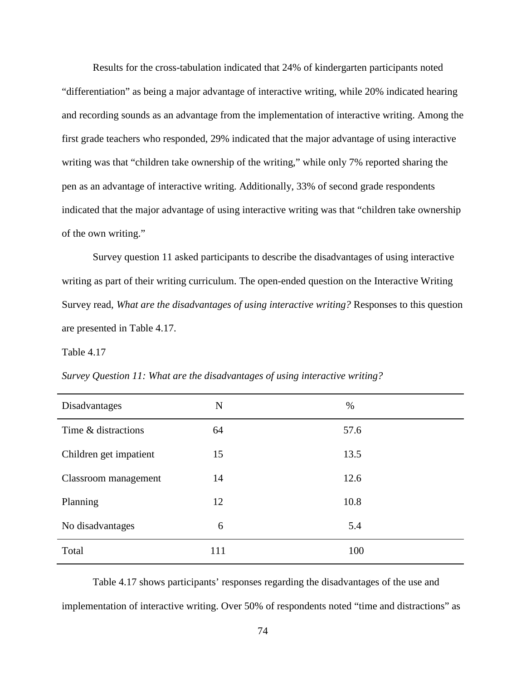Results for the cross-tabulation indicated that 24% of kindergarten participants noted "differentiation" as being a major advantage of interactive writing, while 20% indicated hearing and recording sounds as an advantage from the implementation of interactive writing. Among the first grade teachers who responded, 29% indicated that the major advantage of using interactive writing was that "children take ownership of the writing," while only 7% reported sharing the pen as an advantage of interactive writing. Additionally, 33% of second grade respondents indicated that the major advantage of using interactive writing was that "children take ownership of the own writing."

Survey question 11 asked participants to describe the disadvantages of using interactive writing as part of their writing curriculum. The open-ended question on the Interactive Writing Survey read, *What are the disadvantages of using interactive writing?* Responses to this question are presented in Table 4.17.

### Table 4.17

| Disadvantages          | $\mathbf N$ | $\%$ |
|------------------------|-------------|------|
| Time & distractions    | 64          | 57.6 |
| Children get impatient | 15          | 13.5 |
| Classroom management   | 14          | 12.6 |
| Planning               | 12          | 10.8 |
| No disadvantages       | 6           | 5.4  |
| Total                  | 111         | 100  |

*Survey Question 11: What are the disadvantages of using interactive writing?* 

Table 4.17 shows participants' responses regarding the disadvantages of the use and implementation of interactive writing. Over 50% of respondents noted "time and distractions" as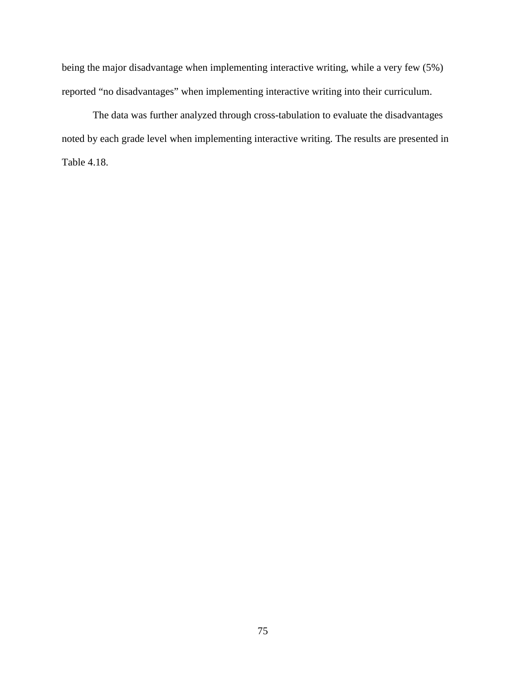being the major disadvantage when implementing interactive writing, while a very few (5%) reported "no disadvantages" when implementing interactive writing into their curriculum.

 The data was further analyzed through cross-tabulation to evaluate the disadvantages noted by each grade level when implementing interactive writing. The results are presented in Table 4.18.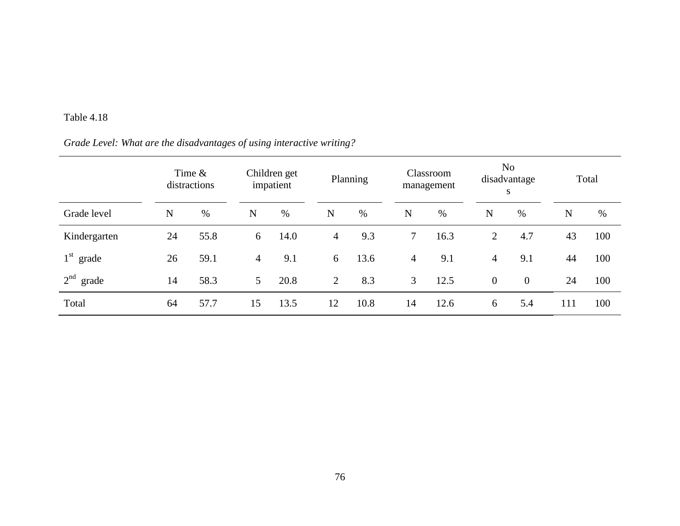## *Grade Level: What are the disadvantages of using interactive writing?*

|              | Time $\&$<br>distractions |      |                | Children get<br>impatient |                | Planning |                | Classroom<br>management |                | N <sub>o</sub><br>disadvantage<br>S |     | Total |  |
|--------------|---------------------------|------|----------------|---------------------------|----------------|----------|----------------|-------------------------|----------------|-------------------------------------|-----|-------|--|
| Grade level  | N                         | $\%$ | N              | %                         | $\mathbf N$    | $\%$     | N              | %                       | $\mathbf N$    | $\%$                                | N   | $\%$  |  |
| Kindergarten | 24                        | 55.8 | 6              | 14.0                      | $\overline{4}$ | 9.3      | $\tau$         | 16.3                    | $\overline{2}$ | 4.7                                 | 43  | 100   |  |
| $1st$ grade  | 26                        | 59.1 | $\overline{4}$ | 9.1                       | 6              | 13.6     | $\overline{4}$ | 9.1                     | $\overline{4}$ | 9.1                                 | 44  | 100   |  |
| $2nd$ grade  | 14                        | 58.3 | 5 <sup>5</sup> | 20.8                      | 2              | 8.3      | 3              | 12.5                    | $\overline{0}$ | $\overline{0}$                      | 24  | 100   |  |
| Total        | 64                        | 57.7 | 15             | 13.5                      | 12             | 10.8     | 14             | 12.6                    | 6              | 5.4                                 | 111 | 100   |  |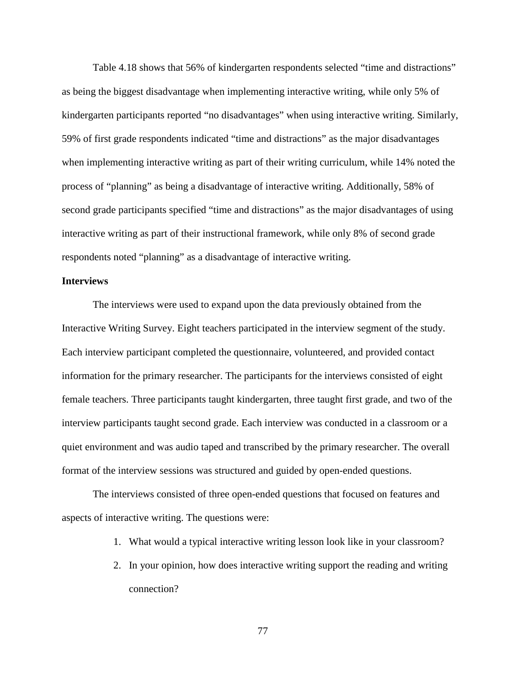Table 4.18 shows that 56% of kindergarten respondents selected "time and distractions" as being the biggest disadvantage when implementing interactive writing, while only 5% of kindergarten participants reported "no disadvantages" when using interactive writing. Similarly, 59% of first grade respondents indicated "time and distractions" as the major disadvantages when implementing interactive writing as part of their writing curriculum, while 14% noted the process of "planning" as being a disadvantage of interactive writing. Additionally, 58% of second grade participants specified "time and distractions" as the major disadvantages of using interactive writing as part of their instructional framework, while only 8% of second grade respondents noted "planning" as a disadvantage of interactive writing.

### **Interviews**

The interviews were used to expand upon the data previously obtained from the Interactive Writing Survey. Eight teachers participated in the interview segment of the study. Each interview participant completed the questionnaire, volunteered, and provided contact information for the primary researcher. The participants for the interviews consisted of eight female teachers. Three participants taught kindergarten, three taught first grade, and two of the interview participants taught second grade. Each interview was conducted in a classroom or a quiet environment and was audio taped and transcribed by the primary researcher. The overall format of the interview sessions was structured and guided by open-ended questions.

The interviews consisted of three open-ended questions that focused on features and aspects of interactive writing. The questions were:

- 1. What would a typical interactive writing lesson look like in your classroom?
- 2. In your opinion, how does interactive writing support the reading and writing connection?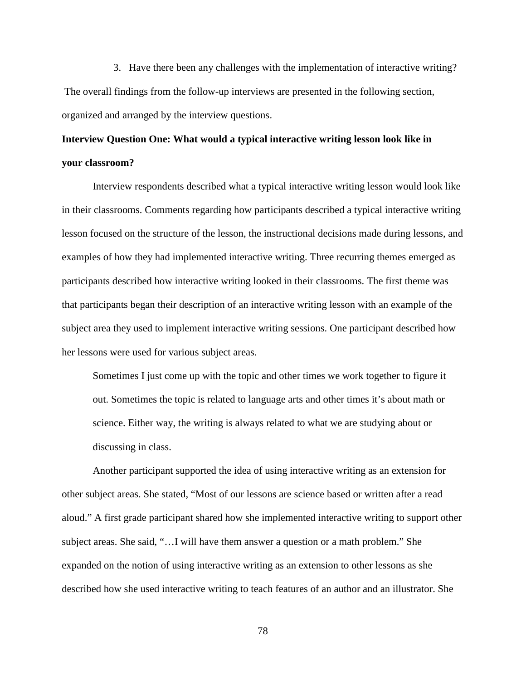3. Have there been any challenges with the implementation of interactive writing? The overall findings from the follow-up interviews are presented in the following section, organized and arranged by the interview questions.

## **Interview Question One: What would a typical interactive writing lesson look like in your classroom?**

Interview respondents described what a typical interactive writing lesson would look like in their classrooms. Comments regarding how participants described a typical interactive writing lesson focused on the structure of the lesson, the instructional decisions made during lessons, and examples of how they had implemented interactive writing. Three recurring themes emerged as participants described how interactive writing looked in their classrooms. The first theme was that participants began their description of an interactive writing lesson with an example of the subject area they used to implement interactive writing sessions. One participant described how her lessons were used for various subject areas.

Sometimes I just come up with the topic and other times we work together to figure it out. Sometimes the topic is related to language arts and other times it's about math or science. Either way, the writing is always related to what we are studying about or discussing in class.

Another participant supported the idea of using interactive writing as an extension for other subject areas. She stated, "Most of our lessons are science based or written after a read aloud." A first grade participant shared how she implemented interactive writing to support other subject areas. She said, "…I will have them answer a question or a math problem." She expanded on the notion of using interactive writing as an extension to other lessons as she described how she used interactive writing to teach features of an author and an illustrator. She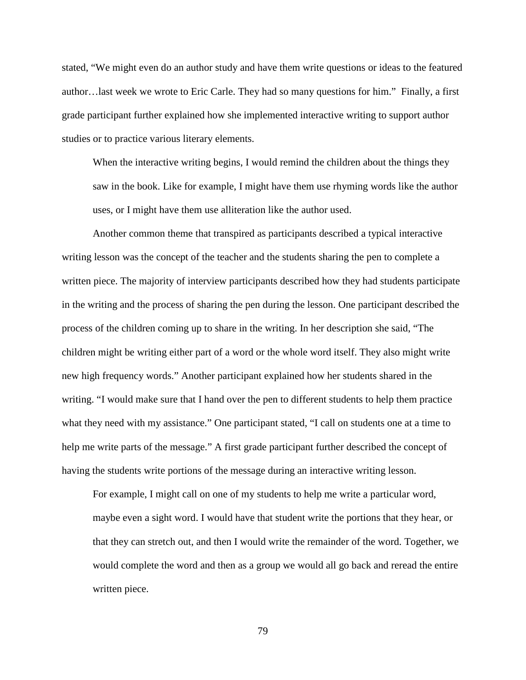stated, "We might even do an author study and have them write questions or ideas to the featured author…last week we wrote to Eric Carle. They had so many questions for him." Finally, a first grade participant further explained how she implemented interactive writing to support author studies or to practice various literary elements.

When the interactive writing begins, I would remind the children about the things they saw in the book. Like for example, I might have them use rhyming words like the author uses, or I might have them use alliteration like the author used.

Another common theme that transpired as participants described a typical interactive writing lesson was the concept of the teacher and the students sharing the pen to complete a written piece. The majority of interview participants described how they had students participate in the writing and the process of sharing the pen during the lesson. One participant described the process of the children coming up to share in the writing. In her description she said, "The children might be writing either part of a word or the whole word itself. They also might write new high frequency words." Another participant explained how her students shared in the writing. "I would make sure that I hand over the pen to different students to help them practice what they need with my assistance." One participant stated, "I call on students one at a time to help me write parts of the message." A first grade participant further described the concept of having the students write portions of the message during an interactive writing lesson.

For example, I might call on one of my students to help me write a particular word, maybe even a sight word. I would have that student write the portions that they hear, or that they can stretch out, and then I would write the remainder of the word. Together, we would complete the word and then as a group we would all go back and reread the entire written piece.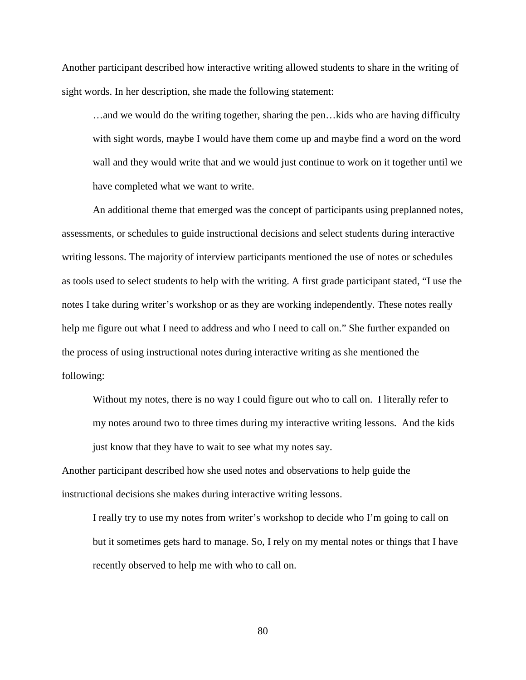Another participant described how interactive writing allowed students to share in the writing of sight words. In her description, she made the following statement:

…and we would do the writing together, sharing the pen…kids who are having difficulty with sight words, maybe I would have them come up and maybe find a word on the word wall and they would write that and we would just continue to work on it together until we have completed what we want to write.

 An additional theme that emerged was the concept of participants using preplanned notes, assessments, or schedules to guide instructional decisions and select students during interactive writing lessons. The majority of interview participants mentioned the use of notes or schedules as tools used to select students to help with the writing. A first grade participant stated, "I use the notes I take during writer's workshop or as they are working independently. These notes really help me figure out what I need to address and who I need to call on." She further expanded on the process of using instructional notes during interactive writing as she mentioned the following:

Without my notes, there is no way I could figure out who to call on. I literally refer to my notes around two to three times during my interactive writing lessons. And the kids just know that they have to wait to see what my notes say.

Another participant described how she used notes and observations to help guide the instructional decisions she makes during interactive writing lessons.

I really try to use my notes from writer's workshop to decide who I'm going to call on but it sometimes gets hard to manage. So, I rely on my mental notes or things that I have recently observed to help me with who to call on.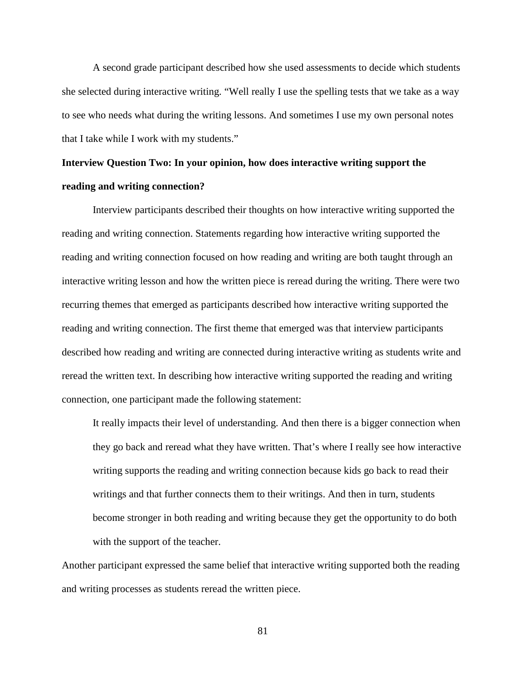A second grade participant described how she used assessments to decide which students she selected during interactive writing. "Well really I use the spelling tests that we take as a way to see who needs what during the writing lessons. And sometimes I use my own personal notes that I take while I work with my students."

## **Interview Question Two: In your opinion, how does interactive writing support the reading and writing connection?**

 Interview participants described their thoughts on how interactive writing supported the reading and writing connection. Statements regarding how interactive writing supported the reading and writing connection focused on how reading and writing are both taught through an interactive writing lesson and how the written piece is reread during the writing. There were two recurring themes that emerged as participants described how interactive writing supported the reading and writing connection. The first theme that emerged was that interview participants described how reading and writing are connected during interactive writing as students write and reread the written text. In describing how interactive writing supported the reading and writing connection, one participant made the following statement:

It really impacts their level of understanding. And then there is a bigger connection when they go back and reread what they have written. That's where I really see how interactive writing supports the reading and writing connection because kids go back to read their writings and that further connects them to their writings. And then in turn, students become stronger in both reading and writing because they get the opportunity to do both with the support of the teacher.

Another participant expressed the same belief that interactive writing supported both the reading and writing processes as students reread the written piece.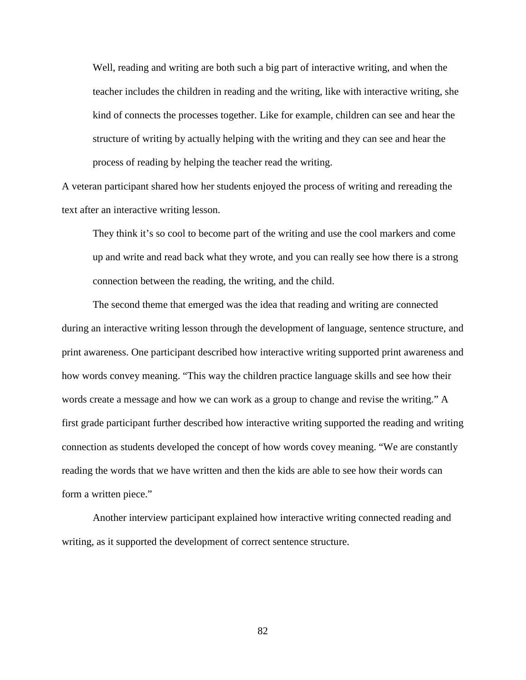Well, reading and writing are both such a big part of interactive writing, and when the teacher includes the children in reading and the writing, like with interactive writing, she kind of connects the processes together. Like for example, children can see and hear the structure of writing by actually helping with the writing and they can see and hear the process of reading by helping the teacher read the writing.

A veteran participant shared how her students enjoyed the process of writing and rereading the text after an interactive writing lesson.

They think it's so cool to become part of the writing and use the cool markers and come up and write and read back what they wrote, and you can really see how there is a strong connection between the reading, the writing, and the child.

The second theme that emerged was the idea that reading and writing are connected during an interactive writing lesson through the development of language, sentence structure, and print awareness. One participant described how interactive writing supported print awareness and how words convey meaning. "This way the children practice language skills and see how their words create a message and how we can work as a group to change and revise the writing." A first grade participant further described how interactive writing supported the reading and writing connection as students developed the concept of how words covey meaning. "We are constantly reading the words that we have written and then the kids are able to see how their words can form a written piece."

Another interview participant explained how interactive writing connected reading and writing, as it supported the development of correct sentence structure.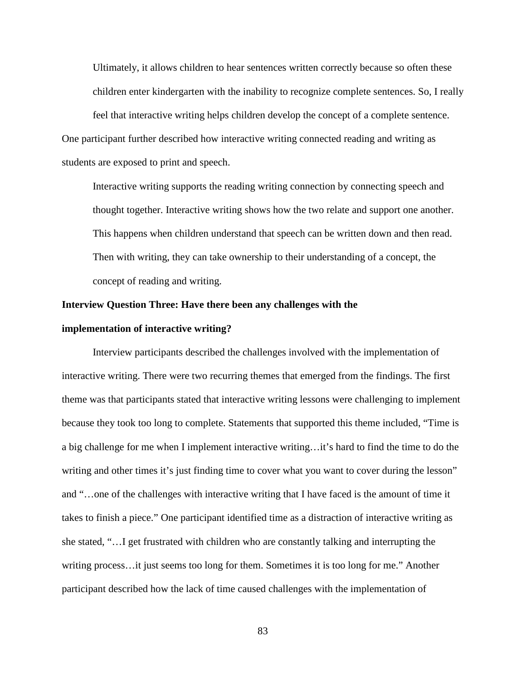Ultimately, it allows children to hear sentences written correctly because so often these children enter kindergarten with the inability to recognize complete sentences. So, I really

feel that interactive writing helps children develop the concept of a complete sentence. One participant further described how interactive writing connected reading and writing as students are exposed to print and speech.

Interactive writing supports the reading writing connection by connecting speech and thought together. Interactive writing shows how the two relate and support one another. This happens when children understand that speech can be written down and then read. Then with writing, they can take ownership to their understanding of a concept, the concept of reading and writing.

### **Interview Question Three: Have there been any challenges with the**

### **implementation of interactive writing?**

 Interview participants described the challenges involved with the implementation of interactive writing. There were two recurring themes that emerged from the findings. The first theme was that participants stated that interactive writing lessons were challenging to implement because they took too long to complete. Statements that supported this theme included, "Time is a big challenge for me when I implement interactive writing…it's hard to find the time to do the writing and other times it's just finding time to cover what you want to cover during the lesson" and "…one of the challenges with interactive writing that I have faced is the amount of time it takes to finish a piece." One participant identified time as a distraction of interactive writing as she stated, "…I get frustrated with children who are constantly talking and interrupting the writing process…it just seems too long for them. Sometimes it is too long for me." Another participant described how the lack of time caused challenges with the implementation of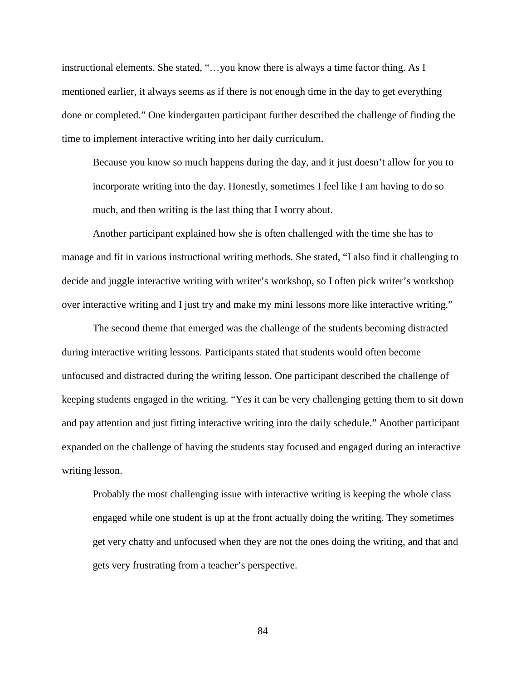instructional elements. She stated, "…you know there is always a time factor thing. As I mentioned earlier, it always seems as if there is not enough time in the day to get everything done or completed." One kindergarten participant further described the challenge of finding the time to implement interactive writing into her daily curriculum.

Because you know so much happens during the day, and it just doesn't allow for you to incorporate writing into the day. Honestly, sometimes I feel like I am having to do so much, and then writing is the last thing that I worry about.

Another participant explained how she is often challenged with the time she has to manage and fit in various instructional writing methods. She stated, "I also find it challenging to decide and juggle interactive writing with writer's workshop, so I often pick writer's workshop over interactive writing and I just try and make my mini lessons more like interactive writing."

The second theme that emerged was the challenge of the students becoming distracted during interactive writing lessons. Participants stated that students would often become unfocused and distracted during the writing lesson. One participant described the challenge of keeping students engaged in the writing. "Yes it can be very challenging getting them to sit down and pay attention and just fitting interactive writing into the daily schedule." Another participant expanded on the challenge of having the students stay focused and engaged during an interactive writing lesson.

Probably the most challenging issue with interactive writing is keeping the whole class engaged while one student is up at the front actually doing the writing. They sometimes get very chatty and unfocused when they are not the ones doing the writing, and that and gets very frustrating from a teacher's perspective.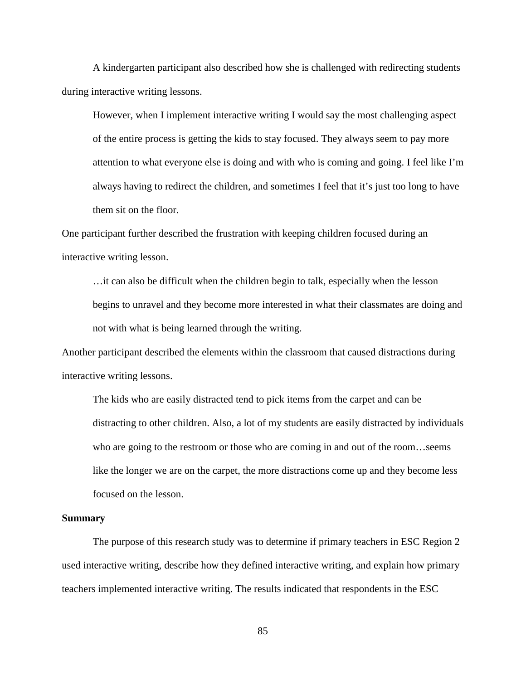A kindergarten participant also described how she is challenged with redirecting students during interactive writing lessons.

However, when I implement interactive writing I would say the most challenging aspect of the entire process is getting the kids to stay focused. They always seem to pay more attention to what everyone else is doing and with who is coming and going. I feel like I'm always having to redirect the children, and sometimes I feel that it's just too long to have them sit on the floor.

One participant further described the frustration with keeping children focused during an interactive writing lesson.

…it can also be difficult when the children begin to talk, especially when the lesson begins to unravel and they become more interested in what their classmates are doing and not with what is being learned through the writing.

Another participant described the elements within the classroom that caused distractions during interactive writing lessons.

The kids who are easily distracted tend to pick items from the carpet and can be distracting to other children. Also, a lot of my students are easily distracted by individuals who are going to the restroom or those who are coming in and out of the room...seems like the longer we are on the carpet, the more distractions come up and they become less focused on the lesson.

#### **Summary**

 The purpose of this research study was to determine if primary teachers in ESC Region 2 used interactive writing, describe how they defined interactive writing, and explain how primary teachers implemented interactive writing. The results indicated that respondents in the ESC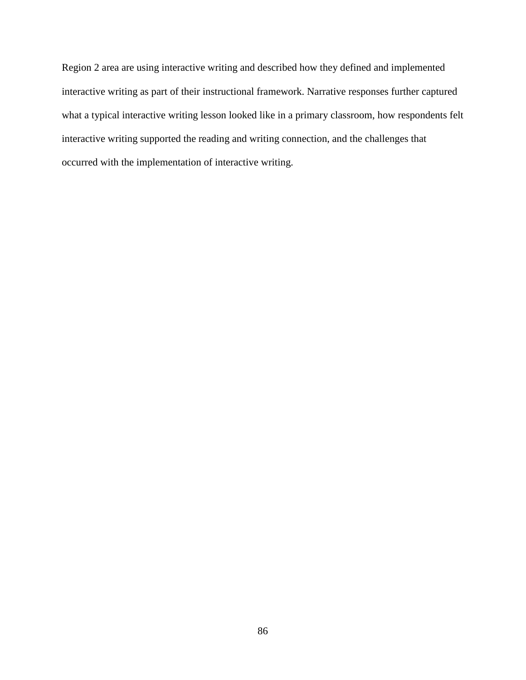Region 2 area are using interactive writing and described how they defined and implemented interactive writing as part of their instructional framework. Narrative responses further captured what a typical interactive writing lesson looked like in a primary classroom, how respondents felt interactive writing supported the reading and writing connection, and the challenges that occurred with the implementation of interactive writing.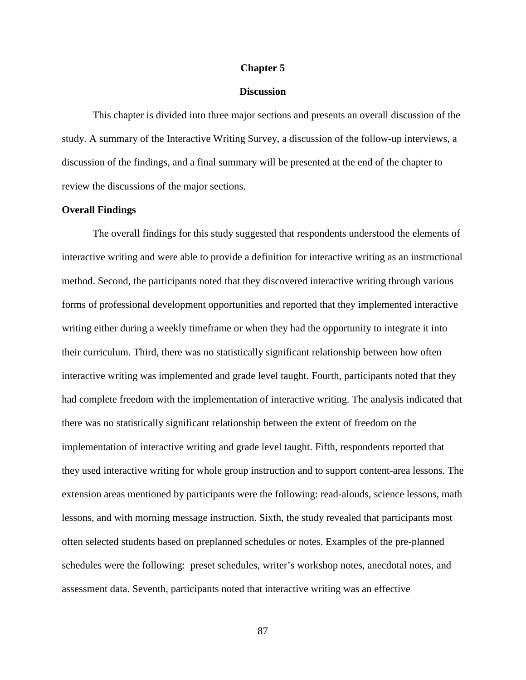### **Chapter 5**

### **Discussion**

 This chapter is divided into three major sections and presents an overall discussion of the study. A summary of the Interactive Writing Survey, a discussion of the follow-up interviews, a discussion of the findings, and a final summary will be presented at the end of the chapter to review the discussions of the major sections.

### **Overall Findings**

 The overall findings for this study suggested that respondents understood the elements of interactive writing and were able to provide a definition for interactive writing as an instructional method. Second, the participants noted that they discovered interactive writing through various forms of professional development opportunities and reported that they implemented interactive writing either during a weekly timeframe or when they had the opportunity to integrate it into their curriculum. Third, there was no statistically significant relationship between how often interactive writing was implemented and grade level taught. Fourth, participants noted that they had complete freedom with the implementation of interactive writing. The analysis indicated that there was no statistically significant relationship between the extent of freedom on the implementation of interactive writing and grade level taught. Fifth, respondents reported that they used interactive writing for whole group instruction and to support content-area lessons. The extension areas mentioned by participants were the following: read-alouds, science lessons, math lessons, and with morning message instruction. Sixth, the study revealed that participants most often selected students based on preplanned schedules or notes. Examples of the pre-planned schedules were the following: preset schedules, writer's workshop notes, anecdotal notes, and assessment data. Seventh, participants noted that interactive writing was an effective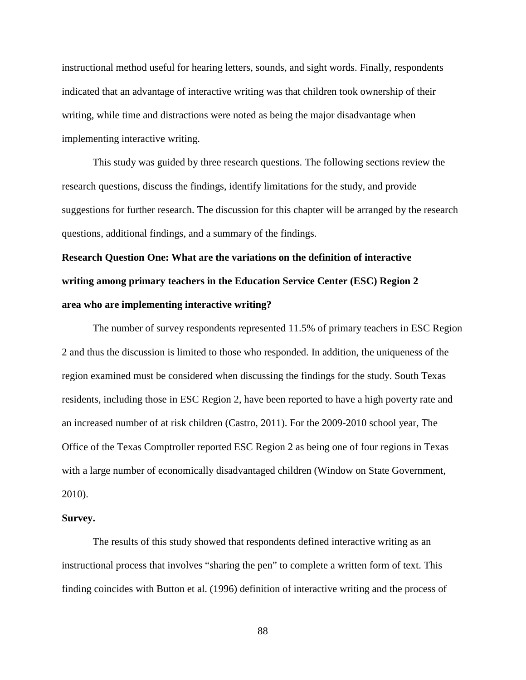instructional method useful for hearing letters, sounds, and sight words. Finally, respondents indicated that an advantage of interactive writing was that children took ownership of their writing, while time and distractions were noted as being the major disadvantage when implementing interactive writing.

 This study was guided by three research questions. The following sections review the research questions, discuss the findings, identify limitations for the study, and provide suggestions for further research. The discussion for this chapter will be arranged by the research questions, additional findings, and a summary of the findings.

# **Research Question One: What are the variations on the definition of interactive writing among primary teachers in the Education Service Center (ESC) Region 2 area who are implementing interactive writing?**

The number of survey respondents represented 11.5% of primary teachers in ESC Region 2 and thus the discussion is limited to those who responded. In addition, the uniqueness of the region examined must be considered when discussing the findings for the study. South Texas residents, including those in ESC Region 2, have been reported to have a high poverty rate and an increased number of at risk children (Castro, 2011). For the 2009-2010 school year, The Office of the Texas Comptroller reported ESC Region 2 as being one of four regions in Texas with a large number of economically disadvantaged children (Window on State Government, 2010).

### **Survey.**

The results of this study showed that respondents defined interactive writing as an instructional process that involves "sharing the pen" to complete a written form of text. This finding coincides with Button et al. (1996) definition of interactive writing and the process of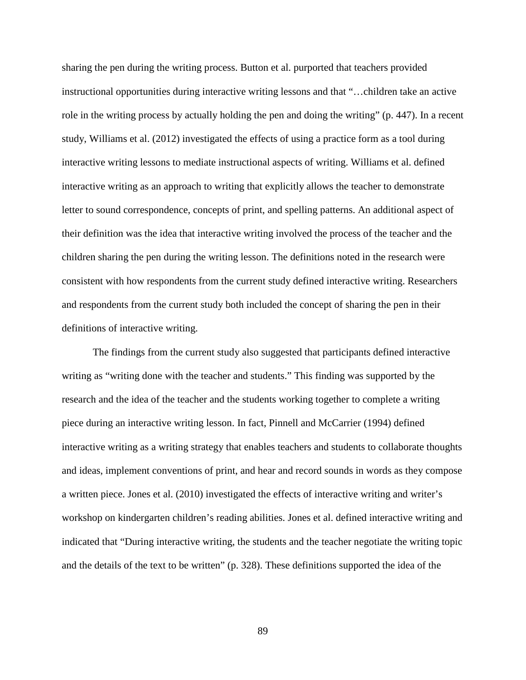sharing the pen during the writing process. Button et al. purported that teachers provided instructional opportunities during interactive writing lessons and that "…children take an active role in the writing process by actually holding the pen and doing the writing" (p. 447). In a recent study, Williams et al. (2012) investigated the effects of using a practice form as a tool during interactive writing lessons to mediate instructional aspects of writing. Williams et al. defined interactive writing as an approach to writing that explicitly allows the teacher to demonstrate letter to sound correspondence, concepts of print, and spelling patterns. An additional aspect of their definition was the idea that interactive writing involved the process of the teacher and the children sharing the pen during the writing lesson. The definitions noted in the research were consistent with how respondents from the current study defined interactive writing. Researchers and respondents from the current study both included the concept of sharing the pen in their definitions of interactive writing.

The findings from the current study also suggested that participants defined interactive writing as "writing done with the teacher and students." This finding was supported by the research and the idea of the teacher and the students working together to complete a writing piece during an interactive writing lesson. In fact, Pinnell and McCarrier (1994) defined interactive writing as a writing strategy that enables teachers and students to collaborate thoughts and ideas, implement conventions of print, and hear and record sounds in words as they compose a written piece. Jones et al. (2010) investigated the effects of interactive writing and writer's workshop on kindergarten children's reading abilities. Jones et al. defined interactive writing and indicated that "During interactive writing, the students and the teacher negotiate the writing topic and the details of the text to be written" (p. 328). These definitions supported the idea of the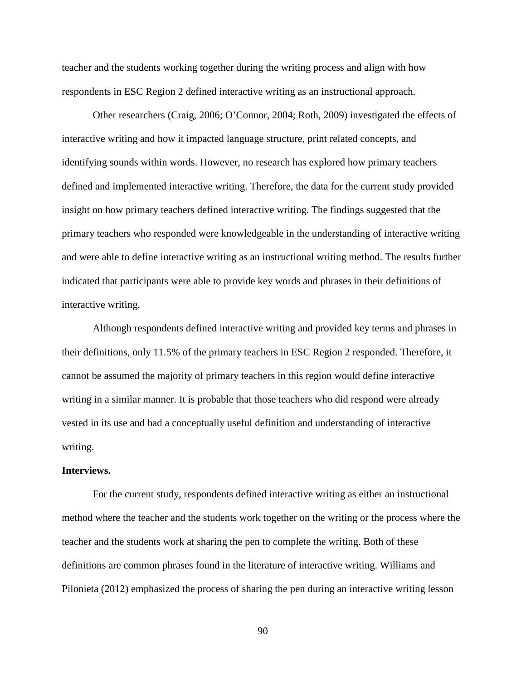teacher and the students working together during the writing process and align with how respondents in ESC Region 2 defined interactive writing as an instructional approach.

Other researchers (Craig, 2006; O'Connor, 2004; Roth, 2009) investigated the effects of interactive writing and how it impacted language structure, print related concepts, and identifying sounds within words. However, no research has explored how primary teachers defined and implemented interactive writing. Therefore, the data for the current study provided insight on how primary teachers defined interactive writing. The findings suggested that the primary teachers who responded were knowledgeable in the understanding of interactive writing and were able to define interactive writing as an instructional writing method. The results further indicated that participants were able to provide key words and phrases in their definitions of interactive writing.

Although respondents defined interactive writing and provided key terms and phrases in their definitions, only 11.5% of the primary teachers in ESC Region 2 responded. Therefore, it cannot be assumed the majority of primary teachers in this region would define interactive writing in a similar manner. It is probable that those teachers who did respond were already vested in its use and had a conceptually useful definition and understanding of interactive writing.

#### **Interviews.**

For the current study, respondents defined interactive writing as either an instructional method where the teacher and the students work together on the writing or the process where the teacher and the students work at sharing the pen to complete the writing. Both of these definitions are common phrases found in the literature of interactive writing. Williams and Pilonieta (2012) emphasized the process of sharing the pen during an interactive writing lesson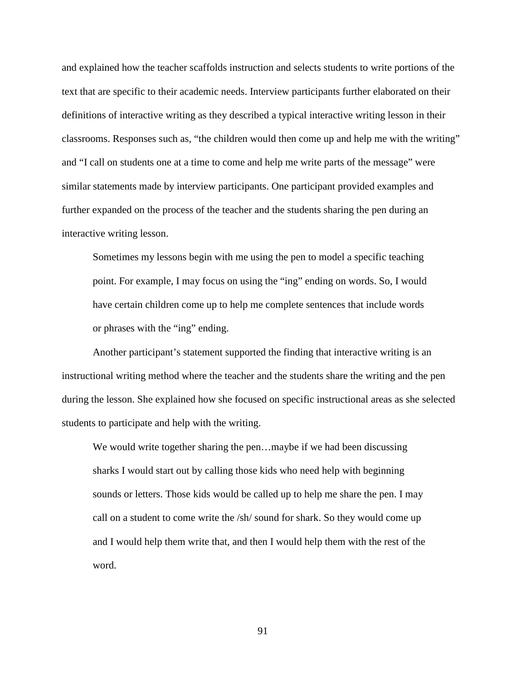and explained how the teacher scaffolds instruction and selects students to write portions of the text that are specific to their academic needs. Interview participants further elaborated on their definitions of interactive writing as they described a typical interactive writing lesson in their classrooms. Responses such as, "the children would then come up and help me with the writing" and "I call on students one at a time to come and help me write parts of the message" were similar statements made by interview participants. One participant provided examples and further expanded on the process of the teacher and the students sharing the pen during an interactive writing lesson.

Sometimes my lessons begin with me using the pen to model a specific teaching point. For example, I may focus on using the "ing" ending on words. So, I would have certain children come up to help me complete sentences that include words or phrases with the "ing" ending.

 Another participant's statement supported the finding that interactive writing is an instructional writing method where the teacher and the students share the writing and the pen during the lesson. She explained how she focused on specific instructional areas as she selected students to participate and help with the writing.

 We would write together sharing the pen…maybe if we had been discussing sharks I would start out by calling those kids who need help with beginning sounds or letters. Those kids would be called up to help me share the pen. I may call on a student to come write the /sh/ sound for shark. So they would come up and I would help them write that, and then I would help them with the rest of the word.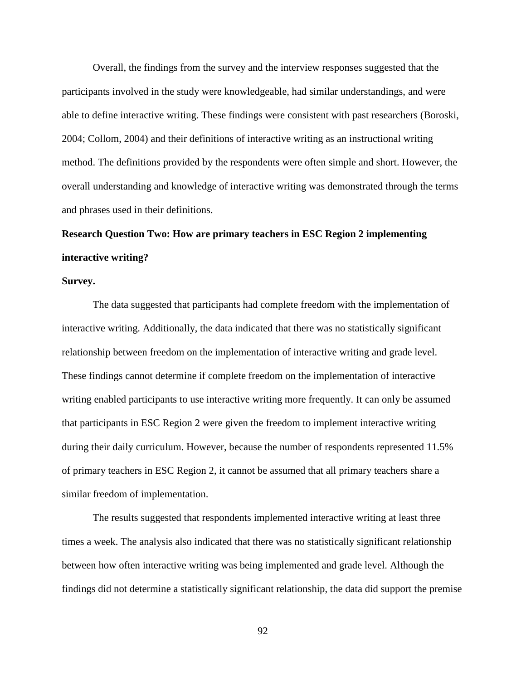Overall, the findings from the survey and the interview responses suggested that the participants involved in the study were knowledgeable, had similar understandings, and were able to define interactive writing. These findings were consistent with past researchers (Boroski, 2004; Collom, 2004) and their definitions of interactive writing as an instructional writing method. The definitions provided by the respondents were often simple and short. However, the overall understanding and knowledge of interactive writing was demonstrated through the terms and phrases used in their definitions.

## **Research Question Two: How are primary teachers in ESC Region 2 implementing interactive writing?**

### **Survey.**

The data suggested that participants had complete freedom with the implementation of interactive writing. Additionally, the data indicated that there was no statistically significant relationship between freedom on the implementation of interactive writing and grade level. These findings cannot determine if complete freedom on the implementation of interactive writing enabled participants to use interactive writing more frequently. It can only be assumed that participants in ESC Region 2 were given the freedom to implement interactive writing during their daily curriculum. However, because the number of respondents represented 11.5% of primary teachers in ESC Region 2, it cannot be assumed that all primary teachers share a similar freedom of implementation.

The results suggested that respondents implemented interactive writing at least three times a week. The analysis also indicated that there was no statistically significant relationship between how often interactive writing was being implemented and grade level. Although the findings did not determine a statistically significant relationship, the data did support the premise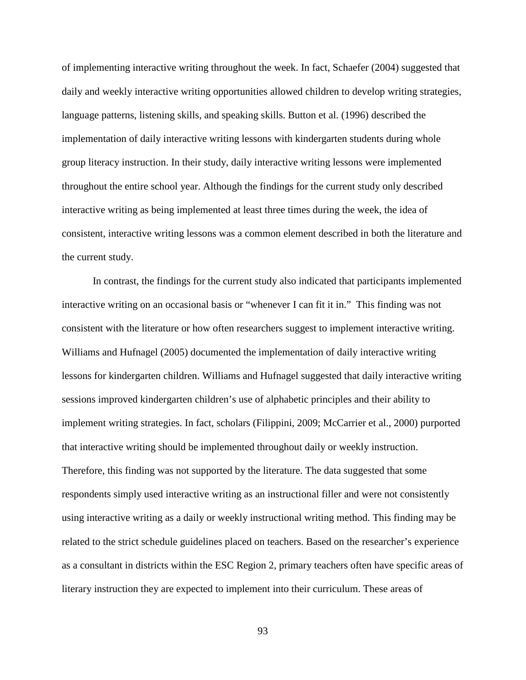of implementing interactive writing throughout the week. In fact, Schaefer (2004) suggested that daily and weekly interactive writing opportunities allowed children to develop writing strategies, language patterns, listening skills, and speaking skills. Button et al. (1996) described the implementation of daily interactive writing lessons with kindergarten students during whole group literacy instruction. In their study, daily interactive writing lessons were implemented throughout the entire school year. Although the findings for the current study only described interactive writing as being implemented at least three times during the week, the idea of consistent, interactive writing lessons was a common element described in both the literature and the current study.

 In contrast, the findings for the current study also indicated that participants implemented interactive writing on an occasional basis or "whenever I can fit it in." This finding was not consistent with the literature or how often researchers suggest to implement interactive writing. Williams and Hufnagel (2005) documented the implementation of daily interactive writing lessons for kindergarten children. Williams and Hufnagel suggested that daily interactive writing sessions improved kindergarten children's use of alphabetic principles and their ability to implement writing strategies. In fact, scholars (Filippini, 2009; McCarrier et al., 2000) purported that interactive writing should be implemented throughout daily or weekly instruction. Therefore, this finding was not supported by the literature. The data suggested that some respondents simply used interactive writing as an instructional filler and were not consistently using interactive writing as a daily or weekly instructional writing method. This finding may be related to the strict schedule guidelines placed on teachers. Based on the researcher's experience as a consultant in districts within the ESC Region 2, primary teachers often have specific areas of literary instruction they are expected to implement into their curriculum. These areas of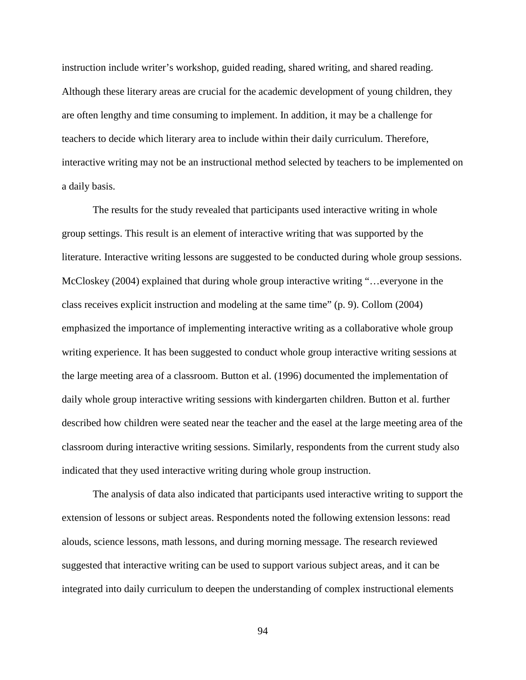instruction include writer's workshop, guided reading, shared writing, and shared reading. Although these literary areas are crucial for the academic development of young children, they are often lengthy and time consuming to implement. In addition, it may be a challenge for teachers to decide which literary area to include within their daily curriculum. Therefore, interactive writing may not be an instructional method selected by teachers to be implemented on a daily basis.

The results for the study revealed that participants used interactive writing in whole group settings. This result is an element of interactive writing that was supported by the literature. Interactive writing lessons are suggested to be conducted during whole group sessions. McCloskey (2004) explained that during whole group interactive writing "…everyone in the class receives explicit instruction and modeling at the same time" (p. 9). Collom (2004) emphasized the importance of implementing interactive writing as a collaborative whole group writing experience. It has been suggested to conduct whole group interactive writing sessions at the large meeting area of a classroom. Button et al. (1996) documented the implementation of daily whole group interactive writing sessions with kindergarten children. Button et al. further described how children were seated near the teacher and the easel at the large meeting area of the classroom during interactive writing sessions. Similarly, respondents from the current study also indicated that they used interactive writing during whole group instruction.

The analysis of data also indicated that participants used interactive writing to support the extension of lessons or subject areas. Respondents noted the following extension lessons: read alouds, science lessons, math lessons, and during morning message. The research reviewed suggested that interactive writing can be used to support various subject areas, and it can be integrated into daily curriculum to deepen the understanding of complex instructional elements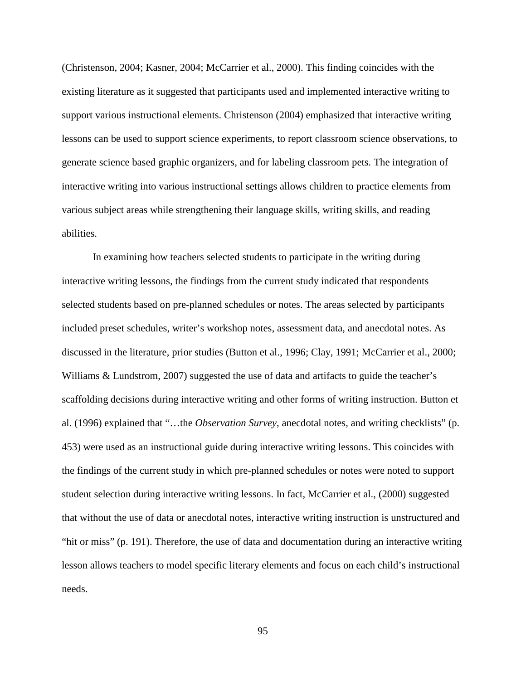(Christenson, 2004; Kasner, 2004; McCarrier et al., 2000). This finding coincides with the existing literature as it suggested that participants used and implemented interactive writing to support various instructional elements. Christenson (2004) emphasized that interactive writing lessons can be used to support science experiments, to report classroom science observations, to generate science based graphic organizers, and for labeling classroom pets. The integration of interactive writing into various instructional settings allows children to practice elements from various subject areas while strengthening their language skills, writing skills, and reading abilities.

In examining how teachers selected students to participate in the writing during interactive writing lessons, the findings from the current study indicated that respondents selected students based on pre-planned schedules or notes. The areas selected by participants included preset schedules, writer's workshop notes, assessment data, and anecdotal notes. As discussed in the literature, prior studies (Button et al., 1996; Clay, 1991; McCarrier et al., 2000; Williams & Lundstrom, 2007) suggested the use of data and artifacts to guide the teacher's scaffolding decisions during interactive writing and other forms of writing instruction. Button et al. (1996) explained that "…the *Observation Survey*, anecdotal notes, and writing checklists" (p. 453) were used as an instructional guide during interactive writing lessons. This coincides with the findings of the current study in which pre-planned schedules or notes were noted to support student selection during interactive writing lessons. In fact, McCarrier et al., (2000) suggested that without the use of data or anecdotal notes, interactive writing instruction is unstructured and "hit or miss" (p. 191). Therefore, the use of data and documentation during an interactive writing lesson allows teachers to model specific literary elements and focus on each child's instructional needs.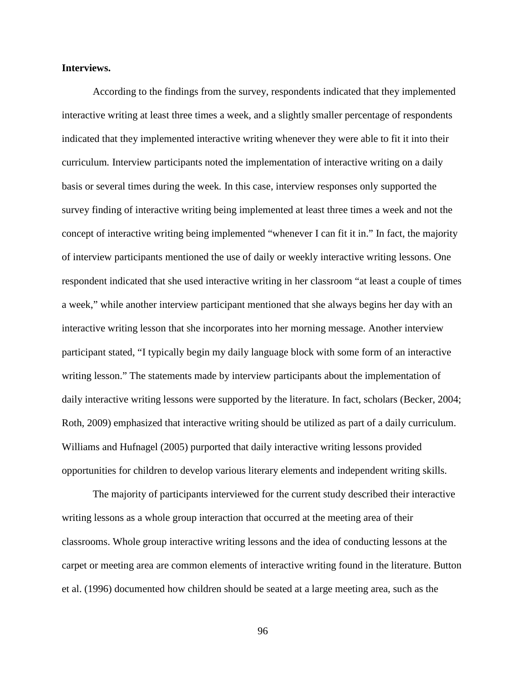### **Interviews.**

According to the findings from the survey, respondents indicated that they implemented interactive writing at least three times a week, and a slightly smaller percentage of respondents indicated that they implemented interactive writing whenever they were able to fit it into their curriculum*.* Interview participants noted the implementation of interactive writing on a daily basis or several times during the week*.* In this case, interview responses only supported the survey finding of interactive writing being implemented at least three times a week and not the concept of interactive writing being implemented "whenever I can fit it in." In fact, the majority of interview participants mentioned the use of daily or weekly interactive writing lessons. One respondent indicated that she used interactive writing in her classroom "at least a couple of times a week," while another interview participant mentioned that she always begins her day with an interactive writing lesson that she incorporates into her morning message. Another interview participant stated, "I typically begin my daily language block with some form of an interactive writing lesson." The statements made by interview participants about the implementation of daily interactive writing lessons were supported by the literature. In fact, scholars (Becker, 2004; Roth, 2009) emphasized that interactive writing should be utilized as part of a daily curriculum. Williams and Hufnagel (2005) purported that daily interactive writing lessons provided opportunities for children to develop various literary elements and independent writing skills.

The majority of participants interviewed for the current study described their interactive writing lessons as a whole group interaction that occurred at the meeting area of their classrooms. Whole group interactive writing lessons and the idea of conducting lessons at the carpet or meeting area are common elements of interactive writing found in the literature. Button et al. (1996) documented how children should be seated at a large meeting area, such as the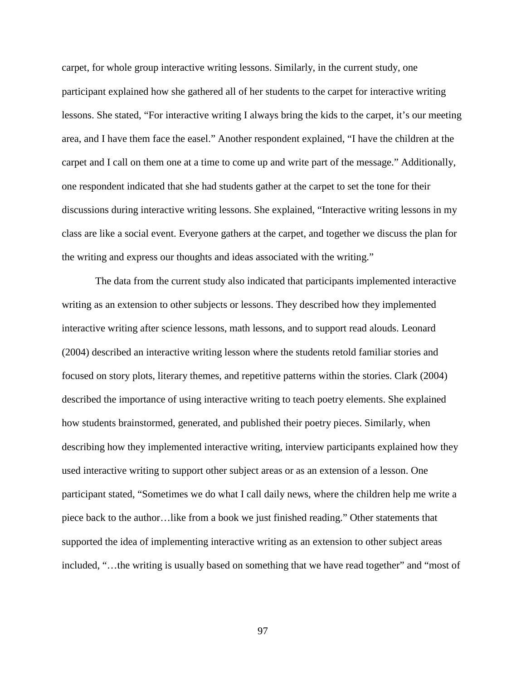carpet, for whole group interactive writing lessons. Similarly, in the current study, one participant explained how she gathered all of her students to the carpet for interactive writing lessons. She stated, "For interactive writing I always bring the kids to the carpet, it's our meeting area, and I have them face the easel." Another respondent explained, "I have the children at the carpet and I call on them one at a time to come up and write part of the message." Additionally, one respondent indicated that she had students gather at the carpet to set the tone for their discussions during interactive writing lessons. She explained, "Interactive writing lessons in my class are like a social event. Everyone gathers at the carpet, and together we discuss the plan for the writing and express our thoughts and ideas associated with the writing."

 The data from the current study also indicated that participants implemented interactive writing as an extension to other subjects or lessons. They described how they implemented interactive writing after science lessons, math lessons, and to support read alouds. Leonard (2004) described an interactive writing lesson where the students retold familiar stories and focused on story plots, literary themes, and repetitive patterns within the stories. Clark (2004) described the importance of using interactive writing to teach poetry elements. She explained how students brainstormed, generated, and published their poetry pieces. Similarly, when describing how they implemented interactive writing, interview participants explained how they used interactive writing to support other subject areas or as an extension of a lesson. One participant stated, "Sometimes we do what I call daily news, where the children help me write a piece back to the author…like from a book we just finished reading." Other statements that supported the idea of implementing interactive writing as an extension to other subject areas included, "…the writing is usually based on something that we have read together" and "most of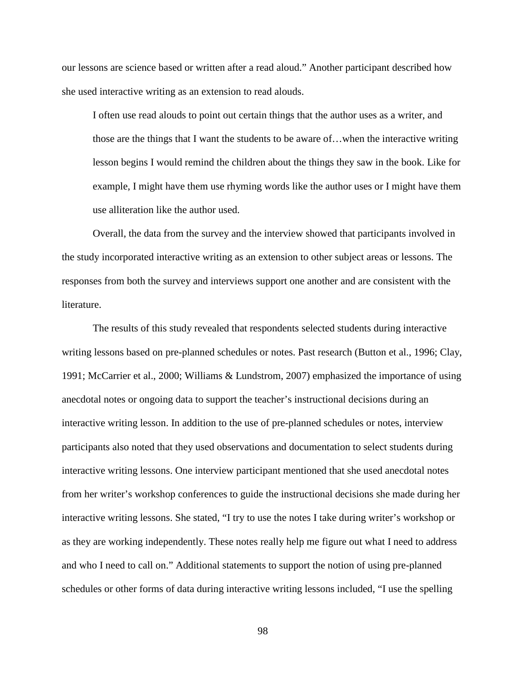our lessons are science based or written after a read aloud." Another participant described how she used interactive writing as an extension to read alouds.

I often use read alouds to point out certain things that the author uses as a writer, and those are the things that I want the students to be aware of…when the interactive writing lesson begins I would remind the children about the things they saw in the book. Like for example, I might have them use rhyming words like the author uses or I might have them use alliteration like the author used.

 Overall, the data from the survey and the interview showed that participants involved in the study incorporated interactive writing as an extension to other subject areas or lessons. The responses from both the survey and interviews support one another and are consistent with the literature.

The results of this study revealed that respondents selected students during interactive writing lessons based on pre-planned schedules or notes. Past research (Button et al., 1996; Clay, 1991; McCarrier et al., 2000; Williams & Lundstrom, 2007) emphasized the importance of using anecdotal notes or ongoing data to support the teacher's instructional decisions during an interactive writing lesson. In addition to the use of pre-planned schedules or notes, interview participants also noted that they used observations and documentation to select students during interactive writing lessons. One interview participant mentioned that she used anecdotal notes from her writer's workshop conferences to guide the instructional decisions she made during her interactive writing lessons. She stated, "I try to use the notes I take during writer's workshop or as they are working independently. These notes really help me figure out what I need to address and who I need to call on." Additional statements to support the notion of using pre-planned schedules or other forms of data during interactive writing lessons included, "I use the spelling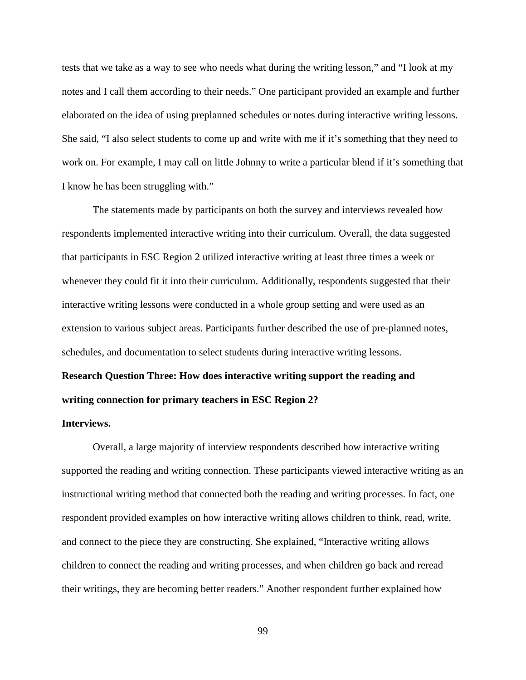tests that we take as a way to see who needs what during the writing lesson," and "I look at my notes and I call them according to their needs." One participant provided an example and further elaborated on the idea of using preplanned schedules or notes during interactive writing lessons. She said, "I also select students to come up and write with me if it's something that they need to work on. For example, I may call on little Johnny to write a particular blend if it's something that I know he has been struggling with."

The statements made by participants on both the survey and interviews revealed how respondents implemented interactive writing into their curriculum. Overall, the data suggested that participants in ESC Region 2 utilized interactive writing at least three times a week or whenever they could fit it into their curriculum. Additionally, respondents suggested that their interactive writing lessons were conducted in a whole group setting and were used as an extension to various subject areas. Participants further described the use of pre-planned notes, schedules, and documentation to select students during interactive writing lessons.

# **Research Question Three: How does interactive writing support the reading and writing connection for primary teachers in ESC Region 2?**

#### **Interviews.**

Overall, a large majority of interview respondents described how interactive writing supported the reading and writing connection. These participants viewed interactive writing as an instructional writing method that connected both the reading and writing processes. In fact, one respondent provided examples on how interactive writing allows children to think, read, write, and connect to the piece they are constructing. She explained, "Interactive writing allows children to connect the reading and writing processes, and when children go back and reread their writings, they are becoming better readers." Another respondent further explained how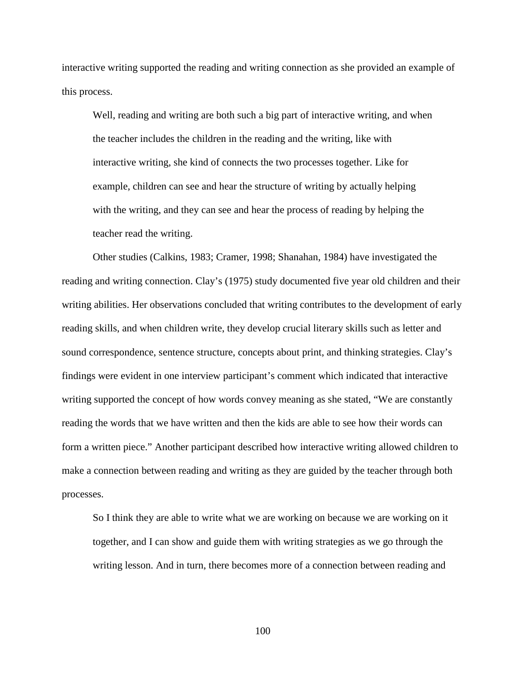interactive writing supported the reading and writing connection as she provided an example of this process.

Well, reading and writing are both such a big part of interactive writing, and when the teacher includes the children in the reading and the writing, like with interactive writing, she kind of connects the two processes together. Like for example, children can see and hear the structure of writing by actually helping with the writing, and they can see and hear the process of reading by helping the teacher read the writing.

 Other studies (Calkins, 1983; Cramer, 1998; Shanahan, 1984) have investigated the reading and writing connection. Clay's (1975) study documented five year old children and their writing abilities. Her observations concluded that writing contributes to the development of early reading skills, and when children write, they develop crucial literary skills such as letter and sound correspondence, sentence structure, concepts about print, and thinking strategies. Clay's findings were evident in one interview participant's comment which indicated that interactive writing supported the concept of how words convey meaning as she stated, "We are constantly reading the words that we have written and then the kids are able to see how their words can form a written piece." Another participant described how interactive writing allowed children to make a connection between reading and writing as they are guided by the teacher through both processes.

So I think they are able to write what we are working on because we are working on it together, and I can show and guide them with writing strategies as we go through the writing lesson. And in turn, there becomes more of a connection between reading and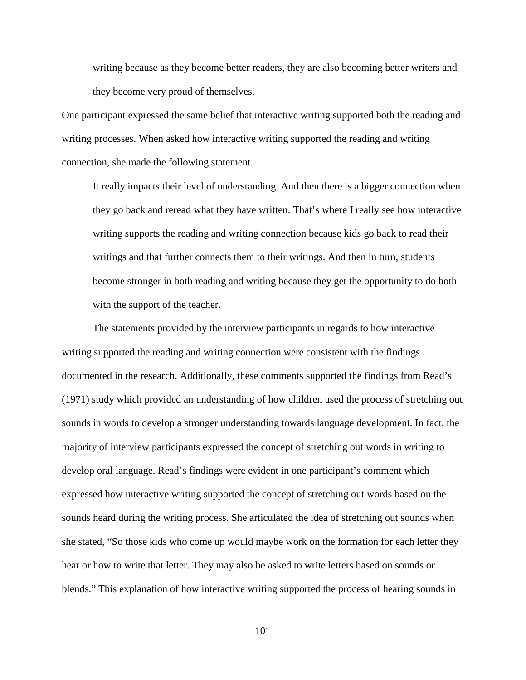writing because as they become better readers, they are also becoming better writers and they become very proud of themselves.

One participant expressed the same belief that interactive writing supported both the reading and writing processes. When asked how interactive writing supported the reading and writing connection, she made the following statement.

It really impacts their level of understanding. And then there is a bigger connection when they go back and reread what they have written. That's where I really see how interactive writing supports the reading and writing connection because kids go back to read their writings and that further connects them to their writings. And then in turn, students become stronger in both reading and writing because they get the opportunity to do both with the support of the teacher.

The statements provided by the interview participants in regards to how interactive writing supported the reading and writing connection were consistent with the findings documented in the research. Additionally, these comments supported the findings from Read's (1971) study which provided an understanding of how children used the process of stretching out sounds in words to develop a stronger understanding towards language development. In fact, the majority of interview participants expressed the concept of stretching out words in writing to develop oral language. Read's findings were evident in one participant's comment which expressed how interactive writing supported the concept of stretching out words based on the sounds heard during the writing process. She articulated the idea of stretching out sounds when she stated, "So those kids who come up would maybe work on the formation for each letter they hear or how to write that letter. They may also be asked to write letters based on sounds or blends." This explanation of how interactive writing supported the process of hearing sounds in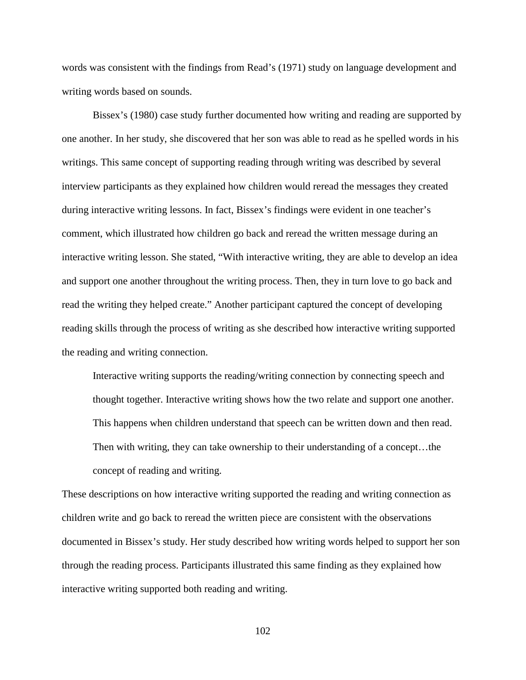words was consistent with the findings from Read's (1971) study on language development and writing words based on sounds.

 Bissex's (1980) case study further documented how writing and reading are supported by one another. In her study, she discovered that her son was able to read as he spelled words in his writings. This same concept of supporting reading through writing was described by several interview participants as they explained how children would reread the messages they created during interactive writing lessons. In fact, Bissex's findings were evident in one teacher's comment, which illustrated how children go back and reread the written message during an interactive writing lesson. She stated, "With interactive writing, they are able to develop an idea and support one another throughout the writing process. Then, they in turn love to go back and read the writing they helped create." Another participant captured the concept of developing reading skills through the process of writing as she described how interactive writing supported the reading and writing connection.

Interactive writing supports the reading/writing connection by connecting speech and thought together. Interactive writing shows how the two relate and support one another. This happens when children understand that speech can be written down and then read. Then with writing, they can take ownership to their understanding of a concept…the concept of reading and writing.

These descriptions on how interactive writing supported the reading and writing connection as children write and go back to reread the written piece are consistent with the observations documented in Bissex's study. Her study described how writing words helped to support her son through the reading process. Participants illustrated this same finding as they explained how interactive writing supported both reading and writing.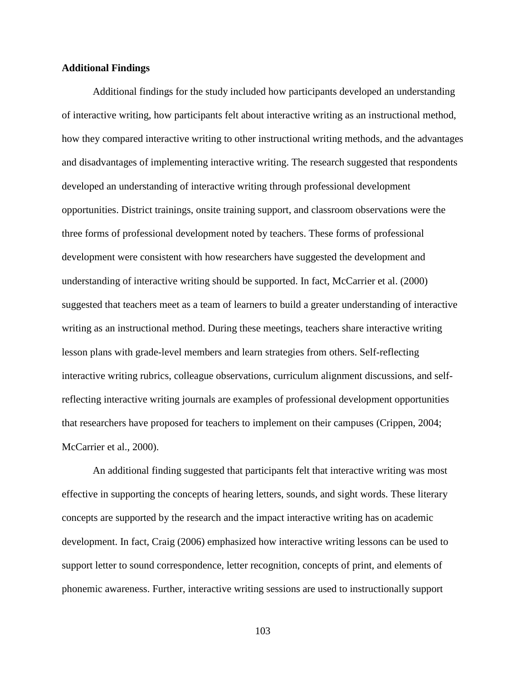#### **Additional Findings**

 Additional findings for the study included how participants developed an understanding of interactive writing, how participants felt about interactive writing as an instructional method, how they compared interactive writing to other instructional writing methods, and the advantages and disadvantages of implementing interactive writing. The research suggested that respondents developed an understanding of interactive writing through professional development opportunities. District trainings, onsite training support, and classroom observations were the three forms of professional development noted by teachers. These forms of professional development were consistent with how researchers have suggested the development and understanding of interactive writing should be supported. In fact, McCarrier et al. (2000) suggested that teachers meet as a team of learners to build a greater understanding of interactive writing as an instructional method. During these meetings, teachers share interactive writing lesson plans with grade-level members and learn strategies from others. Self-reflecting interactive writing rubrics, colleague observations, curriculum alignment discussions, and selfreflecting interactive writing journals are examples of professional development opportunities that researchers have proposed for teachers to implement on their campuses (Crippen, 2004; McCarrier et al., 2000).

An additional finding suggested that participants felt that interactive writing was most effective in supporting the concepts of hearing letters, sounds, and sight words. These literary concepts are supported by the research and the impact interactive writing has on academic development. In fact, Craig (2006) emphasized how interactive writing lessons can be used to support letter to sound correspondence, letter recognition, concepts of print, and elements of phonemic awareness. Further, interactive writing sessions are used to instructionally support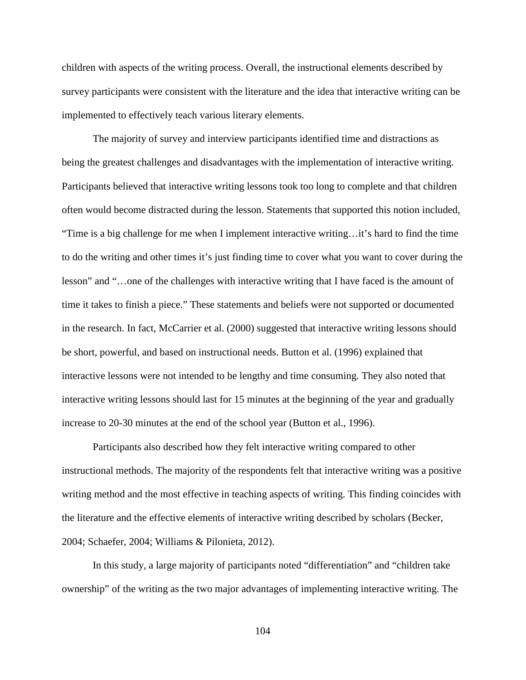children with aspects of the writing process. Overall, the instructional elements described by survey participants were consistent with the literature and the idea that interactive writing can be implemented to effectively teach various literary elements.

The majority of survey and interview participants identified time and distractions as being the greatest challenges and disadvantages with the implementation of interactive writing. Participants believed that interactive writing lessons took too long to complete and that children often would become distracted during the lesson. Statements that supported this notion included, "Time is a big challenge for me when I implement interactive writing…it's hard to find the time to do the writing and other times it's just finding time to cover what you want to cover during the lesson" and "…one of the challenges with interactive writing that I have faced is the amount of time it takes to finish a piece." These statements and beliefs were not supported or documented in the research. In fact, McCarrier et al. (2000) suggested that interactive writing lessons should be short, powerful, and based on instructional needs. Button et al. (1996) explained that interactive lessons were not intended to be lengthy and time consuming. They also noted that interactive writing lessons should last for 15 minutes at the beginning of the year and gradually increase to 20-30 minutes at the end of the school year (Button et al., 1996).

Participants also described how they felt interactive writing compared to other instructional methods. The majority of the respondents felt that interactive writing was a positive writing method and the most effective in teaching aspects of writing. This finding coincides with the literature and the effective elements of interactive writing described by scholars (Becker, 2004; Schaefer, 2004; Williams & Pilonieta, 2012).

 In this study, a large majority of participants noted "differentiation" and "children take ownership" of the writing as the two major advantages of implementing interactive writing. The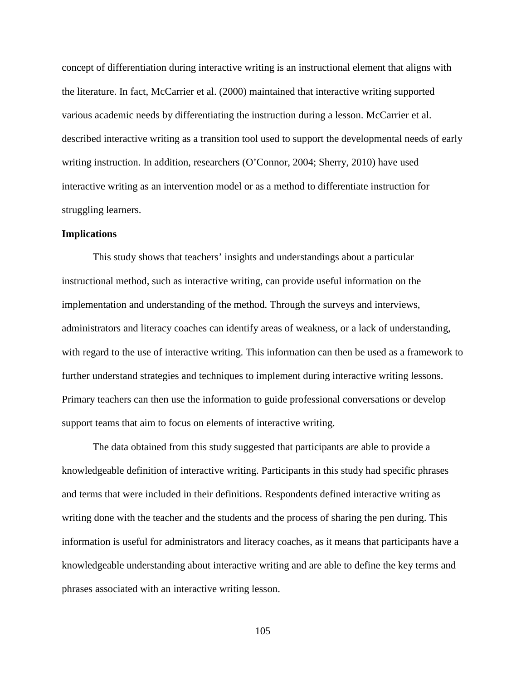concept of differentiation during interactive writing is an instructional element that aligns with the literature. In fact, McCarrier et al. (2000) maintained that interactive writing supported various academic needs by differentiating the instruction during a lesson. McCarrier et al. described interactive writing as a transition tool used to support the developmental needs of early writing instruction. In addition, researchers (O'Connor, 2004; Sherry, 2010) have used interactive writing as an intervention model or as a method to differentiate instruction for struggling learners.

#### **Implications**

This study shows that teachers' insights and understandings about a particular instructional method, such as interactive writing, can provide useful information on the implementation and understanding of the method. Through the surveys and interviews, administrators and literacy coaches can identify areas of weakness, or a lack of understanding, with regard to the use of interactive writing. This information can then be used as a framework to further understand strategies and techniques to implement during interactive writing lessons. Primary teachers can then use the information to guide professional conversations or develop support teams that aim to focus on elements of interactive writing.

The data obtained from this study suggested that participants are able to provide a knowledgeable definition of interactive writing. Participants in this study had specific phrases and terms that were included in their definitions. Respondents defined interactive writing as writing done with the teacher and the students and the process of sharing the pen during. This information is useful for administrators and literacy coaches, as it means that participants have a knowledgeable understanding about interactive writing and are able to define the key terms and phrases associated with an interactive writing lesson.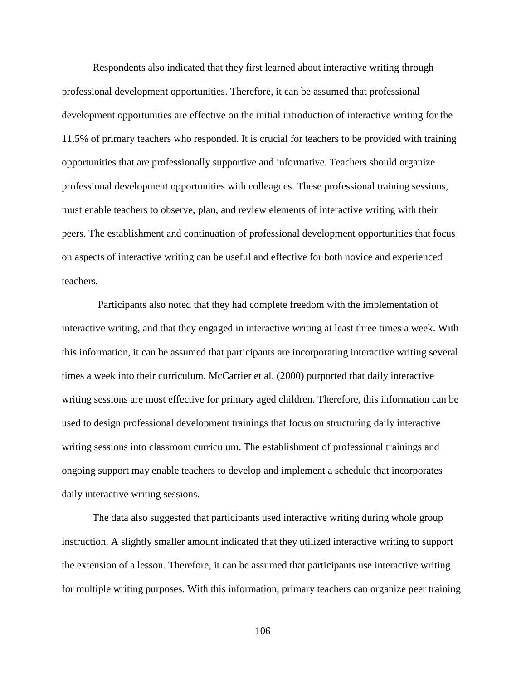Respondents also indicated that they first learned about interactive writing through professional development opportunities. Therefore, it can be assumed that professional development opportunities are effective on the initial introduction of interactive writing for the 11.5% of primary teachers who responded. It is crucial for teachers to be provided with training opportunities that are professionally supportive and informative. Teachers should organize professional development opportunities with colleagues. These professional training sessions, must enable teachers to observe, plan, and review elements of interactive writing with their peers. The establishment and continuation of professional development opportunities that focus on aspects of interactive writing can be useful and effective for both novice and experienced teachers.

 Participants also noted that they had complete freedom with the implementation of interactive writing, and that they engaged in interactive writing at least three times a week. With this information, it can be assumed that participants are incorporating interactive writing several times a week into their curriculum. McCarrier et al. (2000) purported that daily interactive writing sessions are most effective for primary aged children. Therefore, this information can be used to design professional development trainings that focus on structuring daily interactive writing sessions into classroom curriculum. The establishment of professional trainings and ongoing support may enable teachers to develop and implement a schedule that incorporates daily interactive writing sessions.

The data also suggested that participants used interactive writing during whole group instruction. A slightly smaller amount indicated that they utilized interactive writing to support the extension of a lesson. Therefore, it can be assumed that participants use interactive writing for multiple writing purposes. With this information, primary teachers can organize peer training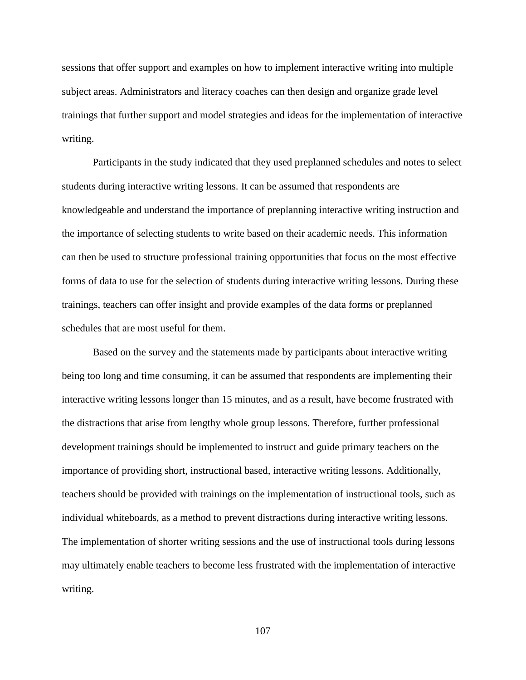sessions that offer support and examples on how to implement interactive writing into multiple subject areas. Administrators and literacy coaches can then design and organize grade level trainings that further support and model strategies and ideas for the implementation of interactive writing.

Participants in the study indicated that they used preplanned schedules and notes to select students during interactive writing lessons. It can be assumed that respondents are knowledgeable and understand the importance of preplanning interactive writing instruction and the importance of selecting students to write based on their academic needs. This information can then be used to structure professional training opportunities that focus on the most effective forms of data to use for the selection of students during interactive writing lessons. During these trainings, teachers can offer insight and provide examples of the data forms or preplanned schedules that are most useful for them.

Based on the survey and the statements made by participants about interactive writing being too long and time consuming, it can be assumed that respondents are implementing their interactive writing lessons longer than 15 minutes, and as a result, have become frustrated with the distractions that arise from lengthy whole group lessons. Therefore, further professional development trainings should be implemented to instruct and guide primary teachers on the importance of providing short, instructional based, interactive writing lessons. Additionally, teachers should be provided with trainings on the implementation of instructional tools, such as individual whiteboards, as a method to prevent distractions during interactive writing lessons. The implementation of shorter writing sessions and the use of instructional tools during lessons may ultimately enable teachers to become less frustrated with the implementation of interactive writing.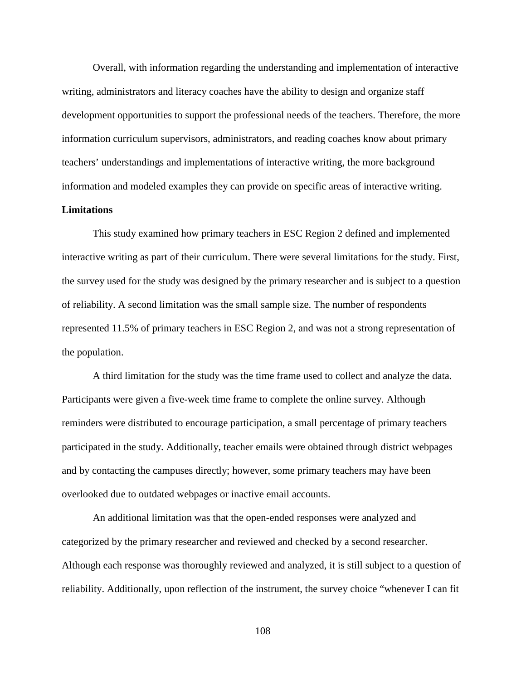Overall, with information regarding the understanding and implementation of interactive writing, administrators and literacy coaches have the ability to design and organize staff development opportunities to support the professional needs of the teachers. Therefore, the more information curriculum supervisors, administrators, and reading coaches know about primary teachers' understandings and implementations of interactive writing, the more background information and modeled examples they can provide on specific areas of interactive writing.

#### **Limitations**

This study examined how primary teachers in ESC Region 2 defined and implemented interactive writing as part of their curriculum. There were several limitations for the study. First, the survey used for the study was designed by the primary researcher and is subject to a question of reliability. A second limitation was the small sample size. The number of respondents represented 11.5% of primary teachers in ESC Region 2, and was not a strong representation of the population.

 A third limitation for the study was the time frame used to collect and analyze the data. Participants were given a five-week time frame to complete the online survey. Although reminders were distributed to encourage participation, a small percentage of primary teachers participated in the study. Additionally, teacher emails were obtained through district webpages and by contacting the campuses directly; however, some primary teachers may have been overlooked due to outdated webpages or inactive email accounts.

 An additional limitation was that the open-ended responses were analyzed and categorized by the primary researcher and reviewed and checked by a second researcher. Although each response was thoroughly reviewed and analyzed, it is still subject to a question of reliability. Additionally, upon reflection of the instrument, the survey choice "whenever I can fit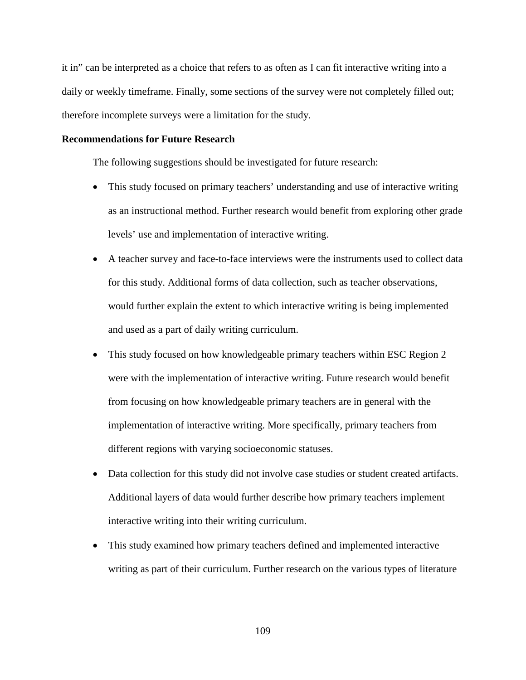it in" can be interpreted as a choice that refers to as often as I can fit interactive writing into a daily or weekly timeframe. Finally, some sections of the survey were not completely filled out; therefore incomplete surveys were a limitation for the study.

#### **Recommendations for Future Research**

The following suggestions should be investigated for future research:

- This study focused on primary teachers' understanding and use of interactive writing as an instructional method. Further research would benefit from exploring other grade levels' use and implementation of interactive writing.
- A teacher survey and face-to-face interviews were the instruments used to collect data for this study. Additional forms of data collection, such as teacher observations, would further explain the extent to which interactive writing is being implemented and used as a part of daily writing curriculum.
- This study focused on how knowledgeable primary teachers within ESC Region 2 were with the implementation of interactive writing. Future research would benefit from focusing on how knowledgeable primary teachers are in general with the implementation of interactive writing. More specifically, primary teachers from different regions with varying socioeconomic statuses.
- Data collection for this study did not involve case studies or student created artifacts. Additional layers of data would further describe how primary teachers implement interactive writing into their writing curriculum.
- This study examined how primary teachers defined and implemented interactive writing as part of their curriculum. Further research on the various types of literature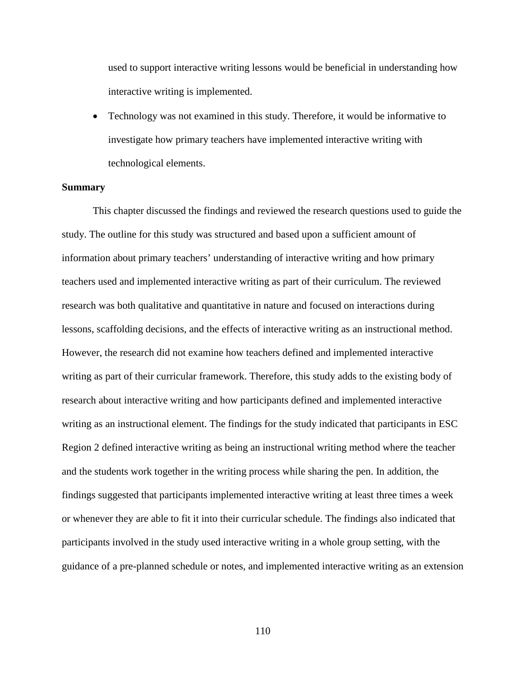used to support interactive writing lessons would be beneficial in understanding how interactive writing is implemented.

• Technology was not examined in this study. Therefore, it would be informative to investigate how primary teachers have implemented interactive writing with technological elements.

#### **Summary**

 This chapter discussed the findings and reviewed the research questions used to guide the study. The outline for this study was structured and based upon a sufficient amount of information about primary teachers' understanding of interactive writing and how primary teachers used and implemented interactive writing as part of their curriculum. The reviewed research was both qualitative and quantitative in nature and focused on interactions during lessons, scaffolding decisions, and the effects of interactive writing as an instructional method. However, the research did not examine how teachers defined and implemented interactive writing as part of their curricular framework. Therefore, this study adds to the existing body of research about interactive writing and how participants defined and implemented interactive writing as an instructional element. The findings for the study indicated that participants in ESC Region 2 defined interactive writing as being an instructional writing method where the teacher and the students work together in the writing process while sharing the pen. In addition, the findings suggested that participants implemented interactive writing at least three times a week or whenever they are able to fit it into their curricular schedule. The findings also indicated that participants involved in the study used interactive writing in a whole group setting, with the guidance of a pre-planned schedule or notes, and implemented interactive writing as an extension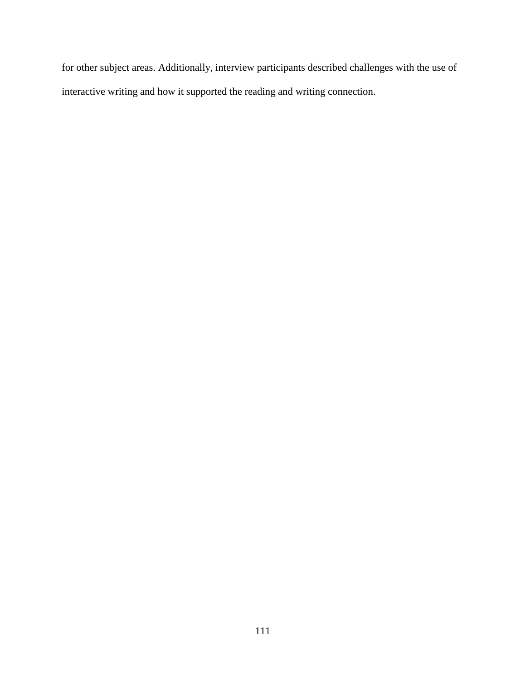for other subject areas. Additionally, interview participants described challenges with the use of interactive writing and how it supported the reading and writing connection.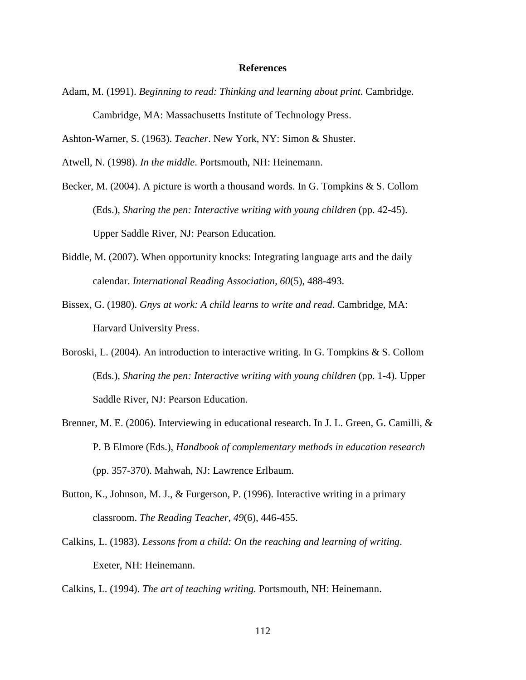#### **References**

Adam, M. (1991). *Beginning to read: Thinking and learning about print*. Cambridge. Cambridge, MA: Massachusetts Institute of Technology Press.

Ashton-Warner, S. (1963). *Teacher*. New York, NY: Simon & Shuster.

Atwell, N. (1998). *In the middle*. Portsmouth, NH: Heinemann.

Becker, M. (2004). A picture is worth a thousand words. In G. Tompkins & S. Collom (Eds.), *Sharing the pen: Interactive writing with young children* (pp. 42-45). Upper Saddle River, NJ: Pearson Education.

- Biddle, M. (2007). When opportunity knocks: Integrating language arts and the daily calendar. *International Reading Association, 60*(5), 488-493.
- Bissex, G. (1980). *Gnys at work: A child learns to write and read*. Cambridge, MA: Harvard University Press.
- Boroski, L. (2004). An introduction to interactive writing. In G. Tompkins & S. Collom (Eds.), *Sharing the pen: Interactive writing with young children* (pp. 1-4). Upper Saddle River, NJ: Pearson Education.
- Brenner, M. E. (2006). Interviewing in educational research. In J. L. Green, G. Camilli, & P. B Elmore (Eds.), *Handbook of complementary methods in education research* (pp. 357-370). Mahwah, NJ: Lawrence Erlbaum.
- Button, K., Johnson, M. J., & Furgerson, P. (1996). Interactive writing in a primary classroom. *The Reading Teacher, 49*(6), 446-455.
- Calkins, L. (1983). *Lessons from a child: On the reaching and learning of writing*. Exeter, NH: Heinemann.

Calkins, L. (1994). *The art of teaching writing.* Portsmouth, NH: Heinemann.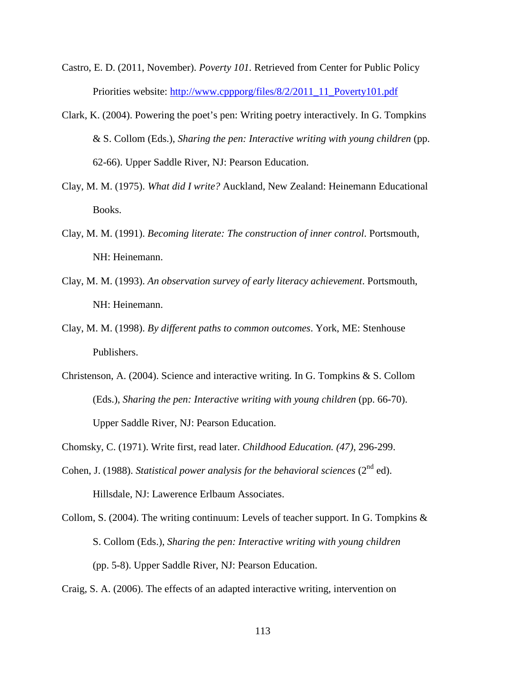Castro, E. D. (2011, November). *Poverty 101.* Retrieved from Center for Public Policy Priorities website: http://www.cppporg/files/8/2/2011\_11\_Poverty101.pdf

- Clark, K. (2004). Powering the poet's pen: Writing poetry interactively. In G. Tompkins & S. Collom (Eds.), *Sharing the pen: Interactive writing with young children* (pp. 62-66). Upper Saddle River, NJ: Pearson Education.
- Clay, M. M. (1975). *What did I write?* Auckland, New Zealand: Heinemann Educational Books.
- Clay, M. M. (1991). *Becoming literate: The construction of inner control*. Portsmouth, NH: Heinemann.
- Clay, M. M. (1993). *An observation survey of early literacy achievement*. Portsmouth, NH: Heinemann.
- Clay, M. M. (1998). *By different paths to common outcomes*. York, ME: Stenhouse Publishers.
- Christenson, A. (2004). Science and interactive writing. In G. Tompkins & S. Collom (Eds.), *Sharing the pen: Interactive writing with young children* (pp. 66-70). Upper Saddle River, NJ: Pearson Education.
- Chomsky, C. (1971). Write first, read later. *Childhood Education. (47)*, 296-299.
- Cohen, J. (1988). *Statistical power analysis for the behavioral sciences* ( $2<sup>nd</sup>$  ed). Hillsdale, NJ: Lawerence Erlbaum Associates.
- Collom, S. (2004). The writing continuum: Levels of teacher support. In G. Tompkins  $\&$ S. Collom (Eds.), *Sharing the pen: Interactive writing with young children* (pp. 5-8). Upper Saddle River, NJ: Pearson Education.

Craig, S. A. (2006). The effects of an adapted interactive writing, intervention on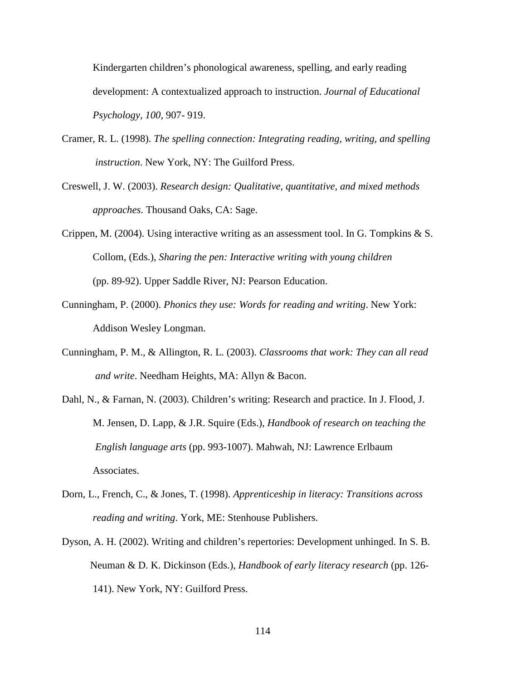Kindergarten children's phonological awareness, spelling, and early reading development: A contextualized approach to instruction. *Journal of Educational Psychology, 100*, 907- 919.

- Cramer, R. L. (1998). *The spelling connection: Integrating reading, writing, and spelling instruction*. New York, NY: The Guilford Press.
- Creswell, J. W. (2003). *Research design: Qualitative, quantitative, and mixed methods approaches*. Thousand Oaks, CA: Sage.
- Crippen, M. (2004). Using interactive writing as an assessment tool. In G. Tompkins & S. Collom, (Eds.), *Sharing the pen: Interactive writing with young children*  (pp. 89-92). Upper Saddle River, NJ: Pearson Education.
- Cunningham, P. (2000). *Phonics they use: Words for reading and writing*. New York: Addison Wesley Longman.
- Cunningham, P. M., & Allington, R. L. (2003). *Classrooms that work: They can all read and write*. Needham Heights, MA: Allyn & Bacon.
- Dahl, N., & Farnan, N. (2003). Children's writing: Research and practice. In J. Flood, J. M. Jensen, D. Lapp, & J.R. Squire (Eds.), *Handbook of research on teaching the English language arts* (pp. 993-1007). Mahwah, NJ: Lawrence Erlbaum Associates.
- Dorn, L., French, C., & Jones, T. (1998). *Apprenticeship in literacy: Transitions across reading and writing*. York, ME: Stenhouse Publishers.
- Dyson, A. H. (2002). Writing and children's repertories: Development unhinged. In S. B. Neuman & D. K. Dickinson (Eds.), *Handbook of early literacy research* (pp. 126- 141). New York, NY: Guilford Press.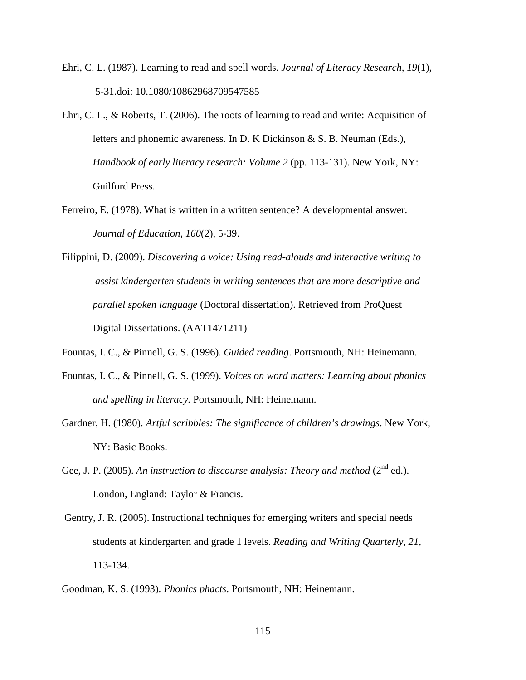- Ehri, C. L. (1987). Learning to read and spell words. *Journal of Literacy Research, 19*(1), 5-31.doi: 10.1080/10862968709547585
- Ehri, C. L., & Roberts, T. (2006). The roots of learning to read and write: Acquisition of letters and phonemic awareness. In D. K Dickinson & S. B. Neuman (Eds.), *Handbook of early literacy research: Volume 2* (pp. 113-131). New York, NY: Guilford Press.
- Ferreiro, E. (1978). What is written in a written sentence? A developmental answer. *Journal of Education, 160*(2), 5-39.
- Filippini, D. (2009). *Discovering a voice: Using read-alouds and interactive writing to assist kindergarten students in writing sentences that are more descriptive and parallel spoken language* (Doctoral dissertation). Retrieved from ProQuest Digital Dissertations. (AAT1471211)
- Fountas, I. C., & Pinnell, G. S. (1996). *Guided reading*. Portsmouth, NH: Heinemann.
- Fountas, I. C., & Pinnell, G. S. (1999). *Voices on word matters: Learning about phonics and spelling in literacy.* Portsmouth, NH: Heinemann.
- Gardner, H. (1980). *Artful scribbles: The significance of children's drawings*. New York, NY: Basic Books.
- Gee, J. P. (2005). An instruction to discourse analysis: Theory and method (2<sup>nd</sup> ed.). London, England: Taylor & Francis.
- Gentry, J. R. (2005). Instructional techniques for emerging writers and special needs students at kindergarten and grade 1 levels. *Reading and Writing Quarterly, 21*, 113-134.
- Goodman, K. S. (1993). *Phonics phacts*. Portsmouth, NH: Heinemann.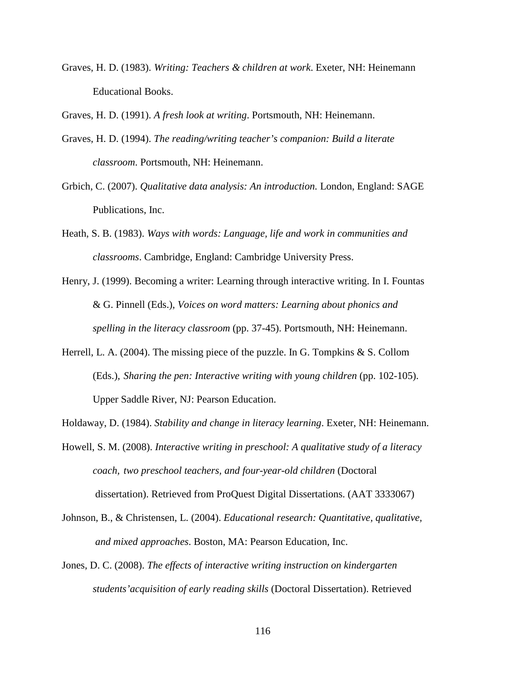Graves, H. D. (1983). *Writing: Teachers & children at work*. Exeter, NH: Heinemann Educational Books.

Graves, H. D. (1991). *A fresh look at writing*. Portsmouth, NH: Heinemann.

- Graves, H. D. (1994). *The reading/writing teacher's companion: Build a literate classroom*. Portsmouth, NH: Heinemann.
- Grbich, C. (2007). *Qualitative data analysis: An introduction.* London, England: SAGE Publications, Inc.
- Heath, S. B. (1983). *Ways with words: Language, life and work in communities and classrooms*. Cambridge, England: Cambridge University Press.
- Henry, J. (1999). Becoming a writer: Learning through interactive writing. In I. Fountas & G. Pinnell (Eds.), *Voices on word matters: Learning about phonics and spelling in the literacy classroom* (pp. 37-45). Portsmouth, NH: Heinemann.
- Herrell, L. A. (2004). The missing piece of the puzzle. In G. Tompkins & S. Collom (Eds.), *Sharing the pen: Interactive writing with young children* (pp. 102-105). Upper Saddle River, NJ: Pearson Education.
- Holdaway, D. (1984). *Stability and change in literacy learning*. Exeter, NH: Heinemann.
- Howell, S. M. (2008). *Interactive writing in preschool: A qualitative study of a literacy coach, two preschool teachers, and four-year-old children* (Doctoral dissertation). Retrieved from ProQuest Digital Dissertations. (AAT 3333067)
- Johnson, B., & Christensen, L. (2004). *Educational research: Quantitative, qualitative, and mixed approaches*. Boston, MA: Pearson Education, Inc.
- Jones, D. C. (2008). *The effects of interactive writing instruction on kindergarten students'acquisition of early reading skills* (Doctoral Dissertation). Retrieved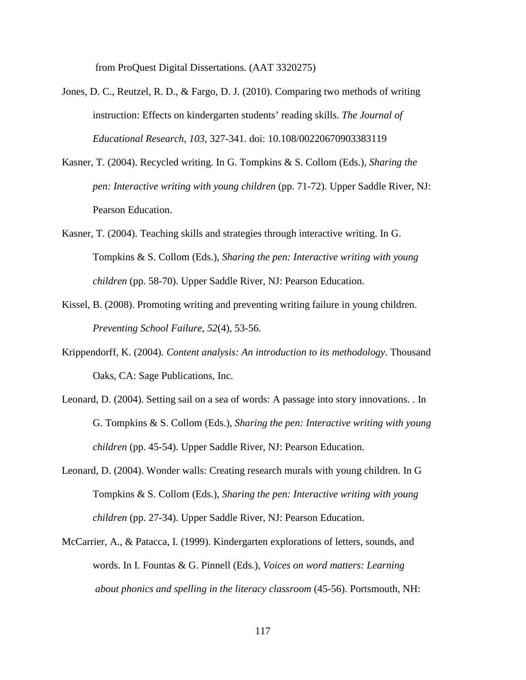from ProQuest Digital Dissertations. (AAT 3320275)

- Jones, D. C., Reutzel, R. D., & Fargo, D. J. (2010). Comparing two methods of writing instruction: Effects on kindergarten students' reading skills. *The Journal of Educational Research, 103*, 327-341. doi: 10.108/00220670903383119
- Kasner, T. (2004). Recycled writing. In G. Tompkins & S. Collom (Eds.), *Sharing the pen: Interactive writing with young children* (pp. 71-72). Upper Saddle River, NJ: Pearson Education.
- Kasner, T. (2004). Teaching skills and strategies through interactive writing. In G. Tompkins & S. Collom (Eds.), *Sharing the pen: Interactive writing with young children* (pp. 58-70). Upper Saddle River, NJ: Pearson Education.
- Kissel, B. (2008). Promoting writing and preventing writing failure in young children. *Preventing School Failure, 52*(4), 53-56.
- Krippendorff, K. (2004). *Content analysis: An introduction to its methodology*. Thousand Oaks, CA: Sage Publications, Inc.
- Leonard, D. (2004). Setting sail on a sea of words: A passage into story innovations. . In G. Tompkins & S. Collom (Eds.), *Sharing the pen: Interactive writing with young children* (pp. 45-54). Upper Saddle River, NJ: Pearson Education.
- Leonard, D. (2004). Wonder walls: Creating research murals with young children. In G Tompkins & S. Collom (Eds.), *Sharing the pen: Interactive writing with young children* (pp. 27-34). Upper Saddle River, NJ: Pearson Education.
- McCarrier, A., & Patacca, I. (1999). Kindergarten explorations of letters, sounds, and words. In I. Fountas & G. Pinnell (Eds.), *Voices on word matters: Learning about phonics and spelling in the literacy classroom* (45-56). Portsmouth, NH: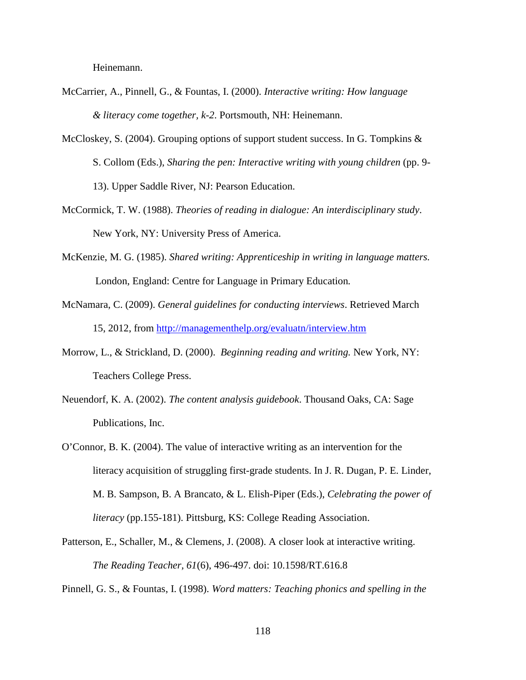Heinemann.

- McCarrier, A., Pinnell, G., & Fountas, I. (2000). *Interactive writing: How language & literacy come together, k-2*. Portsmouth, NH: Heinemann.
- McCloskey, S. (2004). Grouping options of support student success. In G. Tompkins & S. Collom (Eds.), *Sharing the pen: Interactive writing with young children* (pp. 9- 13). Upper Saddle River, NJ: Pearson Education.
- McCormick, T. W. (1988). *Theories of reading in dialogue: An interdisciplinary study*. New York, NY: University Press of America.
- McKenzie, M. G. (1985). *Shared writing: Apprenticeship in writing in language matters.*  London, England: Centre for Language in Primary Education*.*
- McNamara, C. (2009). *General guidelines for conducting interviews*. Retrieved March 15, 2012, from http://managementhelp.org/evaluatn/interview.htm
- Morrow, L., & Strickland, D. (2000). *Beginning reading and writing.* New York, NY: Teachers College Press.
- Neuendorf, K. A. (2002). *The content analysis guidebook*. Thousand Oaks, CA: Sage Publications, Inc.
- O'Connor, B. K. (2004). The value of interactive writing as an intervention for the literacy acquisition of struggling first-grade students. In J. R. Dugan, P. E. Linder, M. B. Sampson, B. A Brancato, & L. Elish-Piper (Eds.), *Celebrating the power of literacy* (pp.155-181). Pittsburg, KS: College Reading Association.
- Patterson, E., Schaller, M., & Clemens, J. (2008). A closer look at interactive writing. *The Reading Teacher, 61*(6), 496-497. doi: 10.1598/RT.616.8

Pinnell, G. S., & Fountas, I. (1998). *Word matters: Teaching phonics and spelling in the*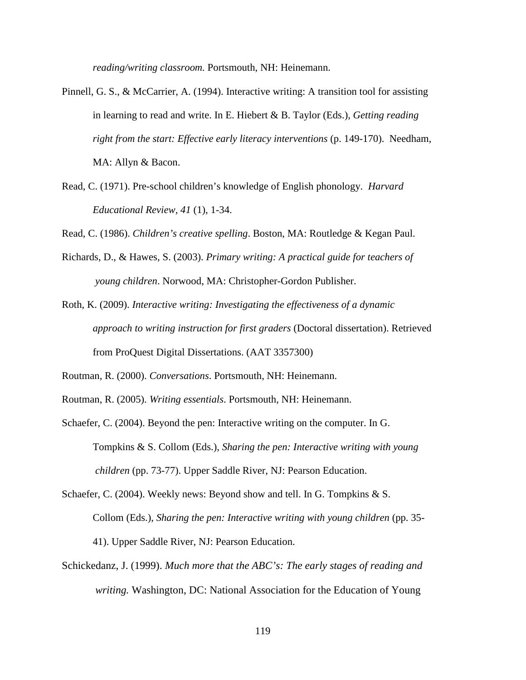*reading/writing classroom.* Portsmouth, NH: Heinemann.

- Pinnell, G. S., & McCarrier, A. (1994). Interactive writing: A transition tool for assisting in learning to read and write. In E. Hiebert & B. Taylor (Eds.), *Getting reading right from the start: Effective early literacy interventions* (p. 149-170). Needham, MA: Allyn & Bacon.
- Read, C. (1971). Pre-school children's knowledge of English phonology. *Harvard Educational Review, 41* (1), 1-34.

Read, C. (1986). *Children's creative spelling*. Boston, MA: Routledge & Kegan Paul.

- Richards, D., & Hawes, S. (2003). *Primary writing: A practical guide for teachers of young children*. Norwood, MA: Christopher-Gordon Publisher.
- Roth, K. (2009). *Interactive writing: Investigating the effectiveness of a dynamic approach to writing instruction for first graders* (Doctoral dissertation). Retrieved from ProQuest Digital Dissertations. (AAT 3357300)
- Routman, R. (2000). *Conversations*. Portsmouth, NH: Heinemann.
- Routman, R. (2005). *Writing essentials*. Portsmouth, NH: Heinemann.
- Schaefer, C. (2004). Beyond the pen: Interactive writing on the computer. In G. Tompkins & S. Collom (Eds.), *Sharing the pen: Interactive writing with young children* (pp. 73-77). Upper Saddle River, NJ: Pearson Education.
- Schaefer, C. (2004). Weekly news: Beyond show and tell. In G. Tompkins & S. Collom (Eds.), *Sharing the pen: Interactive writing with young children* (pp. 35- 41). Upper Saddle River, NJ: Pearson Education.
- Schickedanz, J. (1999). *Much more that the ABC's: The early stages of reading and writing.* Washington, DC: National Association for the Education of Young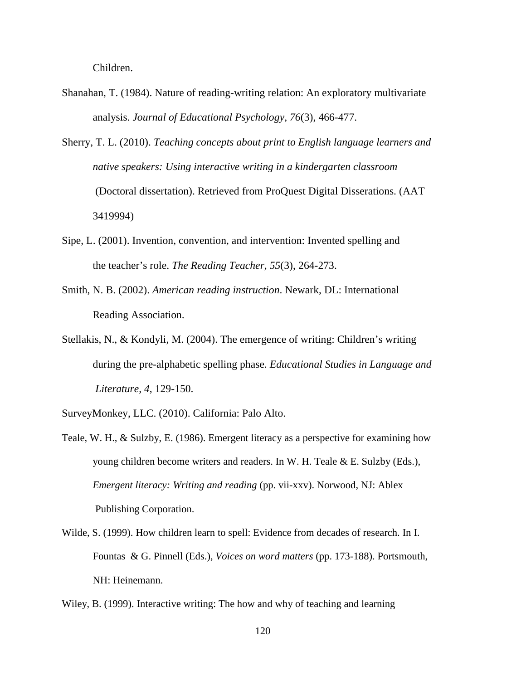Children.

- Shanahan, T. (1984). Nature of reading-writing relation: An exploratory multivariate analysis. *Journal of Educational Psychology, 76*(3), 466-477.
- Sherry, T. L. (2010). *Teaching concepts about print to English language learners and native speakers: Using interactive writing in a kindergarten classroom*  (Doctoral dissertation). Retrieved from ProQuest Digital Disserations. (AAT 3419994)
- Sipe, L. (2001). Invention, convention, and intervention: Invented spelling and the teacher's role. *The Reading Teacher*, *55*(3), 264-273.
- Smith, N. B. (2002). *American reading instruction*. Newark, DL: International Reading Association.
- Stellakis, N., & Kondyli, M. (2004). The emergence of writing: Children's writing during the pre-alphabetic spelling phase. *Educational Studies in Language and Literature, 4*, 129-150.
- SurveyMonkey, LLC. (2010). California: Palo Alto.
- Teale, W. H., & Sulzby, E. (1986). Emergent literacy as a perspective for examining how young children become writers and readers. In W. H. Teale & E. Sulzby (Eds.), *Emergent literacy: Writing and reading* (pp. vii-xxv). Norwood, NJ: Ablex Publishing Corporation.
- Wilde, S. (1999). How children learn to spell: Evidence from decades of research. In I. Fountas & G. Pinnell (Eds.), *Voices on word matters* (pp. 173-188). Portsmouth, NH: Heinemann.
- Wiley, B. (1999). Interactive writing: The how and why of teaching and learning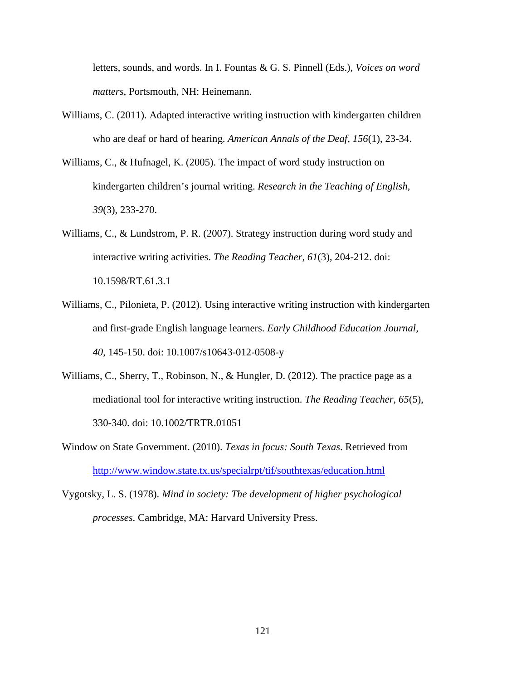letters, sounds, and words. In I. Fountas & G. S. Pinnell (Eds.), *Voices on word matters*, Portsmouth, NH: Heinemann.

- Williams, C. (2011). Adapted interactive writing instruction with kindergarten children who are deaf or hard of hearing. *American Annals of the Deaf, 156*(1), 23-34.
- Williams, C., & Hufnagel, K. (2005). The impact of word study instruction on kindergarten children's journal writing. *Research in the Teaching of English, 39*(3), 233-270.
- Williams, C., & Lundstrom, P. R. (2007). Strategy instruction during word study and interactive writing activities. *The Reading Teacher, 61*(3), 204-212. doi: 10.1598/RT.61.3.1
- Williams, C., Pilonieta, P. (2012). Using interactive writing instruction with kindergarten and first-grade English language learners. *Early Childhood Education Journal, 40*, 145-150. doi: 10.1007/s10643-012-0508-y
- Williams, C., Sherry, T., Robinson, N., & Hungler, D. (2012). The practice page as a mediational tool for interactive writing instruction. *The Reading Teacher, 65*(5), 330-340. doi: 10.1002/TRTR.01051
- Window on State Government. (2010). *Texas in focus: South Texas*. Retrieved from http://www.window.state.tx.us/specialrpt/tif/southtexas/education.html
- Vygotsky, L. S. (1978). *Mind in society: The development of higher psychological processes*. Cambridge, MA: Harvard University Press.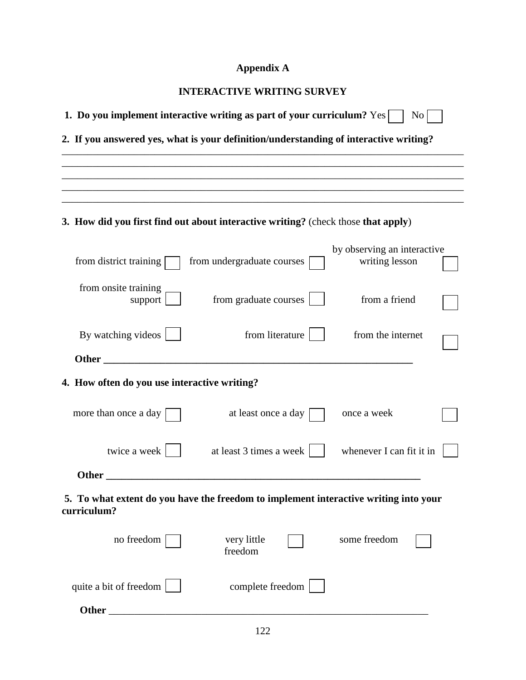# **Appendix A**

|                                                                                                     | 1. Do you implement interactive writing as part of your curriculum? Yes<br>N <sub>0</sub> |                                                                                                                                                                                                                                      |                                               |  |
|-----------------------------------------------------------------------------------------------------|-------------------------------------------------------------------------------------------|--------------------------------------------------------------------------------------------------------------------------------------------------------------------------------------------------------------------------------------|-----------------------------------------------|--|
|                                                                                                     |                                                                                           | 2. If you answered yes, what is your definition/understanding of interactive writing?                                                                                                                                                |                                               |  |
|                                                                                                     |                                                                                           |                                                                                                                                                                                                                                      |                                               |  |
|                                                                                                     |                                                                                           |                                                                                                                                                                                                                                      |                                               |  |
|                                                                                                     | 3. How did you first find out about interactive writing? (check those that apply)         |                                                                                                                                                                                                                                      |                                               |  |
|                                                                                                     | from district training                                                                    | from undergraduate courses                                                                                                                                                                                                           | by observing an interactive<br>writing lesson |  |
|                                                                                                     | from onsite training<br>support                                                           | from graduate courses                                                                                                                                                                                                                | from a friend                                 |  |
|                                                                                                     | By watching videos                                                                        | from literature                                                                                                                                                                                                                      | from the internet                             |  |
|                                                                                                     |                                                                                           | Other <u>the contract of the contract of the contract of the contract of the contract of the contract of the contract of the contract of the contract of the contract of the contract of the contract of the contract of the con</u> |                                               |  |
|                                                                                                     | 4. How often do you use interactive writing?                                              |                                                                                                                                                                                                                                      |                                               |  |
|                                                                                                     | more than once a day                                                                      | at least once a day                                                                                                                                                                                                                  | once a week                                   |  |
|                                                                                                     | twice a week                                                                              | at least 3 times a week                                                                                                                                                                                                              | whenever I can fit it in                      |  |
|                                                                                                     | <b>Other</b>                                                                              |                                                                                                                                                                                                                                      |                                               |  |
| 5. To what extent do you have the freedom to implement interactive writing into your<br>curriculum? |                                                                                           |                                                                                                                                                                                                                                      |                                               |  |
|                                                                                                     | no freedom                                                                                | very little<br>freedom                                                                                                                                                                                                               | some freedom                                  |  |
|                                                                                                     | quite a bit of freedom                                                                    | complete freedom                                                                                                                                                                                                                     |                                               |  |
|                                                                                                     | Other                                                                                     |                                                                                                                                                                                                                                      |                                               |  |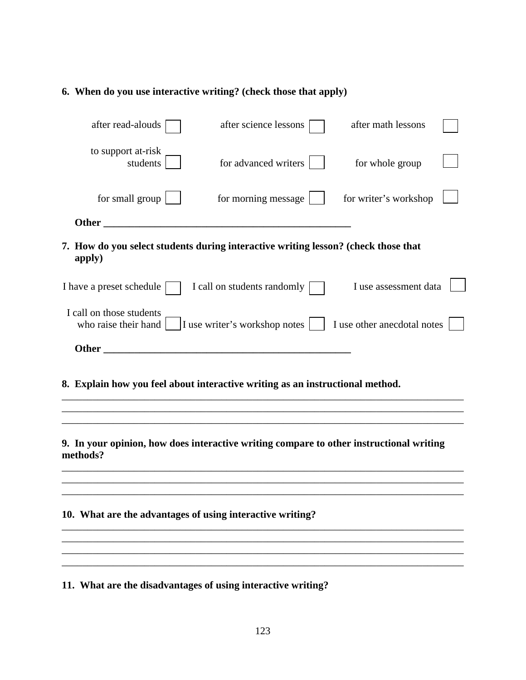# **6. When do you use interactive writing? (check those that apply)**

| after read-alouds                                                                                   | after science lessons                                                                                                      | after math lessons    |
|-----------------------------------------------------------------------------------------------------|----------------------------------------------------------------------------------------------------------------------------|-----------------------|
| to support at-risk<br>students                                                                      | for advanced writers                                                                                                       | for whole group       |
| for small group $\boxed{\phantom{a}}$                                                               | for morning message                                                                                                        | for writer's workshop |
| Other                                                                                               |                                                                                                                            |                       |
| 7. How do you select students during interactive writing lesson? (check those that<br>apply)        |                                                                                                                            |                       |
| I have a preset schedule                                                                            | I call on students randomly [                                                                                              | I use assessment data |
| I call on those students                                                                            | who raise their hand $\boxed{\phantom{a}}$ I use writer's workshop notes $\boxed{\phantom{a}}$ I use other anecdotal notes |                       |
|                                                                                                     |                                                                                                                            |                       |
| 8. Explain how you feel about interactive writing as an instructional method.                       |                                                                                                                            |                       |
| 9. In your opinion, how does interactive writing compare to other instructional writing<br>methods? |                                                                                                                            |                       |
| 10. What are the advantages of using interactive writing?                                           |                                                                                                                            |                       |
| 11. What are the disadvantages of using interactive writing?                                        |                                                                                                                            |                       |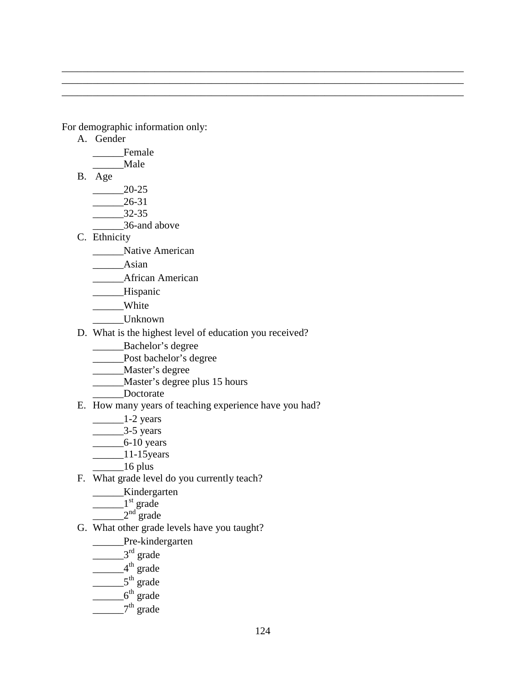For demographic information only:

- A. Gender
	- \_\_\_\_\_\_Female
	- \_\_\_\_\_\_Male
- B. Age
	- \_\_\_\_\_\_20-25 \_\_\_\_\_\_26-31
	- \_\_\_\_\_\_32-35
	- \_\_\_\_\_\_36-and above
- C. Ethnicity
	- \_\_\_\_\_\_Native American
	- \_\_\_\_\_\_Asian
	- \_\_\_\_\_\_African American
	- \_\_\_\_\_\_Hispanic
	- \_\_\_\_\_White
	- \_\_\_\_\_\_Unknown
- D. What is the highest level of education you received?
	- \_\_\_\_\_\_Bachelor's degree
	- \_\_\_\_\_\_Post bachelor's degree
	- \_\_\_\_\_\_Master's degree
	- \_\_\_\_\_\_Master's degree plus 15 hours
	- Doctorate
- E. How many years of teaching experience have you had?
	- $\frac{1-2 \text{ years}}{2}$
	- $\frac{3-5 \text{ years}}{2}$
	- \_\_\_\_\_\_6-10 years
	- \_\_\_\_\_\_\_\_\_\_\_11-15years
	- $16$  plus
- F. What grade level do you currently teach?
	- \_\_\_\_\_\_Kindergarten
	- $\frac{1}{s}$  grade
	- $2<sup>nd</sup>$  grade
- G. What other grade levels have you taught?
	- \_\_\_\_\_\_Pre-kindergarten
	- $\frac{3^{rd}}{2^{rd}}$  grade
	- $\frac{1}{4}$ th grade
	- $5^{th}$  grade
	- $\frac{1}{2}$ 6<sup>th</sup> grade
	- $2^{th}$  grade

\_\_\_\_\_\_\_\_\_\_\_\_\_\_\_\_\_\_\_\_\_\_\_\_\_\_\_\_\_\_\_\_\_\_\_\_\_\_\_\_\_\_\_\_\_\_\_\_\_\_\_\_\_\_\_\_\_\_\_\_\_\_\_\_\_\_\_\_\_\_\_\_\_\_\_\_\_\_ \_\_\_\_\_\_\_\_\_\_\_\_\_\_\_\_\_\_\_\_\_\_\_\_\_\_\_\_\_\_\_\_\_\_\_\_\_\_\_\_\_\_\_\_\_\_\_\_\_\_\_\_\_\_\_\_\_\_\_\_\_\_\_\_\_\_\_\_\_\_\_\_\_\_\_\_\_\_ \_\_\_\_\_\_\_\_\_\_\_\_\_\_\_\_\_\_\_\_\_\_\_\_\_\_\_\_\_\_\_\_\_\_\_\_\_\_\_\_\_\_\_\_\_\_\_\_\_\_\_\_\_\_\_\_\_\_\_\_\_\_\_\_\_\_\_\_\_\_\_\_\_\_\_\_\_\_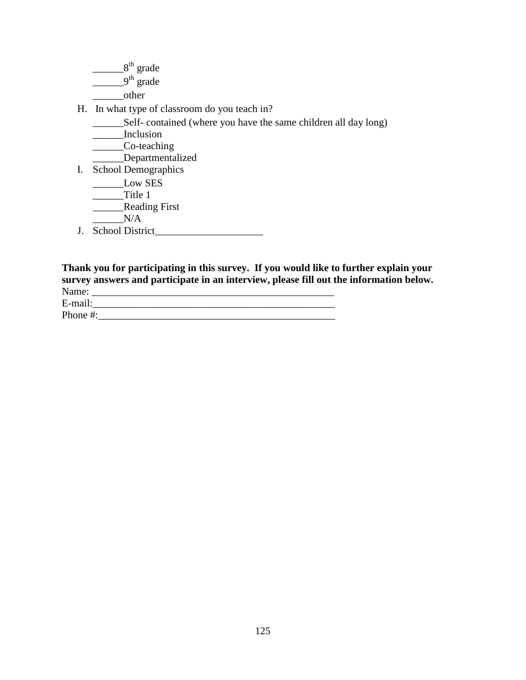$2^{\text{th}}$  grade  $9<sup>th</sup>$  grade \_\_\_\_\_\_\_other

H. In what type of classroom do you teach in?

\_\_\_\_\_\_Self- contained (where you have the same children all day long)

\_\_\_\_\_\_Inclusion

\_\_\_\_\_\_Co-teaching

\_\_\_\_\_\_Departmentalized

I. School Demographics

\_\_\_\_\_\_Low SES

\_\_\_\_\_\_Title 1

\_\_\_\_\_\_Reading First

 $N/A$ 

J. School District\_\_\_\_\_\_\_\_\_\_\_\_\_\_\_\_\_\_\_\_\_

**Thank you for participating in this survey. If you would like to further explain your survey answers and participate in an interview, please fill out the information below.**  Name: \_\_\_\_\_\_\_\_\_\_\_\_\_\_\_\_\_\_\_\_\_\_\_\_\_\_\_\_\_\_\_\_\_\_\_\_\_\_\_\_\_\_\_\_\_\_\_ E-mail:\_\_\_\_\_\_\_\_\_\_\_\_\_\_\_\_\_\_\_\_\_\_\_\_\_\_\_\_\_\_\_\_\_\_\_\_\_\_\_\_\_\_\_\_\_\_\_

Phone #:\_\_\_\_\_\_\_\_\_\_\_\_\_\_\_\_\_\_\_\_\_\_\_\_\_\_\_\_\_\_\_\_\_\_\_\_\_\_\_\_\_\_\_\_\_\_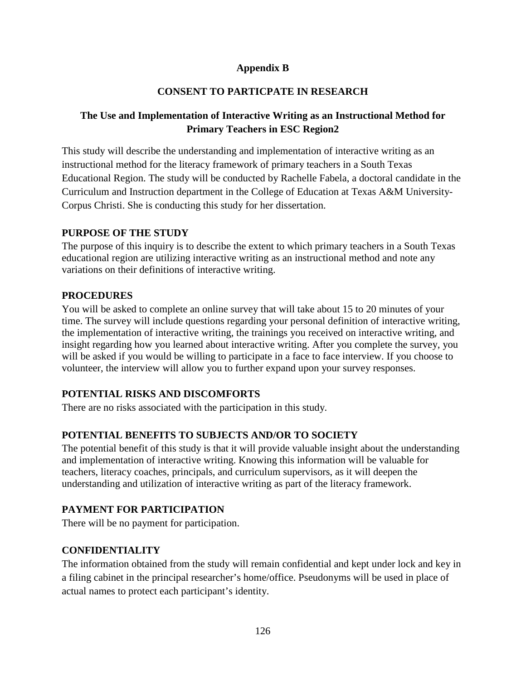#### **Appendix B**

# **CONSENT TO PARTICPATE IN RESEARCH**

# **The Use and Implementation of Interactive Writing as an Instructional Method for Primary Teachers in ESC Region2**

This study will describe the understanding and implementation of interactive writing as an instructional method for the literacy framework of primary teachers in a South Texas Educational Region. The study will be conducted by Rachelle Fabela, a doctoral candidate in the Curriculum and Instruction department in the College of Education at Texas A&M University-Corpus Christi. She is conducting this study for her dissertation.

#### **PURPOSE OF THE STUDY**

The purpose of this inquiry is to describe the extent to which primary teachers in a South Texas educational region are utilizing interactive writing as an instructional method and note any variations on their definitions of interactive writing.

# **PROCEDURES**

You will be asked to complete an online survey that will take about 15 to 20 minutes of your time. The survey will include questions regarding your personal definition of interactive writing, the implementation of interactive writing, the trainings you received on interactive writing, and insight regarding how you learned about interactive writing. After you complete the survey, you will be asked if you would be willing to participate in a face to face interview. If you choose to volunteer, the interview will allow you to further expand upon your survey responses.

# **POTENTIAL RISKS AND DISCOMFORTS**

There are no risks associated with the participation in this study.

# **POTENTIAL BENEFITS TO SUBJECTS AND/OR TO SOCIETY**

The potential benefit of this study is that it will provide valuable insight about the understanding and implementation of interactive writing. Knowing this information will be valuable for teachers, literacy coaches, principals, and curriculum supervisors, as it will deepen the understanding and utilization of interactive writing as part of the literacy framework.

# **PAYMENT FOR PARTICIPATION**

There will be no payment for participation.

# **CONFIDENTIALITY**

The information obtained from the study will remain confidential and kept under lock and key in a filing cabinet in the principal researcher's home/office. Pseudonyms will be used in place of actual names to protect each participant's identity.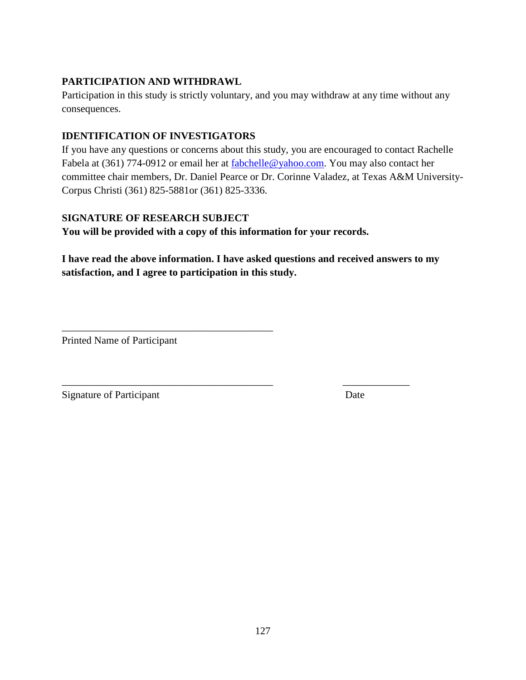# **PARTICIPATION AND WITHDRAWL**

Participation in this study is strictly voluntary, and you may withdraw at any time without any consequences.

# **IDENTIFICATION OF INVESTIGATORS**

If you have any questions or concerns about this study, you are encouraged to contact Rachelle Fabela at (361) 774-0912 or email her at fabchelle@yahoo.com. You may also contact her committee chair members, Dr. Daniel Pearce or Dr. Corinne Valadez, at Texas A&M University-Corpus Christi (361) 825-5881or (361) 825-3336.

# **SIGNATURE OF RESEARCH SUBJECT**

\_\_\_\_\_\_\_\_\_\_\_\_\_\_\_\_\_\_\_\_\_\_\_\_\_\_\_\_\_\_\_\_\_\_\_\_\_\_\_\_\_

**You will be provided with a copy of this information for your records.** 

**I have read the above information. I have asked questions and received answers to my satisfaction, and I agree to participation in this study.** 

\_\_\_\_\_\_\_\_\_\_\_\_\_\_\_\_\_\_\_\_\_\_\_\_\_\_\_\_\_\_\_\_\_\_\_\_\_\_\_\_\_ \_\_\_\_\_\_\_\_\_\_\_\_\_

Printed Name of Participant

Signature of Participant Date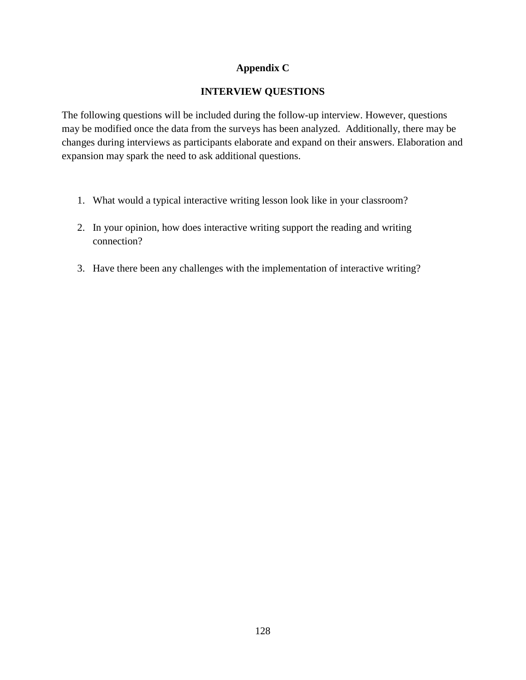#### **Appendix C**

# **INTERVIEW QUESTIONS**

The following questions will be included during the follow-up interview. However, questions may be modified once the data from the surveys has been analyzed. Additionally, there may be changes during interviews as participants elaborate and expand on their answers. Elaboration and expansion may spark the need to ask additional questions.

- 1. What would a typical interactive writing lesson look like in your classroom?
- 2. In your opinion, how does interactive writing support the reading and writing connection?
- 3. Have there been any challenges with the implementation of interactive writing?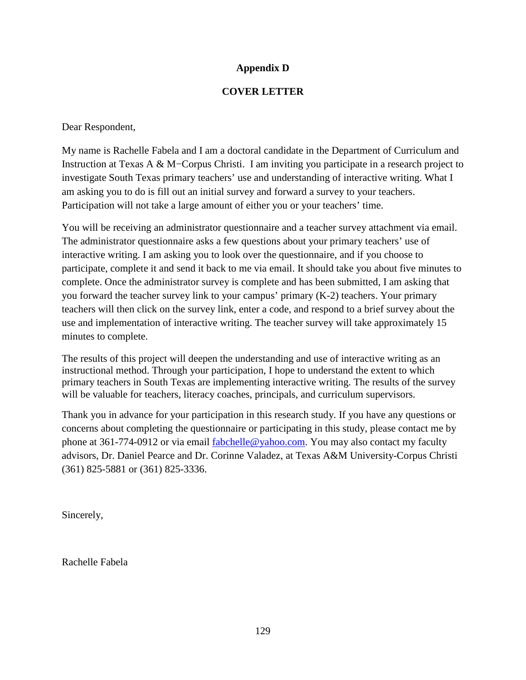### **Appendix D**

### **COVER LETTER**

Dear Respondent,

My name is Rachelle Fabela and I am a doctoral candidate in the Department of Curriculum and Instruction at Texas A & M−Corpus Christi. I am inviting you participate in a research project to investigate South Texas primary teachers' use and understanding of interactive writing. What I am asking you to do is fill out an initial survey and forward a survey to your teachers. Participation will not take a large amount of either you or your teachers' time.

You will be receiving an administrator questionnaire and a teacher survey attachment via email. The administrator questionnaire asks a few questions about your primary teachers' use of interactive writing. I am asking you to look over the questionnaire, and if you choose to participate, complete it and send it back to me via email. It should take you about five minutes to complete. Once the administrator survey is complete and has been submitted, I am asking that you forward the teacher survey link to your campus' primary (K-2) teachers. Your primary teachers will then click on the survey link, enter a code, and respond to a brief survey about the use and implementation of interactive writing. The teacher survey will take approximately 15 minutes to complete.

The results of this project will deepen the understanding and use of interactive writing as an instructional method. Through your participation, I hope to understand the extent to which primary teachers in South Texas are implementing interactive writing. The results of the survey will be valuable for teachers, literacy coaches, principals, and curriculum supervisors.

Thank you in advance for your participation in this research study. If you have any questions or concerns about completing the questionnaire or participating in this study, please contact me by phone at 361-774-0912 or via email fabchelle@yahoo.com. You may also contact my faculty advisors, Dr. Daniel Pearce and Dr. Corinne Valadez, at Texas A&M University-Corpus Christi (361) 825-5881 or (361) 825-3336.

Sincerely,

Rachelle Fabela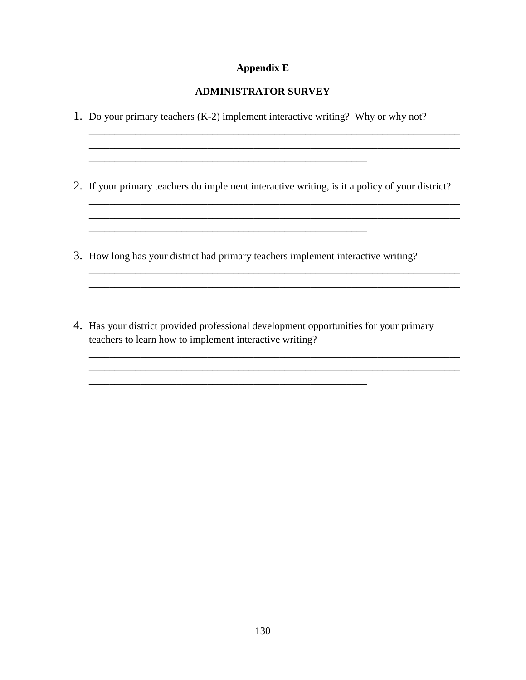#### **Appendix E**

#### **ADMINISTRATOR SURVEY**

1. Do your primary teachers (K-2) implement interactive writing? Why or why not?

2. If your primary teachers do implement interactive writing, is it a policy of your district?

\_\_\_\_\_\_\_\_\_\_\_\_\_\_\_\_\_\_\_\_\_\_\_\_\_\_\_\_\_\_\_\_\_\_\_\_\_\_\_\_\_\_\_\_\_\_\_\_\_\_\_\_\_\_\_\_\_\_\_\_\_\_\_\_\_\_\_\_\_\_\_\_

\_\_\_\_\_\_\_\_\_\_\_\_\_\_\_\_\_\_\_\_\_\_\_\_\_\_\_\_\_\_\_\_\_\_\_\_\_\_\_\_\_\_\_\_\_\_\_\_\_\_\_\_\_\_\_\_\_\_\_\_\_\_\_\_\_\_\_\_\_\_\_\_ \_\_\_\_\_\_\_\_\_\_\_\_\_\_\_\_\_\_\_\_\_\_\_\_\_\_\_\_\_\_\_\_\_\_\_\_\_\_\_\_\_\_\_\_\_\_\_\_\_\_\_\_\_\_\_\_\_\_\_\_\_\_\_\_\_\_\_\_\_\_\_\_

\_\_\_\_\_\_\_\_\_\_\_\_\_\_\_\_\_\_\_\_\_\_\_\_\_\_\_\_\_\_\_\_\_\_\_\_\_\_\_\_\_\_\_\_\_\_\_\_\_\_\_\_\_\_\_\_\_\_\_\_\_\_\_\_\_\_\_\_\_\_\_\_ \_\_\_\_\_\_\_\_\_\_\_\_\_\_\_\_\_\_\_\_\_\_\_\_\_\_\_\_\_\_\_\_\_\_\_\_\_\_\_\_\_\_\_\_\_\_\_\_\_\_\_\_\_\_\_\_\_\_\_\_\_\_\_\_\_\_\_\_\_\_\_\_

\_\_\_\_\_\_\_\_\_\_\_\_\_\_\_\_\_\_\_\_\_\_\_\_\_\_\_\_\_\_\_\_\_\_\_\_\_\_\_\_\_\_\_\_\_\_\_\_\_\_\_\_\_\_\_\_\_\_\_\_\_\_\_\_\_\_\_\_\_\_\_\_ \_\_\_\_\_\_\_\_\_\_\_\_\_\_\_\_\_\_\_\_\_\_\_\_\_\_\_\_\_\_\_\_\_\_\_\_\_\_\_\_\_\_\_\_\_\_\_\_\_\_\_\_\_\_\_\_\_\_\_\_\_\_\_\_\_\_\_\_\_\_\_\_

3. How long has your district had primary teachers implement interactive writing?

\_\_\_\_\_\_\_\_\_\_\_\_\_\_\_\_\_\_\_\_\_\_\_\_\_\_\_\_\_\_\_\_\_\_\_\_\_\_\_\_\_\_\_\_\_\_\_\_\_\_\_\_\_\_

\_\_\_\_\_\_\_\_\_\_\_\_\_\_\_\_\_\_\_\_\_\_\_\_\_\_\_\_\_\_\_\_\_\_\_\_\_\_\_\_\_\_\_\_\_\_\_\_\_\_\_\_\_\_

4. Has your district provided professional development opportunities for your primary teachers to learn how to implement interactive writing?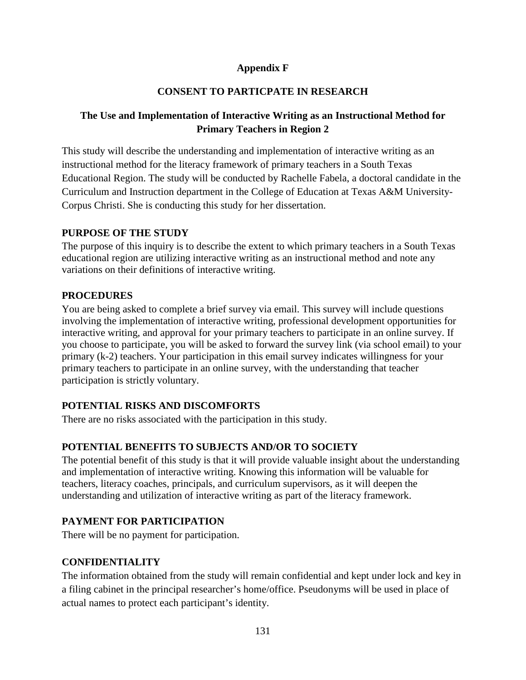## **Appendix F**

# **CONSENT TO PARTICPATE IN RESEARCH**

# **The Use and Implementation of Interactive Writing as an Instructional Method for Primary Teachers in Region 2**

This study will describe the understanding and implementation of interactive writing as an instructional method for the literacy framework of primary teachers in a South Texas Educational Region. The study will be conducted by Rachelle Fabela, a doctoral candidate in the Curriculum and Instruction department in the College of Education at Texas A&M University-Corpus Christi. She is conducting this study for her dissertation.

#### **PURPOSE OF THE STUDY**

The purpose of this inquiry is to describe the extent to which primary teachers in a South Texas educational region are utilizing interactive writing as an instructional method and note any variations on their definitions of interactive writing.

#### **PROCEDURES**

You are being asked to complete a brief survey via email. This survey will include questions involving the implementation of interactive writing, professional development opportunities for interactive writing, and approval for your primary teachers to participate in an online survey. If you choose to participate, you will be asked to forward the survey link (via school email) to your primary (k-2) teachers. Your participation in this email survey indicates willingness for your primary teachers to participate in an online survey, with the understanding that teacher participation is strictly voluntary.

#### **POTENTIAL RISKS AND DISCOMFORTS**

There are no risks associated with the participation in this study.

#### **POTENTIAL BENEFITS TO SUBJECTS AND/OR TO SOCIETY**

The potential benefit of this study is that it will provide valuable insight about the understanding and implementation of interactive writing. Knowing this information will be valuable for teachers, literacy coaches, principals, and curriculum supervisors, as it will deepen the understanding and utilization of interactive writing as part of the literacy framework.

# **PAYMENT FOR PARTICIPATION**

There will be no payment for participation.

#### **CONFIDENTIALITY**

The information obtained from the study will remain confidential and kept under lock and key in a filing cabinet in the principal researcher's home/office. Pseudonyms will be used in place of actual names to protect each participant's identity.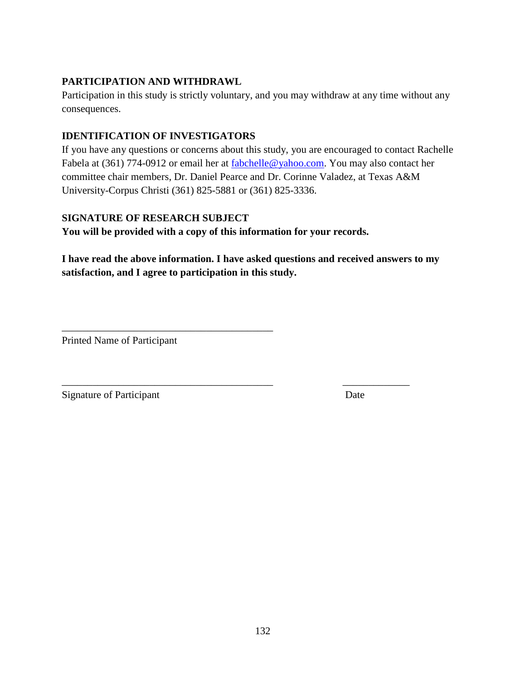# **PARTICIPATION AND WITHDRAWL**

Participation in this study is strictly voluntary, and you may withdraw at any time without any consequences.

# **IDENTIFICATION OF INVESTIGATORS**

If you have any questions or concerns about this study, you are encouraged to contact Rachelle Fabela at (361) 774-0912 or email her at fabchelle@yahoo.com. You may also contact her committee chair members, Dr. Daniel Pearce and Dr. Corinne Valadez, at Texas A&M University-Corpus Christi (361) 825-5881 or (361) 825-3336.

# **SIGNATURE OF RESEARCH SUBJECT**

\_\_\_\_\_\_\_\_\_\_\_\_\_\_\_\_\_\_\_\_\_\_\_\_\_\_\_\_\_\_\_\_\_\_\_\_\_\_\_\_\_

**You will be provided with a copy of this information for your records.** 

**I have read the above information. I have asked questions and received answers to my satisfaction, and I agree to participation in this study.** 

\_\_\_\_\_\_\_\_\_\_\_\_\_\_\_\_\_\_\_\_\_\_\_\_\_\_\_\_\_\_\_\_\_\_\_\_\_\_\_\_\_ \_\_\_\_\_\_\_\_\_\_\_\_\_

Printed Name of Participant

Signature of Participant Date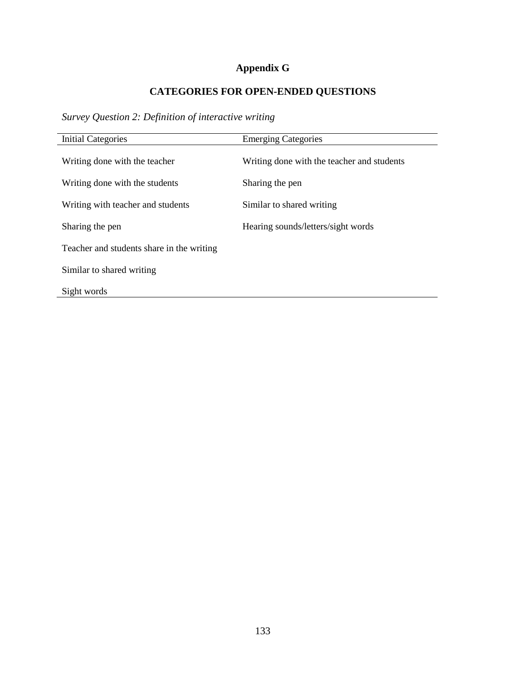## **Appendix G**

## **CATEGORIES FOR OPEN-ENDED QUESTIONS**

*Survey Question 2: Definition of interactive writing* 

| <b>Initial Categories</b>                 | <b>Emerging Categories</b>                 |
|-------------------------------------------|--------------------------------------------|
| Writing done with the teacher             | Writing done with the teacher and students |
| Writing done with the students            | Sharing the pen                            |
| Writing with teacher and students         | Similar to shared writing                  |
| Sharing the pen                           | Hearing sounds/letters/sight words         |
| Teacher and students share in the writing |                                            |
| Similar to shared writing                 |                                            |
| Sight words                               |                                            |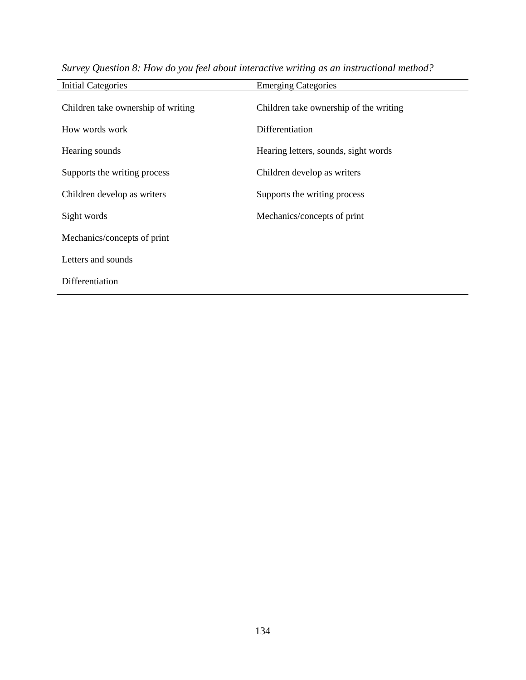| <b>Initial Categories</b>          | <b>Emerging Categories</b>             |
|------------------------------------|----------------------------------------|
| Children take ownership of writing | Children take ownership of the writing |
| How words work                     | Differentiation                        |
| Hearing sounds                     | Hearing letters, sounds, sight words   |
| Supports the writing process       | Children develop as writers            |
| Children develop as writers        | Supports the writing process           |
| Sight words                        | Mechanics/concepts of print            |
| Mechanics/concepts of print        |                                        |
| Letters and sounds                 |                                        |
| Differentiation                    |                                        |

*Survey Question 8: How do you feel about interactive writing as an instructional method?*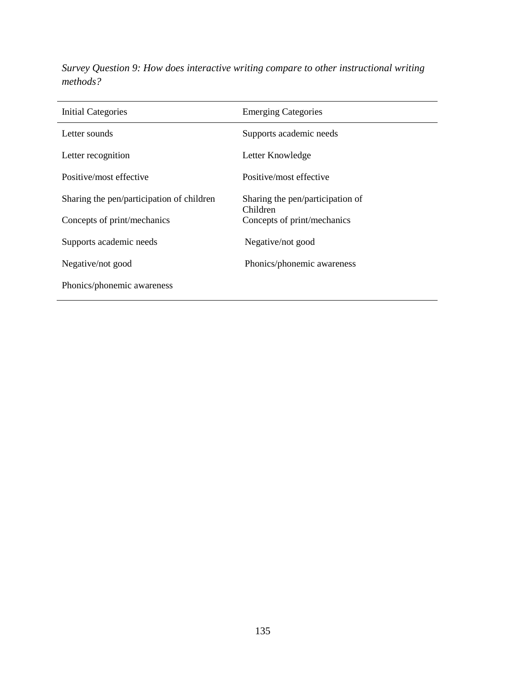| Initial Categories                        | <b>Emerging Categories</b>                   |
|-------------------------------------------|----------------------------------------------|
| Letter sounds                             | Supports academic needs                      |
| Letter recognition                        | Letter Knowledge                             |
| Positive/most effective                   | Positive/most effective                      |
| Sharing the pen/participation of children | Sharing the pen/participation of<br>Children |
| Concepts of print/mechanics               | Concepts of print/mechanics                  |
| Supports academic needs                   | Negative/not good                            |

Phonics/phonemic awareness

Negative/not good

Phonics/phonemic awareness

*Survey Question 9: How does interactive writing compare to other instructional writing methods?*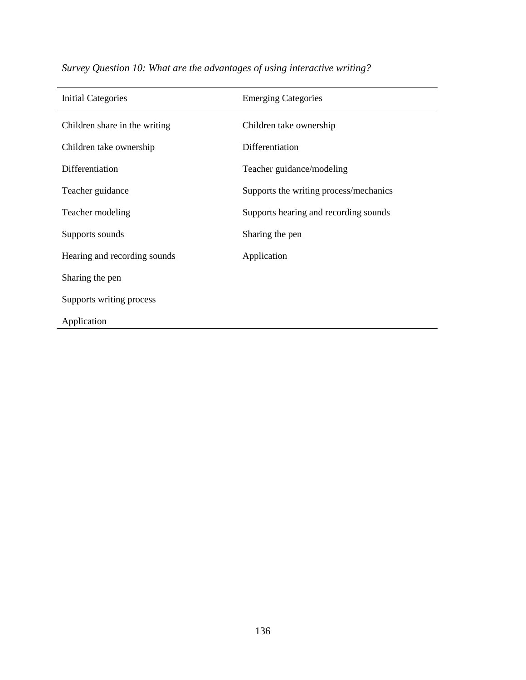| <b>Initial Categories</b>     | <b>Emerging Categories</b>             |
|-------------------------------|----------------------------------------|
|                               |                                        |
| Children share in the writing | Children take ownership                |
| Children take ownership       | Differentiation                        |
| Differentiation               | Teacher guidance/modeling              |
| Teacher guidance              | Supports the writing process/mechanics |
| Teacher modeling              | Supports hearing and recording sounds  |
| Supports sounds               | Sharing the pen                        |
| Hearing and recording sounds  | Application                            |
| Sharing the pen               |                                        |
| Supports writing process      |                                        |
| Application                   |                                        |

*Survey Question 10: What are the advantages of using interactive writing?*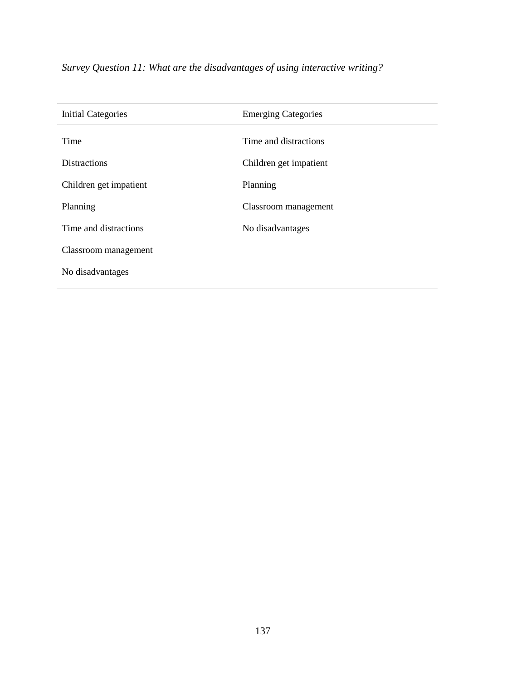| <b>Initial Categories</b> | <b>Emerging Categories</b> |
|---------------------------|----------------------------|
| Time                      | Time and distractions      |
| <b>Distractions</b>       | Children get impatient     |
| Children get impatient    | Planning                   |
| Planning                  | Classroom management       |
| Time and distractions     | No disadvantages           |
| Classroom management      |                            |
| No disadvantages          |                            |

*Survey Question 11: What are the disadvantages of using interactive writing?*